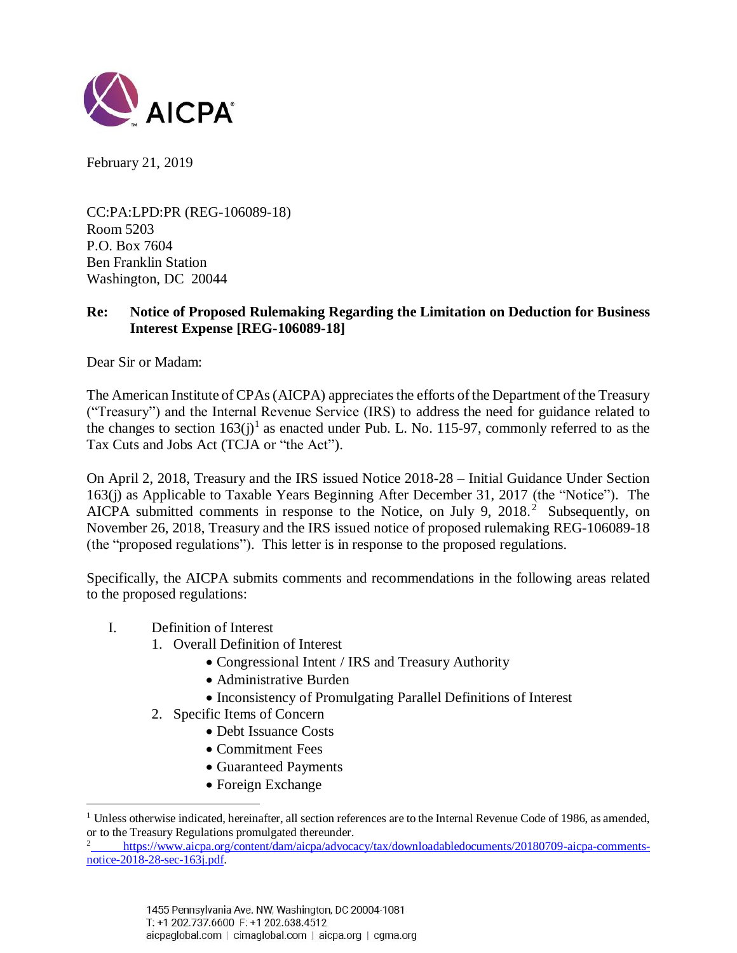

February 21, 2019

CC:PA:LPD:PR (REG-106089-18) Room 5203 P.O. Box 7604 Ben Franklin Station Washington, DC 20044

### **Re: Notice of Proposed Rulemaking Regarding the Limitation on Deduction for Business Interest Expense [REG-106089-18]**

Dear Sir or Madam:

The American Institute of CPAs (AICPA) appreciates the efforts of the Department of the Treasury ("Treasury") and the Internal Revenue Service (IRS) to address the need for guidance related to the changes to section  $163(j)^{1}$  as enacted under Pub. L. No. 115-97, commonly referred to as the Tax Cuts and Jobs Act (TCJA or "the Act").

On April 2, 2018, Treasury and the IRS issued Notice 2018-28 – Initial Guidance Under Section 163(j) as Applicable to Taxable Years Beginning After December 31, 2017 (the "Notice"). The AICPA submitted comments in response to the Notice, on July 9, 2018.<sup>2</sup> Subsequently, on November 26, 2018, Treasury and the IRS issued notice of proposed rulemaking REG-106089-18 (the "proposed regulations"). This letter is in response to the proposed regulations.

Specifically, the AICPA submits comments and recommendations in the following areas related to the proposed regulations:

I. Definition of Interest

 $\overline{a}$ 

- 1. Overall Definition of Interest
	- Congressional Intent / IRS and Treasury Authority
	- Administrative Burden
	- Inconsistency of Promulgating Parallel Definitions of Interest
- 2. Specific Items of Concern
	- Debt Issuance Costs
	- Commitment Fees
	- Guaranteed Payments
	- Foreign Exchange

 $1$  Unless otherwise indicated, hereinafter, all section references are to the Internal Revenue Code of 1986, as amended, or to the Treasury Regulations promulgated thereunder.

<sup>&</sup>lt;sup>2</sup> [https://www.aicpa.org/content/dam/aicpa/advocacy/tax/downloadabledocuments/20180709-aicpa-comments](https://www.aicpa.org/content/dam/aicpa/advocacy/tax/downloadabledocuments/20180709-aicpa-comments-notice-2018-28-sec-163j.pdf)[notice-2018-28-sec-163j.pdf.](https://www.aicpa.org/content/dam/aicpa/advocacy/tax/downloadabledocuments/20180709-aicpa-comments-notice-2018-28-sec-163j.pdf)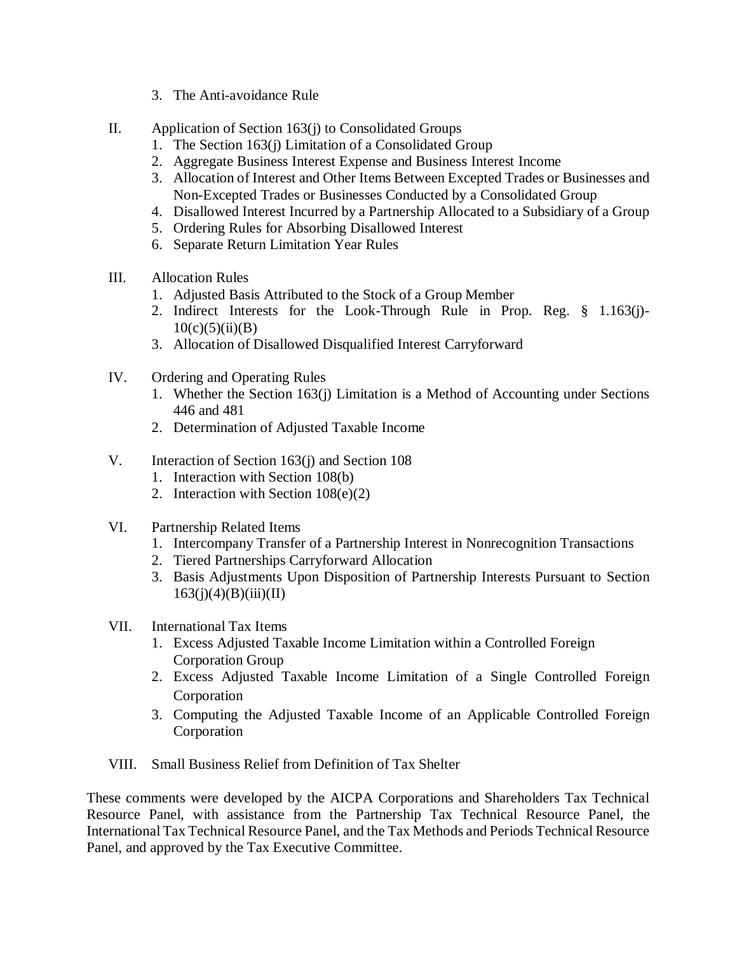- 3. The Anti-avoidance Rule
- II. Application of Section 163(j) to Consolidated Groups
	- 1. The Section 163(j) Limitation of a Consolidated Group
	- 2. Aggregate Business Interest Expense and Business Interest Income
	- 3. Allocation of Interest and Other Items Between Excepted Trades or Businesses and Non-Excepted Trades or Businesses Conducted by a Consolidated Group
	- 4. Disallowed Interest Incurred by a Partnership Allocated to a Subsidiary of a Group
	- 5. Ordering Rules for Absorbing Disallowed Interest
	- 6. Separate Return Limitation Year Rules
- III. Allocation Rules
	- 1. Adjusted Basis Attributed to the Stock of a Group Member
	- 2. Indirect Interests for the Look-Through Rule in Prop. Reg. § 1.163(j)-  $10(c)(5)(ii)(B)$
	- 3. Allocation of Disallowed Disqualified Interest Carryforward
- IV. Ordering and Operating Rules
	- 1. Whether the Section 163(j) Limitation is a Method of Accounting under Sections 446 and 481
	- 2. Determination of Adjusted Taxable Income
- V. Interaction of Section 163(j) and Section 108
	- 1. Interaction with Section 108(b)
	- 2. Interaction with Section 108(e)(2)
- VI. Partnership Related Items
	- 1. Intercompany Transfer of a Partnership Interest in Nonrecognition Transactions
	- 2. Tiered Partnerships Carryforward Allocation
	- 3. Basis Adjustments Upon Disposition of Partnership Interests Pursuant to Section  $163(i)(4)(B)(iii)(II)$
- VII. International Tax Items
	- 1. Excess Adjusted Taxable Income Limitation within a Controlled Foreign Corporation Group
	- 2. Excess Adjusted Taxable Income Limitation of a Single Controlled Foreign Corporation
	- 3. Computing the Adjusted Taxable Income of an Applicable Controlled Foreign Corporation
- VIII. Small Business Relief from Definition of Tax Shelter

These comments were developed by the AICPA Corporations and Shareholders Tax Technical Resource Panel, with assistance from the Partnership Tax Technical Resource Panel, the International Tax Technical Resource Panel, and the Tax Methods and Periods Technical Resource Panel, and approved by the Tax Executive Committee.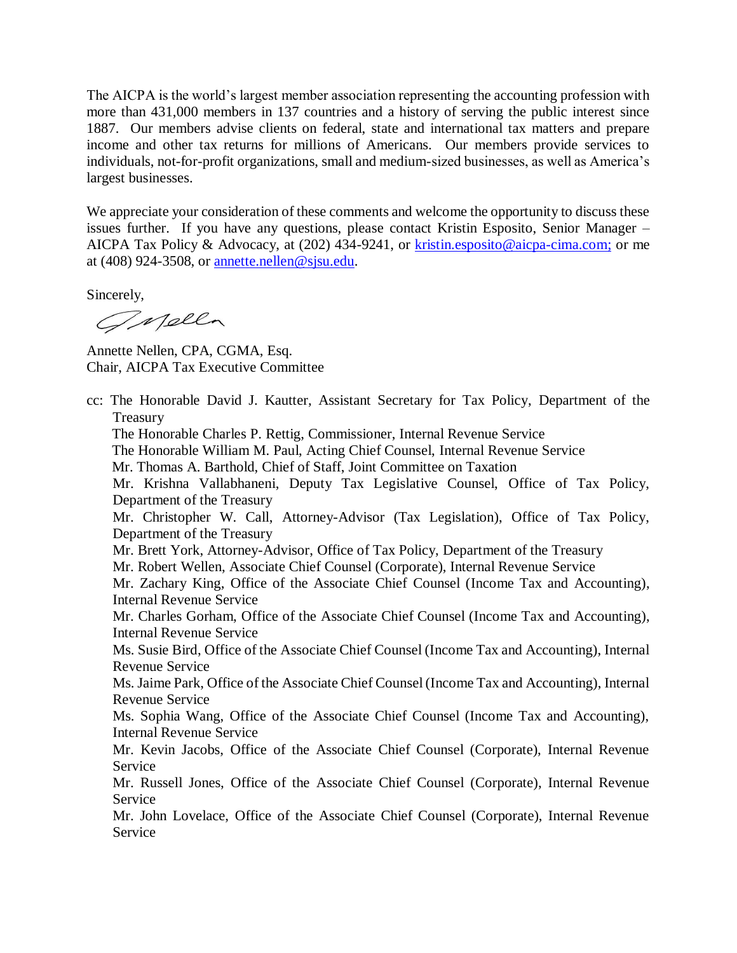The AICPA is the world's largest member association representing the accounting profession with more than 431,000 members in 137 countries and a history of serving the public interest since 1887. Our members advise clients on federal, state and international tax matters and prepare income and other tax returns for millions of Americans. Our members provide services to individuals, not-for-profit organizations, small and medium-sized businesses, as well as America's largest businesses.

We appreciate your consideration of these comments and welcome the opportunity to discuss these issues further. If you have any questions, please contact Kristin Esposito, Senior Manager – AICPA Tax Policy & Advocacy, at (202) 434-9241, or [kristin.esposito@aicpa-cima.com;](mailto:kristin.esposito@aicpa-cima.com) or me at  $(408)$  924-3508, or annette.nellen@sisu.edu.

Sincerely,

Gnella

Annette Nellen, CPA, CGMA, Esq. Chair, AICPA Tax Executive Committee

cc: The Honorable David J. Kautter, Assistant Secretary for Tax Policy, Department of the Treasury The Honorable Charles P. Rettig, Commissioner, Internal Revenue Service The Honorable William M. Paul, Acting Chief Counsel, Internal Revenue Service Mr. Thomas A. Barthold, Chief of Staff, Joint Committee on Taxation Mr. Krishna Vallabhaneni, Deputy Tax Legislative Counsel, Office of Tax Policy, Department of the Treasury Mr. Christopher W. Call, Attorney-Advisor (Tax Legislation), Office of Tax Policy, Department of the Treasury Mr. Brett York, Attorney-Advisor, Office of Tax Policy, Department of the Treasury Mr. Robert Wellen, Associate Chief Counsel (Corporate), Internal Revenue Service Mr. Zachary King, Office of the Associate Chief Counsel (Income Tax and Accounting), Internal Revenue Service Mr. Charles Gorham, Office of the Associate Chief Counsel (Income Tax and Accounting), Internal Revenue Service Ms. Susie Bird, Office of the Associate Chief Counsel (Income Tax and Accounting), Internal Revenue Service Ms. Jaime Park, Office of the Associate Chief Counsel (Income Tax and Accounting), Internal Revenue Service Ms. Sophia Wang, Office of the Associate Chief Counsel (Income Tax and Accounting), Internal Revenue Service Mr. Kevin Jacobs, Office of the Associate Chief Counsel (Corporate), Internal Revenue Service Mr. Russell Jones, Office of the Associate Chief Counsel (Corporate), Internal Revenue Service Mr. John Lovelace, Office of the Associate Chief Counsel (Corporate), Internal Revenue Service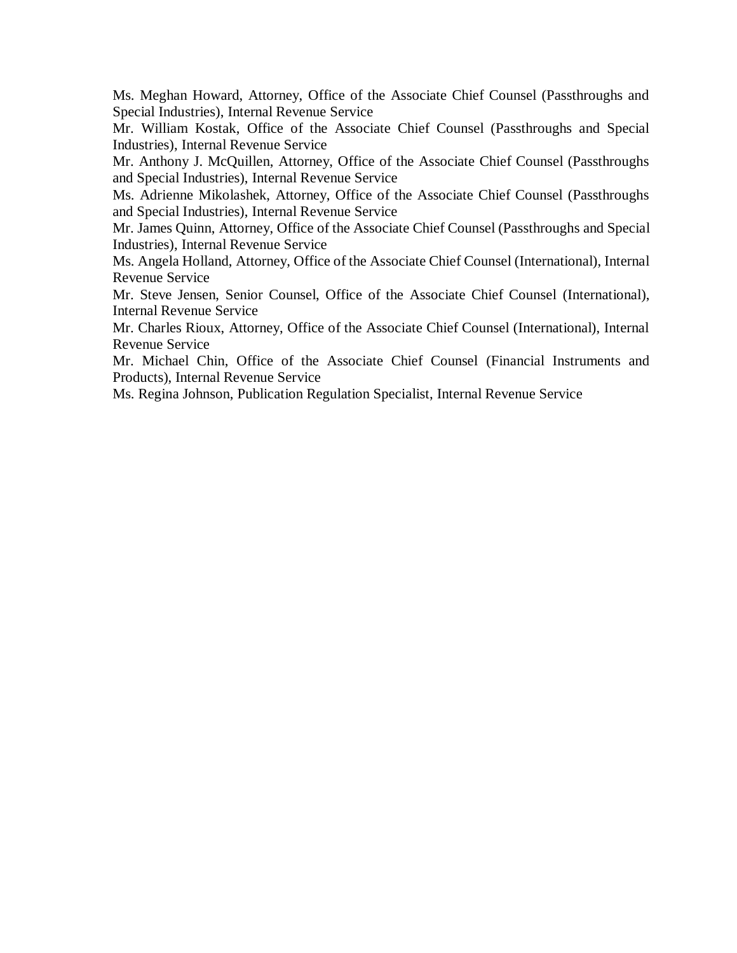Ms. Meghan Howard, Attorney, Office of the Associate Chief Counsel (Passthroughs and Special Industries), Internal Revenue Service

Mr. William Kostak, Office of the Associate Chief Counsel (Passthroughs and Special Industries), Internal Revenue Service

Mr. Anthony J. McQuillen, Attorney, Office of the Associate Chief Counsel (Passthroughs and Special Industries), Internal Revenue Service

Ms. Adrienne Mikolashek, Attorney, Office of the Associate Chief Counsel (Passthroughs and Special Industries), Internal Revenue Service

Mr. James Quinn, Attorney, Office of the Associate Chief Counsel (Passthroughs and Special Industries), Internal Revenue Service

Ms. Angela Holland, Attorney, Office of the Associate Chief Counsel (International), Internal Revenue Service

Mr. Steve Jensen, Senior Counsel, Office of the Associate Chief Counsel (International), Internal Revenue Service

Mr. Charles Rioux, Attorney, Office of the Associate Chief Counsel (International), Internal Revenue Service

Mr. Michael Chin, Office of the Associate Chief Counsel (Financial Instruments and Products), Internal Revenue Service

Ms. Regina Johnson, Publication Regulation Specialist, Internal Revenue Service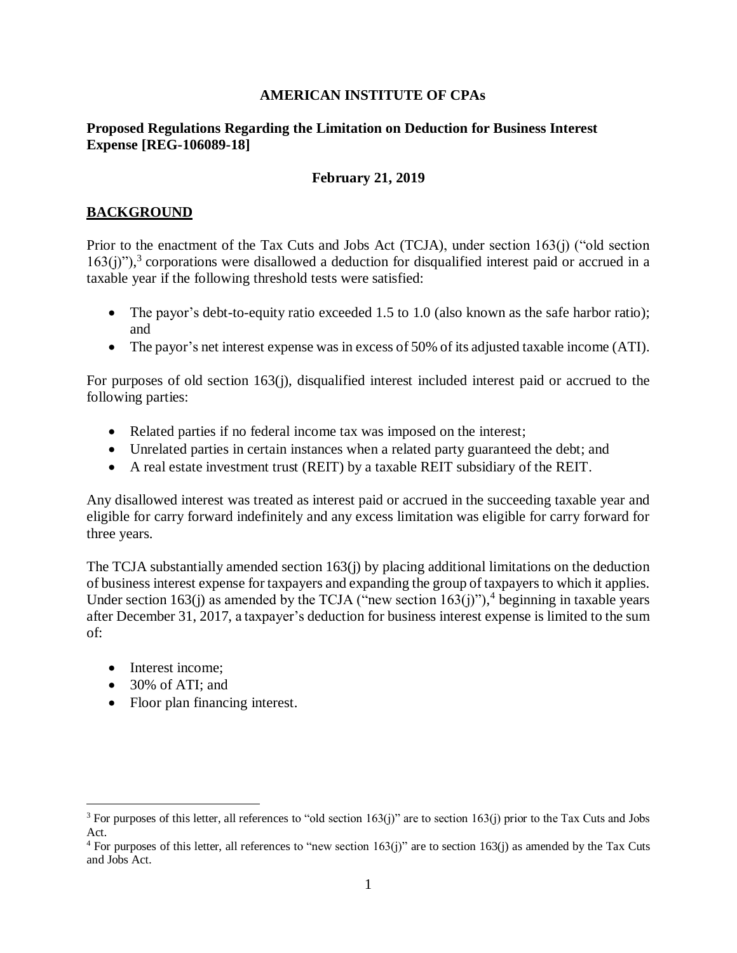#### **AMERICAN INSTITUTE OF CPAs**

#### **Proposed Regulations Regarding the Limitation on Deduction for Business Interest Expense [REG-106089-18]**

#### **February 21, 2019**

### **BACKGROUND**

Prior to the enactment of the Tax Cuts and Jobs Act (TCJA), under section 163(j) ("old section  $163(j)$ "),<sup>3</sup> corporations were disallowed a deduction for disqualified interest paid or accrued in a taxable year if the following threshold tests were satisfied:

- The payor's debt-to-equity ratio exceeded 1.5 to 1.0 (also known as the safe harbor ratio); and
- The payor's net interest expense was in excess of 50% of its adjusted taxable income (ATI).

For purposes of old section 163(j), disqualified interest included interest paid or accrued to the following parties:

- Related parties if no federal income tax was imposed on the interest;
- Unrelated parties in certain instances when a related party guaranteed the debt; and
- A real estate investment trust (REIT) by a taxable REIT subsidiary of the REIT.

Any disallowed interest was treated as interest paid or accrued in the succeeding taxable year and eligible for carry forward indefinitely and any excess limitation was eligible for carry forward for three years.

The TCJA substantially amended section 163(j) by placing additional limitations on the deduction of business interest expense for taxpayers and expanding the group of taxpayers to which it applies. Under section 163(j) as amended by the TCJA ("new section  $163(j)$ "),<sup>4</sup> beginning in taxable years after December 31, 2017, a taxpayer's deduction for business interest expense is limited to the sum of:

- Interest income:
- 30% of ATI: and

 $\overline{a}$ 

• Floor plan financing interest.

<sup>&</sup>lt;sup>3</sup> For purposes of this letter, all references to "old section  $163(j)$ " are to section  $163(j)$  prior to the Tax Cuts and Jobs Act.

 $4$  For purposes of this letter, all references to "new section 163(j)" are to section 163(j) as amended by the Tax Cuts and Jobs Act.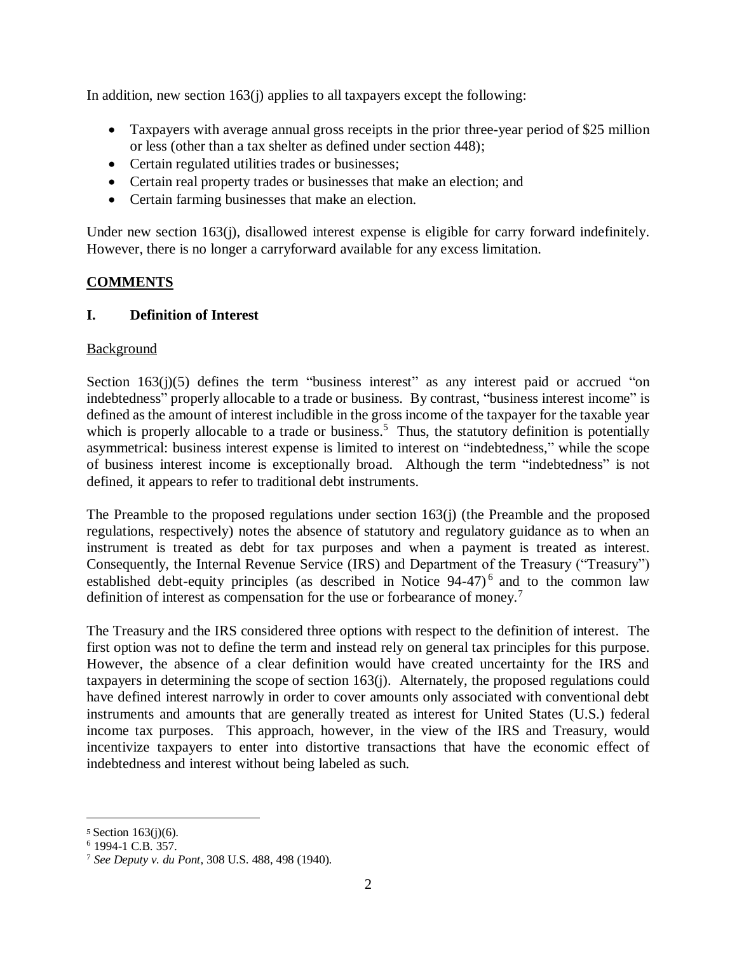In addition, new section 163(j) applies to all taxpayers except the following:

- Taxpayers with average annual gross receipts in the prior three-year period of \$25 million or less (other than a tax shelter as defined under section 448);
- Certain regulated utilities trades or businesses;
- Certain real property trades or businesses that make an election; and
- Certain farming businesses that make an election.

Under new section 163(j), disallowed interest expense is eligible for carry forward indefinitely. However, there is no longer a carryforward available for any excess limitation.

## **COMMENTS**

## **I. Definition of Interest**

### Background

Section  $163(j)(5)$  defines the term "business interest" as any interest paid or accrued "on indebtedness" properly allocable to a trade or business. By contrast, "business interest income" is defined as the amount of interest includible in the gross income of the taxpayer for the taxable year which is properly allocable to a trade or business.<sup>5</sup> Thus, the statutory definition is potentially asymmetrical: business interest expense is limited to interest on "indebtedness," while the scope of business interest income is exceptionally broad. Although the term "indebtedness" is not defined, it appears to refer to traditional debt instruments.

The Preamble to the proposed regulations under section 163(j) (the Preamble and the proposed regulations, respectively) notes the absence of statutory and regulatory guidance as to when an instrument is treated as debt for tax purposes and when a payment is treated as interest. Consequently, the Internal Revenue Service (IRS) and Department of the Treasury ("Treasury") established debt-equity principles (as described in Notice 94-47)<sup>6</sup> and to the common law definition of interest as compensation for the use or forbearance of money.<sup>7</sup>

The Treasury and the IRS considered three options with respect to the definition of interest. The first option was not to define the term and instead rely on general tax principles for this purpose. However, the absence of a clear definition would have created uncertainty for the IRS and taxpayers in determining the scope of section 163(j). Alternately, the proposed regulations could have defined interest narrowly in order to cover amounts only associated with conventional debt instruments and amounts that are generally treated as interest for United States (U.S.) federal income tax purposes. This approach, however, in the view of the IRS and Treasury, would incentivize taxpayers to enter into distortive transactions that have the economic effect of indebtedness and interest without being labeled as such.

 $\overline{a}$ 

<sup>5</sup> Section 163(j)(6).

<sup>6</sup> 1994-1 C.B. 357.

<sup>7</sup> *See Deputy v. du Pont*, 308 U.S. 488, 498 (1940).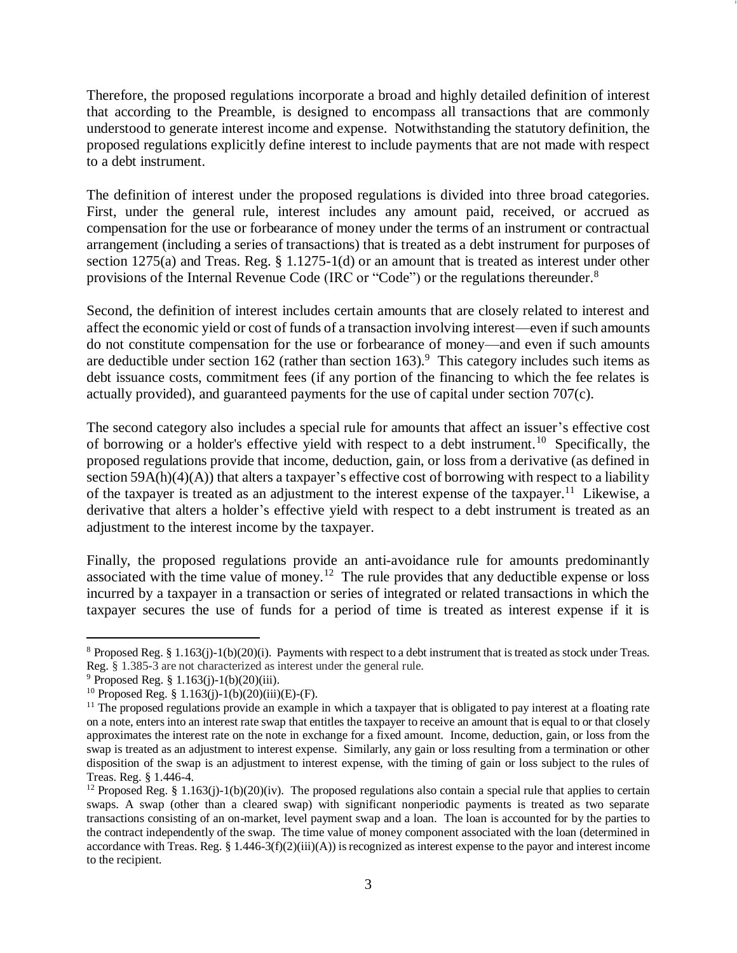Therefore, the proposed regulations incorporate a broad and highly detailed definition of interest that according to the Preamble, is designed to encompass all transactions that are commonly understood to generate interest income and expense. Notwithstanding the statutory definition, the proposed regulations explicitly define interest to include payments that are not made with respect to a debt instrument.

The definition of interest under the proposed regulations is divided into three broad categories. First, under the general rule, interest includes any amount paid, received, or accrued as compensation for the use or forbearance of money under the terms of an instrument or contractual arrangement (including a series of transactions) that is treated as a debt instrument for purposes of section  $1275(a)$  and Treas. Reg. § 1.1275-1(d) or an amount that is treated as interest under other provisions of the Internal Revenue Code (IRC or "Code") or the regulations thereunder.<sup>8</sup>

Second, the definition of interest includes certain amounts that are closely related to interest and affect the economic yield or cost of funds of a transaction involving interest—even if such amounts do not constitute compensation for the use or forbearance of money—and even if such amounts are deductible under section 162 (rather than section 163).<sup>9</sup> This category includes such items as debt issuance costs, commitment fees (if any portion of the financing to which the fee relates is actually provided), and guaranteed payments for the use of capital under section 707(c).

The second category also includes a special rule for amounts that affect an issuer's effective cost of borrowing or a holder's effective yield with respect to a debt instrument.<sup>10</sup> Specifically, the proposed regulations provide that income, deduction, gain, or loss from a derivative (as defined in section 59A(h)(4)(A)) that alters a taxpayer's effective cost of borrowing with respect to a liability of the taxpayer is treated as an adjustment to the interest expense of the taxpayer.<sup>11</sup> Likewise, a derivative that alters a holder's effective yield with respect to a debt instrument is treated as an adjustment to the interest income by the taxpayer.

Finally, the proposed regulations provide an anti-avoidance rule for amounts predominantly associated with the time value of money.<sup>12</sup> The rule provides that any deductible expense or loss incurred by a taxpayer in a transaction or series of integrated or related transactions in which the taxpayer secures the use of funds for a period of time is treated as interest expense if it is

 $\overline{a}$ 

<sup>&</sup>lt;sup>8</sup> Proposed Reg. § 1.163(j)-1(b)(20)(i). Payments with respect to a debt instrument that is treated as stock under Treas. Reg. § 1.385-3 are not characterized as interest under the general rule.

 $^{9}$  Proposed Reg. § 1.163(j)-1(b)(20)(iii).

<sup>&</sup>lt;sup>10</sup> Proposed Reg. § 1.163(j)-1(b)(20)(iii)(E)-(F).

<sup>&</sup>lt;sup>11</sup> The proposed regulations provide an example in which a taxpayer that is obligated to pay interest at a floating rate on a note, enters into an interest rate swap that entitles the taxpayer to receive an amount that is equal to or that closely approximates the interest rate on the note in exchange for a fixed amount. Income, deduction, gain, or loss from the swap is treated as an adjustment to interest expense. Similarly, any gain or loss resulting from a termination or other disposition of the swap is an adjustment to interest expense, with the timing of gain or loss subject to the rules of Treas. Reg. § 1.446-4.

<sup>&</sup>lt;sup>12</sup> Proposed Reg. § 1.163(j)-1(b)(20)(iv). The proposed regulations also contain a special rule that applies to certain swaps. A swap (other than a cleared swap) with significant nonperiodic payments is treated as two separate transactions consisting of an on-market, level payment swap and a loan. The loan is accounted for by the parties to the contract independently of the swap. The time value of money component associated with the loan (determined in accordance with Treas. Reg. §  $1.446-3(f)(2)(iii)(A)$  is recognized as interest expense to the payor and interest income to the recipient.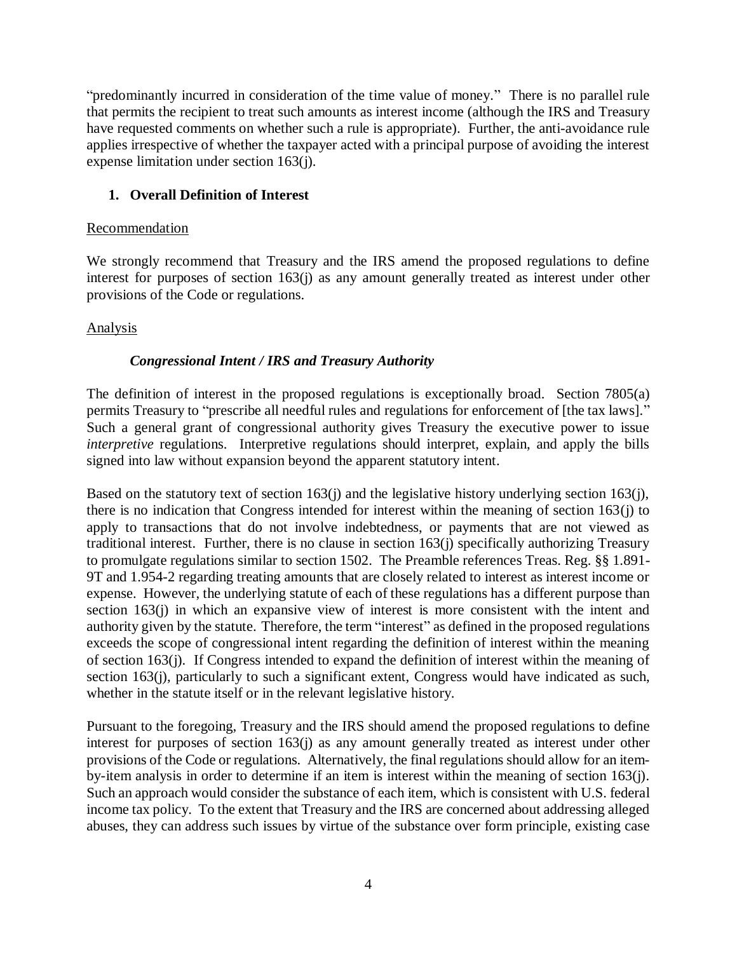"predominantly incurred in consideration of the time value of money." There is no parallel rule that permits the recipient to treat such amounts as interest income (although the IRS and Treasury have requested comments on whether such a rule is appropriate). Further, the anti-avoidance rule applies irrespective of whether the taxpayer acted with a principal purpose of avoiding the interest expense limitation under section 163(j).

### **1. Overall Definition of Interest**

#### Recommendation

We strongly recommend that Treasury and the IRS amend the proposed regulations to define interest for purposes of section 163(j) as any amount generally treated as interest under other provisions of the Code or regulations.

### Analysis

### *Congressional Intent / IRS and Treasury Authority*

The definition of interest in the proposed regulations is exceptionally broad. Section 7805(a) permits Treasury to "prescribe all needful rules and regulations for enforcement of [the tax laws]." Such a general grant of congressional authority gives Treasury the executive power to issue *interpretive* regulations. Interpretive regulations should interpret, explain, and apply the bills signed into law without expansion beyond the apparent statutory intent.

Based on the statutory text of section 163(j) and the legislative history underlying section 163(j), there is no indication that Congress intended for interest within the meaning of section 163(j) to apply to transactions that do not involve indebtedness, or payments that are not viewed as traditional interest. Further, there is no clause in section 163(j) specifically authorizing Treasury to promulgate regulations similar to section 1502. The Preamble references Treas. Reg. §§ 1.891- 9T and 1.954-2 regarding treating amounts that are closely related to interest as interest income or expense. However, the underlying statute of each of these regulations has a different purpose than section 163(j) in which an expansive view of interest is more consistent with the intent and authority given by the statute. Therefore, the term "interest" as defined in the proposed regulations exceeds the scope of congressional intent regarding the definition of interest within the meaning of section 163(j). If Congress intended to expand the definition of interest within the meaning of section 163(j), particularly to such a significant extent, Congress would have indicated as such, whether in the statute itself or in the relevant legislative history.

Pursuant to the foregoing, Treasury and the IRS should amend the proposed regulations to define interest for purposes of section 163(j) as any amount generally treated as interest under other provisions of the Code or regulations. Alternatively, the final regulations should allow for an itemby-item analysis in order to determine if an item is interest within the meaning of section 163(j). Such an approach would consider the substance of each item, which is consistent with U.S. federal income tax policy. To the extent that Treasury and the IRS are concerned about addressing alleged abuses, they can address such issues by virtue of the substance over form principle, existing case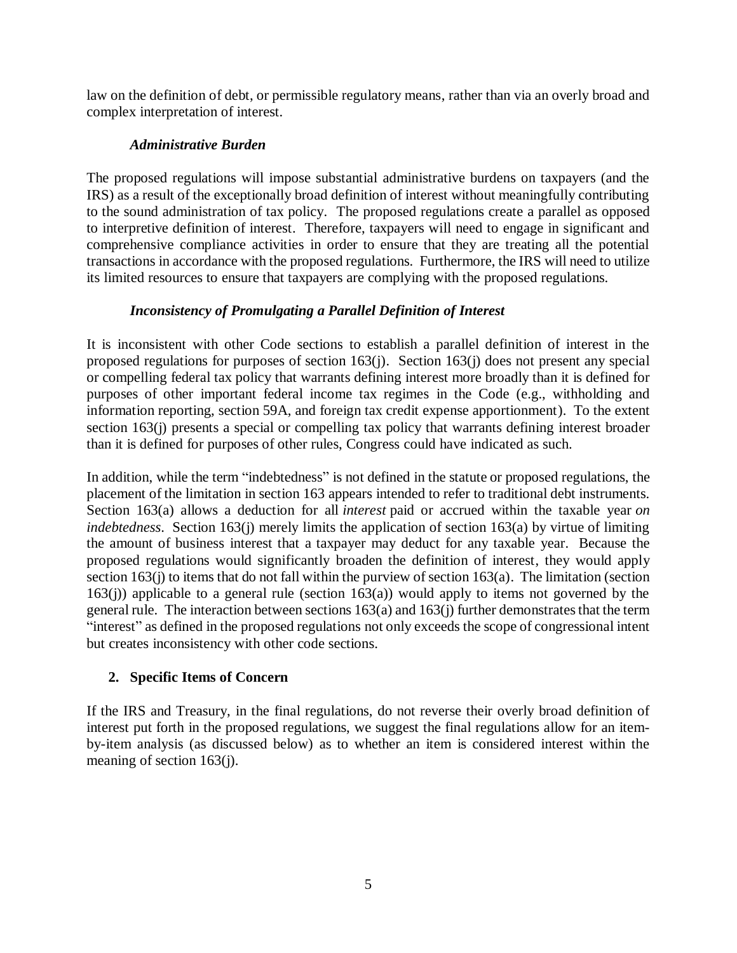law on the definition of debt, or permissible regulatory means, rather than via an overly broad and complex interpretation of interest.

## *Administrative Burden*

The proposed regulations will impose substantial administrative burdens on taxpayers (and the IRS) as a result of the exceptionally broad definition of interest without meaningfully contributing to the sound administration of tax policy. The proposed regulations create a parallel as opposed to interpretive definition of interest. Therefore, taxpayers will need to engage in significant and comprehensive compliance activities in order to ensure that they are treating all the potential transactions in accordance with the proposed regulations. Furthermore, the IRS will need to utilize its limited resources to ensure that taxpayers are complying with the proposed regulations.

## *Inconsistency of Promulgating a Parallel Definition of Interest*

It is inconsistent with other Code sections to establish a parallel definition of interest in the proposed regulations for purposes of section 163(j). Section 163(j) does not present any special or compelling federal tax policy that warrants defining interest more broadly than it is defined for purposes of other important federal income tax regimes in the Code (e.g., withholding and information reporting, section 59A, and foreign tax credit expense apportionment). To the extent section 163(j) presents a special or compelling tax policy that warrants defining interest broader than it is defined for purposes of other rules, Congress could have indicated as such.

In addition, while the term "indebtedness" is not defined in the statute or proposed regulations, the placement of the limitation in section 163 appears intended to refer to traditional debt instruments. Section 163(a) allows a deduction for all *interest* paid or accrued within the taxable year *on indebtedness*. Section 163(j) merely limits the application of section 163(a) by virtue of limiting the amount of business interest that a taxpayer may deduct for any taxable year. Because the proposed regulations would significantly broaden the definition of interest, they would apply section  $163(i)$  to items that do not fall within the purview of section  $163(a)$ . The limitation (section  $163(i)$ ) applicable to a general rule (section  $163(a)$ ) would apply to items not governed by the general rule. The interaction between sections  $163(a)$  and  $163(j)$  further demonstrates that the term "interest" as defined in the proposed regulations not only exceeds the scope of congressional intent but creates inconsistency with other code sections.

# **2. Specific Items of Concern**

If the IRS and Treasury, in the final regulations, do not reverse their overly broad definition of interest put forth in the proposed regulations, we suggest the final regulations allow for an itemby-item analysis (as discussed below) as to whether an item is considered interest within the meaning of section 163(j).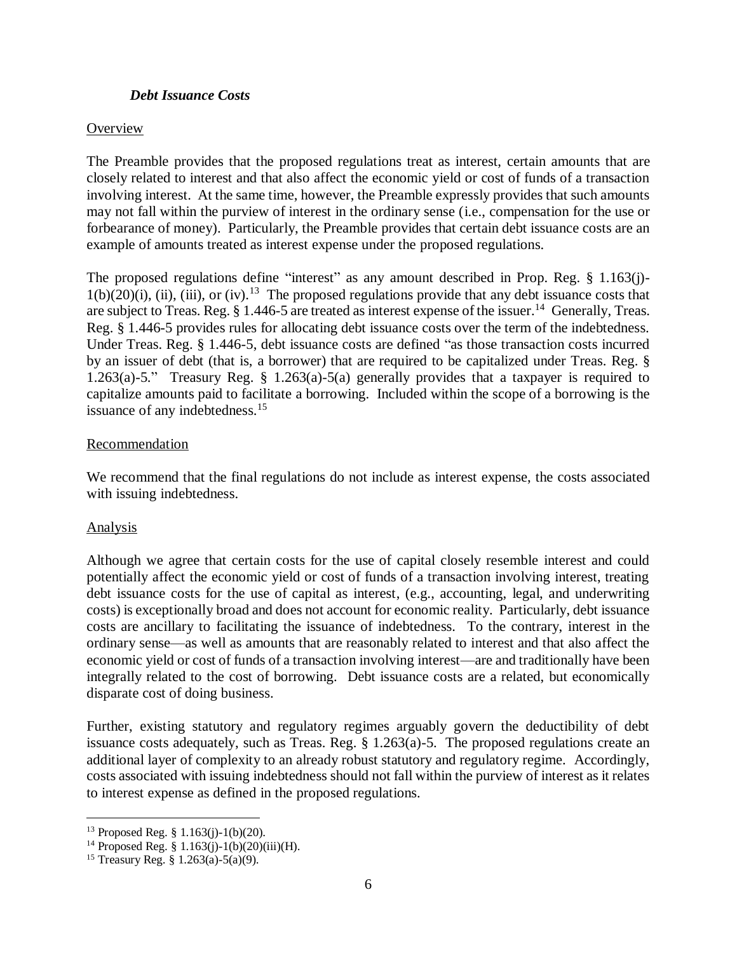#### *Debt Issuance Costs*

#### **Overview**

The Preamble provides that the proposed regulations treat as interest, certain amounts that are closely related to interest and that also affect the economic yield or cost of funds of a transaction involving interest. At the same time, however, the Preamble expressly provides that such amounts may not fall within the purview of interest in the ordinary sense (i.e., compensation for the use or forbearance of money). Particularly, the Preamble provides that certain debt issuance costs are an example of amounts treated as interest expense under the proposed regulations.

The proposed regulations define "interest" as any amount described in Prop. Reg. § 1.163(j)- $1(b)(20)(i)$ , (ii), (iii), or (iv).<sup>13</sup> The proposed regulations provide that any debt issuance costs that are subject to Treas. Reg.  $\S 1.446-5$  are treated as interest expense of the issuer.<sup>14</sup> Generally, Treas. Reg. § 1.446-5 provides rules for allocating debt issuance costs over the term of the indebtedness. Under Treas. Reg. § 1.446-5, debt issuance costs are defined "as those transaction costs incurred by an issuer of debt (that is, a borrower) that are required to be capitalized under Treas. Reg. § 1.263(a)-5." Treasury Reg. § 1.263(a)-5(a) generally provides that a taxpayer is required to capitalize amounts paid to facilitate a borrowing. Included within the scope of a borrowing is the issuance of any indebtedness.<sup>15</sup>

#### Recommendation

We recommend that the final regulations do not include as interest expense, the costs associated with issuing indebtedness.

#### Analysis

 $\overline{a}$ 

Although we agree that certain costs for the use of capital closely resemble interest and could potentially affect the economic yield or cost of funds of a transaction involving interest, treating debt issuance costs for the use of capital as interest, (e.g., accounting, legal, and underwriting costs) is exceptionally broad and does not account for economic reality. Particularly, debt issuance costs are ancillary to facilitating the issuance of indebtedness. To the contrary, interest in the ordinary sense—as well as amounts that are reasonably related to interest and that also affect the economic yield or cost of funds of a transaction involving interest—are and traditionally have been integrally related to the cost of borrowing. Debt issuance costs are a related, but economically disparate cost of doing business.

Further, existing statutory and regulatory regimes arguably govern the deductibility of debt issuance costs adequately, such as Treas. Reg. § 1.263(a)-5. The proposed regulations create an additional layer of complexity to an already robust statutory and regulatory regime. Accordingly, costs associated with issuing indebtedness should not fall within the purview of interest as it relates to interest expense as defined in the proposed regulations.

<sup>13</sup> Proposed Reg. § 1.163(j)-1(b)(20).

<sup>&</sup>lt;sup>14</sup> Proposed Reg. § 1.163(j)-1(b)(20)(iii)(H).

<sup>&</sup>lt;sup>15</sup> Treasury Reg. § 1.263(a)-5(a)(9).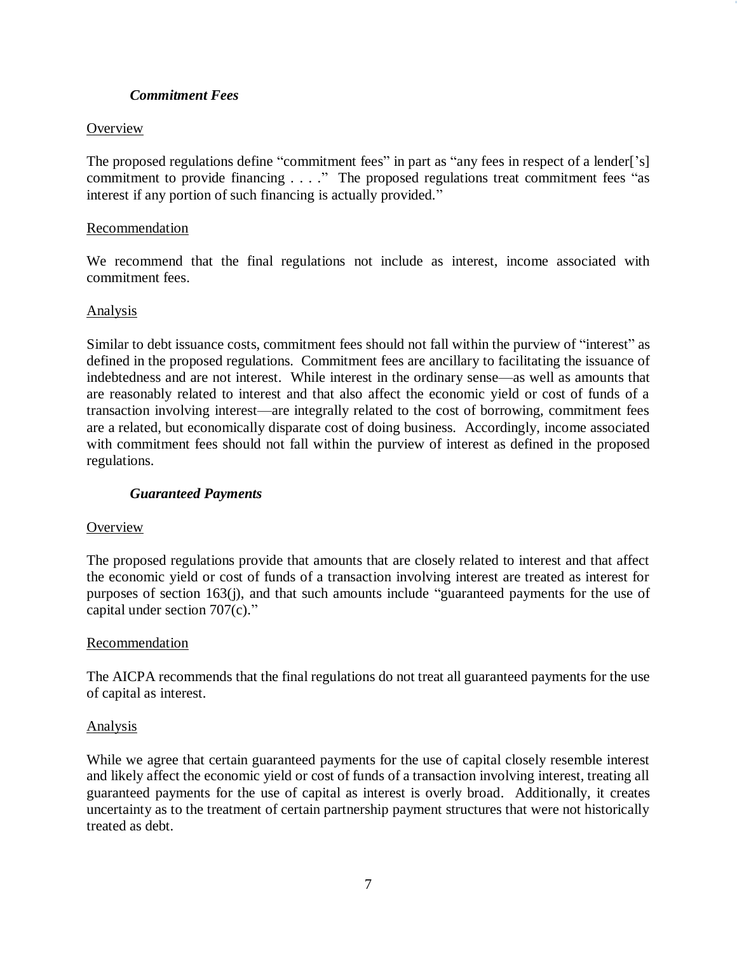### *Commitment Fees*

### **Overview**

The proposed regulations define "commitment fees" in part as "any fees in respect of a lender['s] commitment to provide financing . . . ." The proposed regulations treat commitment fees "as interest if any portion of such financing is actually provided."

#### Recommendation

We recommend that the final regulations not include as interest, income associated with commitment fees.

#### Analysis

Similar to debt issuance costs, commitment fees should not fall within the purview of "interest" as defined in the proposed regulations. Commitment fees are ancillary to facilitating the issuance of indebtedness and are not interest. While interest in the ordinary sense—as well as amounts that are reasonably related to interest and that also affect the economic yield or cost of funds of a transaction involving interest—are integrally related to the cost of borrowing, commitment fees are a related, but economically disparate cost of doing business. Accordingly, income associated with commitment fees should not fall within the purview of interest as defined in the proposed regulations.

#### *Guaranteed Payments*

#### **Overview**

The proposed regulations provide that amounts that are closely related to interest and that affect the economic yield or cost of funds of a transaction involving interest are treated as interest for purposes of section 163(j), and that such amounts include "guaranteed payments for the use of capital under section 707(c)."

#### Recommendation

The AICPA recommends that the final regulations do not treat all guaranteed payments for the use of capital as interest.

#### Analysis

While we agree that certain guaranteed payments for the use of capital closely resemble interest and likely affect the economic yield or cost of funds of a transaction involving interest, treating all guaranteed payments for the use of capital as interest is overly broad. Additionally, it creates uncertainty as to the treatment of certain partnership payment structures that were not historically treated as debt.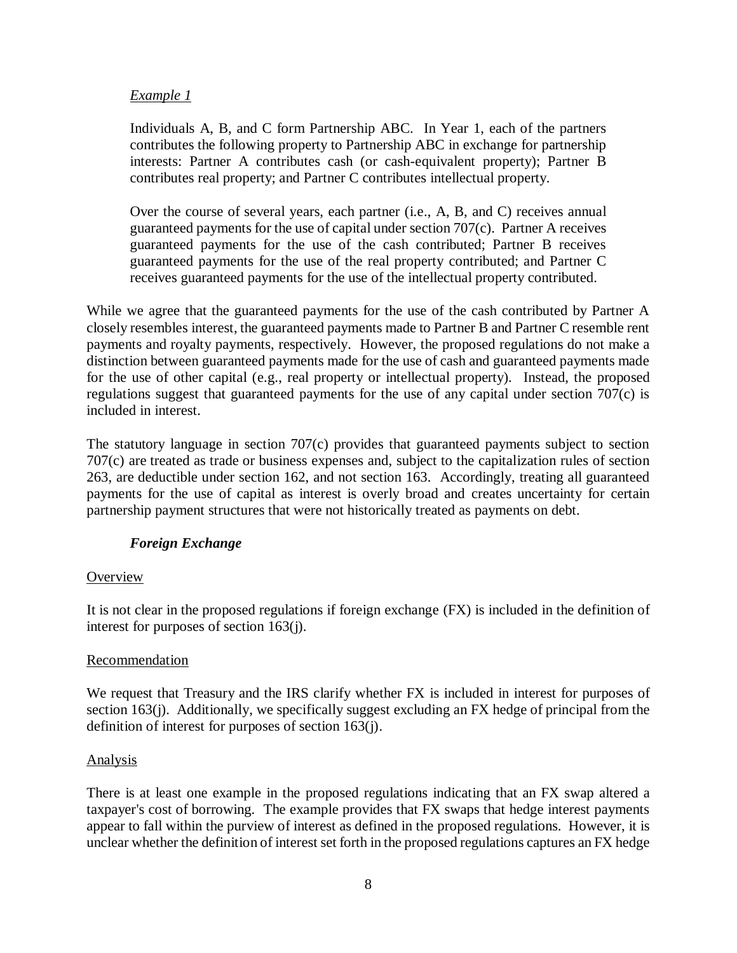### *Example 1*

Individuals A, B, and C form Partnership ABC. In Year 1, each of the partners contributes the following property to Partnership ABC in exchange for partnership interests: Partner A contributes cash (or cash-equivalent property); Partner B contributes real property; and Partner C contributes intellectual property.

Over the course of several years, each partner (i.e., A, B, and C) receives annual guaranteed payments for the use of capital under section 707(c). Partner A receives guaranteed payments for the use of the cash contributed; Partner B receives guaranteed payments for the use of the real property contributed; and Partner C receives guaranteed payments for the use of the intellectual property contributed.

While we agree that the guaranteed payments for the use of the cash contributed by Partner A closely resembles interest, the guaranteed payments made to Partner B and Partner C resemble rent payments and royalty payments, respectively. However, the proposed regulations do not make a distinction between guaranteed payments made for the use of cash and guaranteed payments made for the use of other capital (e.g., real property or intellectual property). Instead, the proposed regulations suggest that guaranteed payments for the use of any capital under section 707(c) is included in interest.

The statutory language in section 707(c) provides that guaranteed payments subject to section 707(c) are treated as trade or business expenses and, subject to the capitalization rules of section 263, are deductible under section 162, and not section 163. Accordingly, treating all guaranteed payments for the use of capital as interest is overly broad and creates uncertainty for certain partnership payment structures that were not historically treated as payments on debt.

## *Foreign Exchange*

#### **Overview**

It is not clear in the proposed regulations if foreign exchange (FX) is included in the definition of interest for purposes of section 163(j).

#### Recommendation

We request that Treasury and the IRS clarify whether FX is included in interest for purposes of section 163(j). Additionally, we specifically suggest excluding an FX hedge of principal from the definition of interest for purposes of section 163(j).

#### Analysis

There is at least one example in the proposed regulations indicating that an FX swap altered a taxpayer's cost of borrowing. The example provides that FX swaps that hedge interest payments appear to fall within the purview of interest as defined in the proposed regulations. However, it is unclear whether the definition of interest set forth in the proposed regulations captures an FX hedge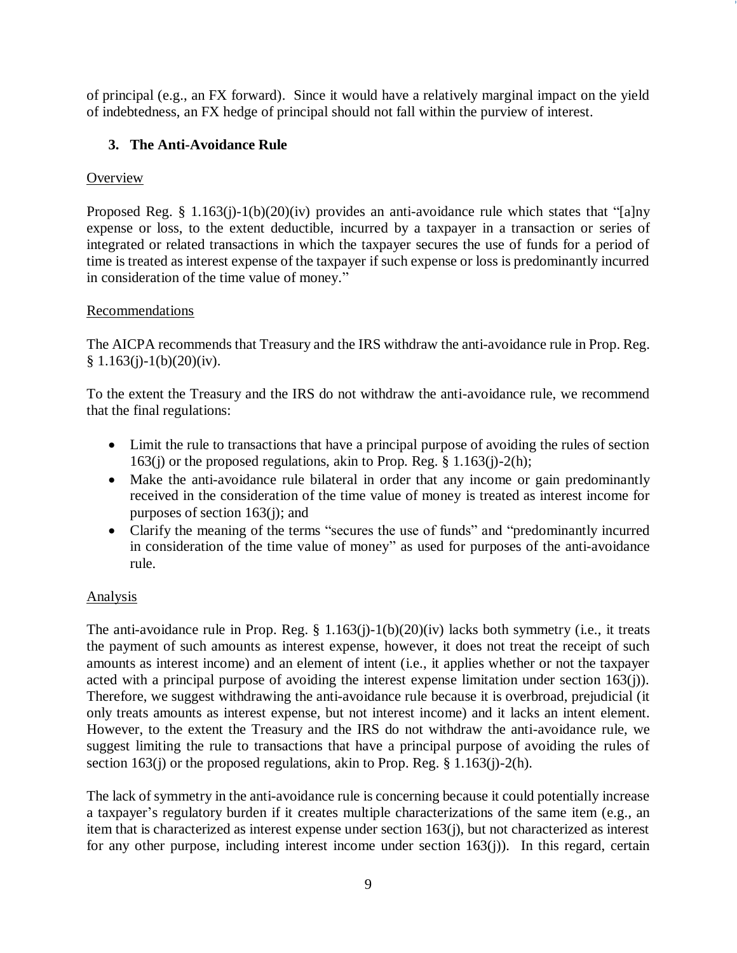of principal (e.g., an FX forward). Since it would have a relatively marginal impact on the yield of indebtedness, an FX hedge of principal should not fall within the purview of interest.

## **3. The Anti-Avoidance Rule**

## **Overview**

Proposed Reg. § 1.163(j)-1(b)(20)(iv) provides an anti-avoidance rule which states that "[a]ny expense or loss, to the extent deductible, incurred by a taxpayer in a transaction or series of integrated or related transactions in which the taxpayer secures the use of funds for a period of time is treated as interest expense of the taxpayer if such expense or loss is predominantly incurred in consideration of the time value of money."

## Recommendations

The AICPA recommends that Treasury and the IRS withdraw the anti-avoidance rule in Prop. Reg.  $§ 1.163(i)-1(b)(20)(iv).$ 

To the extent the Treasury and the IRS do not withdraw the anti-avoidance rule, we recommend that the final regulations:

- Limit the rule to transactions that have a principal purpose of avoiding the rules of section 163(j) or the proposed regulations, akin to Prop. Reg. § 1.163(j)-2(h);
- Make the anti-avoidance rule bilateral in order that any income or gain predominantly received in the consideration of the time value of money is treated as interest income for purposes of section 163(j); and
- Clarify the meaning of the terms "secures the use of funds" and "predominantly incurred in consideration of the time value of money" as used for purposes of the anti-avoidance rule.

# Analysis

The anti-avoidance rule in Prop. Reg.  $\S 1.163(j)-1(b)(20)(iv)$  lacks both symmetry (i.e., it treats the payment of such amounts as interest expense, however, it does not treat the receipt of such amounts as interest income) and an element of intent (i.e., it applies whether or not the taxpayer acted with a principal purpose of avoiding the interest expense limitation under section 163(j)). Therefore, we suggest withdrawing the anti-avoidance rule because it is overbroad, prejudicial (it only treats amounts as interest expense, but not interest income) and it lacks an intent element. However, to the extent the Treasury and the IRS do not withdraw the anti-avoidance rule, we suggest limiting the rule to transactions that have a principal purpose of avoiding the rules of section 163(j) or the proposed regulations, akin to Prop. Reg.  $\S 1.163(i)$ -2(h).

The lack of symmetry in the anti-avoidance rule is concerning because it could potentially increase a taxpayer's regulatory burden if it creates multiple characterizations of the same item (e.g., an item that is characterized as interest expense under section 163(j), but not characterized as interest for any other purpose, including interest income under section  $163(i)$ ). In this regard, certain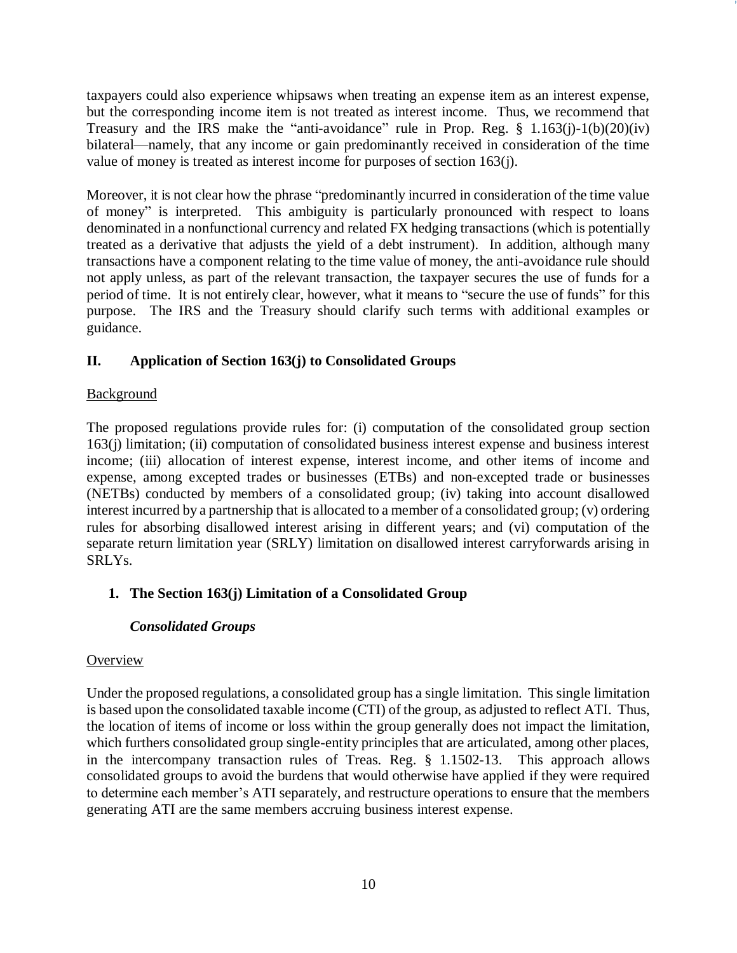taxpayers could also experience whipsaws when treating an expense item as an interest expense, but the corresponding income item is not treated as interest income. Thus, we recommend that Treasury and the IRS make the "anti-avoidance" rule in Prop. Reg.  $§$  1.163(j)-1(b)(20)(iv) bilateral—namely, that any income or gain predominantly received in consideration of the time value of money is treated as interest income for purposes of section 163(j).

Moreover, it is not clear how the phrase "predominantly incurred in consideration of the time value of money" is interpreted. This ambiguity is particularly pronounced with respect to loans denominated in a nonfunctional currency and related FX hedging transactions (which is potentially treated as a derivative that adjusts the yield of a debt instrument). In addition, although many transactions have a component relating to the time value of money, the anti-avoidance rule should not apply unless, as part of the relevant transaction, the taxpayer secures the use of funds for a period of time. It is not entirely clear, however, what it means to "secure the use of funds" for this purpose. The IRS and the Treasury should clarify such terms with additional examples or guidance.

## **II. Application of Section 163(j) to Consolidated Groups**

### Background

The proposed regulations provide rules for: (i) computation of the consolidated group section 163(j) limitation; (ii) computation of consolidated business interest expense and business interest income; (iii) allocation of interest expense, interest income, and other items of income and expense, among excepted trades or businesses (ETBs) and non-excepted trade or businesses (NETBs) conducted by members of a consolidated group; (iv) taking into account disallowed interest incurred by a partnership that is allocated to a member of a consolidated group; (v) ordering rules for absorbing disallowed interest arising in different years; and (vi) computation of the separate return limitation year (SRLY) limitation on disallowed interest carryforwards arising in SRLYs.

## **1. The Section 163(j) Limitation of a Consolidated Group**

## *Consolidated Groups*

#### **Overview**

Under the proposed regulations, a consolidated group has a single limitation. This single limitation is based upon the consolidated taxable income (CTI) of the group, as adjusted to reflect ATI. Thus, the location of items of income or loss within the group generally does not impact the limitation, which furthers consolidated group single-entity principles that are articulated, among other places, in the intercompany transaction rules of Treas. Reg. § 1.1502-13. This approach allows consolidated groups to avoid the burdens that would otherwise have applied if they were required to determine each member's ATI separately, and restructure operations to ensure that the members generating ATI are the same members accruing business interest expense.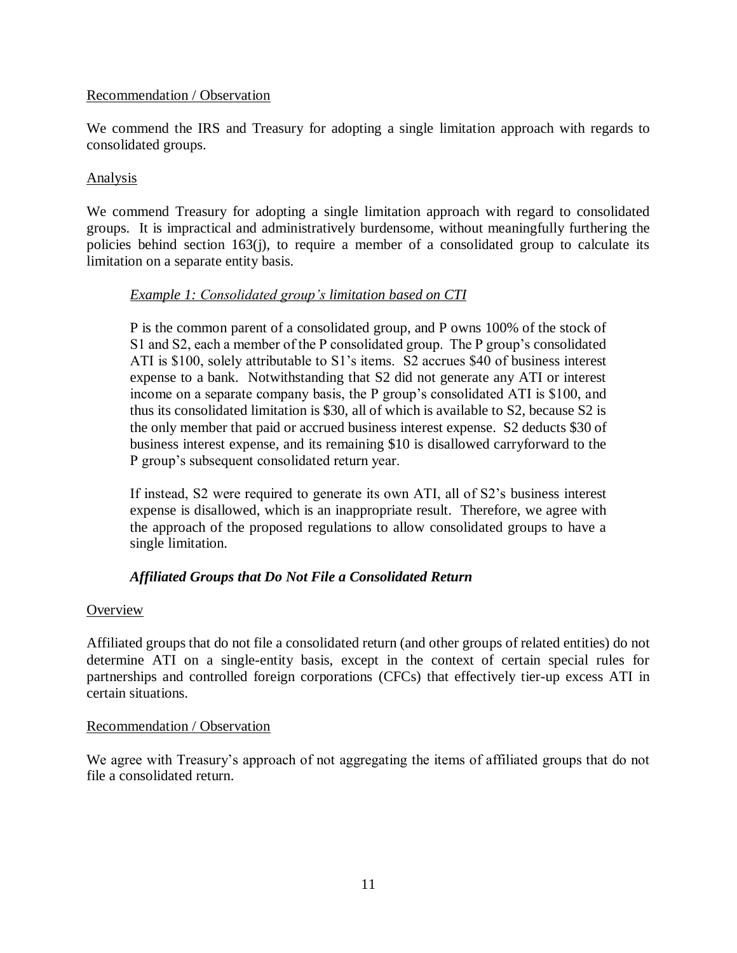#### Recommendation / Observation

We commend the IRS and Treasury for adopting a single limitation approach with regards to consolidated groups.

#### **Analysis**

We commend Treasury for adopting a single limitation approach with regard to consolidated groups. It is impractical and administratively burdensome, without meaningfully furthering the policies behind section 163(j), to require a member of a consolidated group to calculate its limitation on a separate entity basis.

### *Example 1: Consolidated group's limitation based on CTI*

P is the common parent of a consolidated group, and P owns 100% of the stock of S1 and S2, each a member of the P consolidated group. The P group's consolidated ATI is \$100, solely attributable to S1's items. S2 accrues \$40 of business interest expense to a bank. Notwithstanding that S2 did not generate any ATI or interest income on a separate company basis, the P group's consolidated ATI is \$100, and thus its consolidated limitation is \$30, all of which is available to S2, because S2 is the only member that paid or accrued business interest expense. S2 deducts \$30 of business interest expense, and its remaining \$10 is disallowed carryforward to the P group's subsequent consolidated return year.

If instead, S2 were required to generate its own ATI, all of S2's business interest expense is disallowed, which is an inappropriate result. Therefore, we agree with the approach of the proposed regulations to allow consolidated groups to have a single limitation.

## *Affiliated Groups that Do Not File a Consolidated Return*

#### **Overview**

Affiliated groups that do not file a consolidated return (and other groups of related entities) do not determine ATI on a single-entity basis, except in the context of certain special rules for partnerships and controlled foreign corporations (CFCs) that effectively tier-up excess ATI in certain situations.

#### Recommendation / Observation

We agree with Treasury's approach of not aggregating the items of affiliated groups that do not file a consolidated return.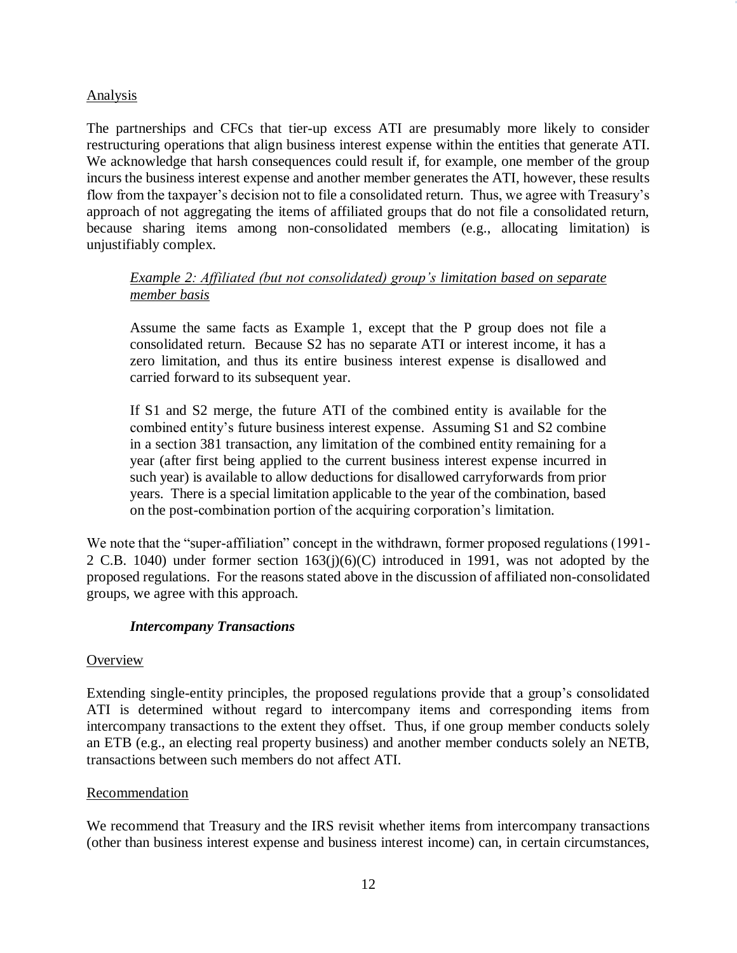#### Analysis

The partnerships and CFCs that tier-up excess ATI are presumably more likely to consider restructuring operations that align business interest expense within the entities that generate ATI. We acknowledge that harsh consequences could result if, for example, one member of the group incurs the business interest expense and another member generates the ATI, however, these results flow from the taxpayer's decision not to file a consolidated return. Thus, we agree with Treasury's approach of not aggregating the items of affiliated groups that do not file a consolidated return, because sharing items among non-consolidated members (e.g., allocating limitation) is unjustifiably complex.

## *Example 2: Affiliated (but not consolidated) group's limitation based on separate member basis*

Assume the same facts as Example 1, except that the P group does not file a consolidated return. Because S2 has no separate ATI or interest income, it has a zero limitation, and thus its entire business interest expense is disallowed and carried forward to its subsequent year.

If S1 and S2 merge, the future ATI of the combined entity is available for the combined entity's future business interest expense. Assuming S1 and S2 combine in a section 381 transaction, any limitation of the combined entity remaining for a year (after first being applied to the current business interest expense incurred in such year) is available to allow deductions for disallowed carryforwards from prior years. There is a special limitation applicable to the year of the combination, based on the post-combination portion of the acquiring corporation's limitation.

We note that the "super-affiliation" concept in the withdrawn, former proposed regulations (1991- 2 C.B. 1040) under former section 163(j)(6)(C) introduced in 1991, was not adopted by the proposed regulations. For the reasons stated above in the discussion of affiliated non-consolidated groups, we agree with this approach.

#### *Intercompany Transactions*

#### **Overview**

Extending single-entity principles, the proposed regulations provide that a group's consolidated ATI is determined without regard to intercompany items and corresponding items from intercompany transactions to the extent they offset. Thus, if one group member conducts solely an ETB (e.g., an electing real property business) and another member conducts solely an NETB, transactions between such members do not affect ATI.

#### Recommendation

We recommend that Treasury and the IRS revisit whether items from intercompany transactions (other than business interest expense and business interest income) can, in certain circumstances,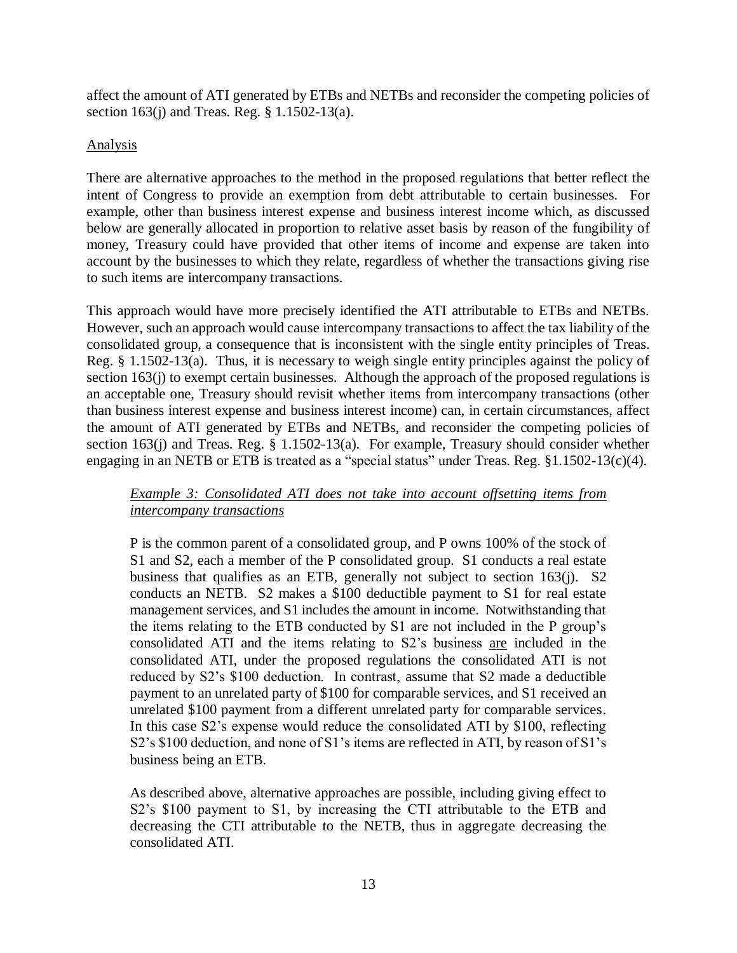affect the amount of ATI generated by ETBs and NETBs and reconsider the competing policies of section 163(j) and Treas. Reg. § 1.1502-13(a).

#### Analysis

There are alternative approaches to the method in the proposed regulations that better reflect the intent of Congress to provide an exemption from debt attributable to certain businesses. For example, other than business interest expense and business interest income which, as discussed below are generally allocated in proportion to relative asset basis by reason of the fungibility of money, Treasury could have provided that other items of income and expense are taken into account by the businesses to which they relate, regardless of whether the transactions giving rise to such items are intercompany transactions.

This approach would have more precisely identified the ATI attributable to ETBs and NETBs. However, such an approach would cause intercompany transactions to affect the tax liability of the consolidated group, a consequence that is inconsistent with the single entity principles of Treas. Reg. § 1.1502-13(a). Thus, it is necessary to weigh single entity principles against the policy of section 163(j) to exempt certain businesses. Although the approach of the proposed regulations is an acceptable one, Treasury should revisit whether items from intercompany transactions (other than business interest expense and business interest income) can, in certain circumstances, affect the amount of ATI generated by ETBs and NETBs, and reconsider the competing policies of section 163(j) and Treas. Reg. § 1.1502-13(a). For example, Treasury should consider whether engaging in an NETB or ETB is treated as a "special status" under Treas. Reg. §1.1502-13(c)(4).

## *Example 3: Consolidated ATI does not take into account offsetting items from intercompany transactions*

P is the common parent of a consolidated group, and P owns 100% of the stock of S1 and S2, each a member of the P consolidated group. S1 conducts a real estate business that qualifies as an ETB, generally not subject to section 163(j). S2 conducts an NETB. S2 makes a \$100 deductible payment to S1 for real estate management services, and S1 includes the amount in income. Notwithstanding that the items relating to the ETB conducted by S1 are not included in the P group's consolidated ATI and the items relating to S2's business are included in the consolidated ATI, under the proposed regulations the consolidated ATI is not reduced by S2's \$100 deduction. In contrast, assume that S2 made a deductible payment to an unrelated party of \$100 for comparable services, and S1 received an unrelated \$100 payment from a different unrelated party for comparable services. In this case S2's expense would reduce the consolidated ATI by \$100, reflecting S2's \$100 deduction, and none of S1's items are reflected in ATI, by reason of S1's business being an ETB.

As described above, alternative approaches are possible, including giving effect to S2's \$100 payment to S1, by increasing the CTI attributable to the ETB and decreasing the CTI attributable to the NETB, thus in aggregate decreasing the consolidated ATI.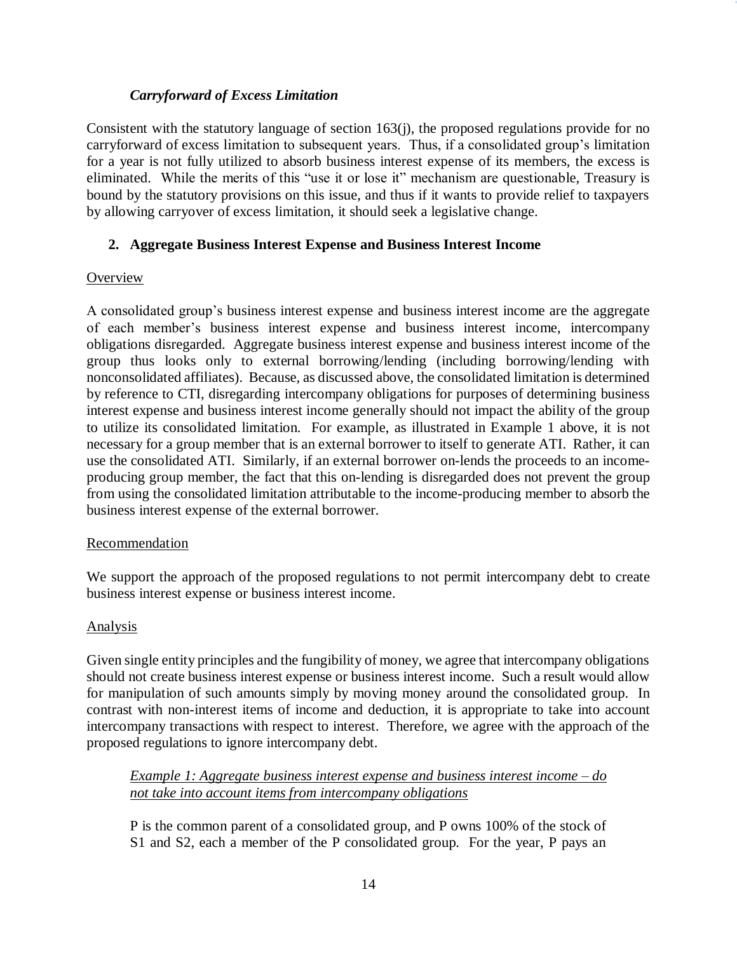### *Carryforward of Excess Limitation*

Consistent with the statutory language of section 163(j), the proposed regulations provide for no carryforward of excess limitation to subsequent years. Thus, if a consolidated group's limitation for a year is not fully utilized to absorb business interest expense of its members, the excess is eliminated. While the merits of this "use it or lose it" mechanism are questionable, Treasury is bound by the statutory provisions on this issue, and thus if it wants to provide relief to taxpayers by allowing carryover of excess limitation, it should seek a legislative change.

### **2. Aggregate Business Interest Expense and Business Interest Income**

#### **Overview**

A consolidated group's business interest expense and business interest income are the aggregate of each member's business interest expense and business interest income, intercompany obligations disregarded. Aggregate business interest expense and business interest income of the group thus looks only to external borrowing/lending (including borrowing/lending with nonconsolidated affiliates). Because, as discussed above, the consolidated limitation is determined by reference to CTI, disregarding intercompany obligations for purposes of determining business interest expense and business interest income generally should not impact the ability of the group to utilize its consolidated limitation. For example, as illustrated in Example 1 above, it is not necessary for a group member that is an external borrower to itself to generate ATI. Rather, it can use the consolidated ATI. Similarly, if an external borrower on-lends the proceeds to an incomeproducing group member, the fact that this on-lending is disregarded does not prevent the group from using the consolidated limitation attributable to the income-producing member to absorb the business interest expense of the external borrower.

#### Recommendation

We support the approach of the proposed regulations to not permit intercompany debt to create business interest expense or business interest income.

#### Analysis

Given single entity principles and the fungibility of money, we agree that intercompany obligations should not create business interest expense or business interest income. Such a result would allow for manipulation of such amounts simply by moving money around the consolidated group. In contrast with non-interest items of income and deduction, it is appropriate to take into account intercompany transactions with respect to interest. Therefore, we agree with the approach of the proposed regulations to ignore intercompany debt.

*Example 1: Aggregate business interest expense and business interest income* – *do not take into account items from intercompany obligations*

P is the common parent of a consolidated group, and P owns 100% of the stock of S1 and S2, each a member of the P consolidated group. For the year, P pays an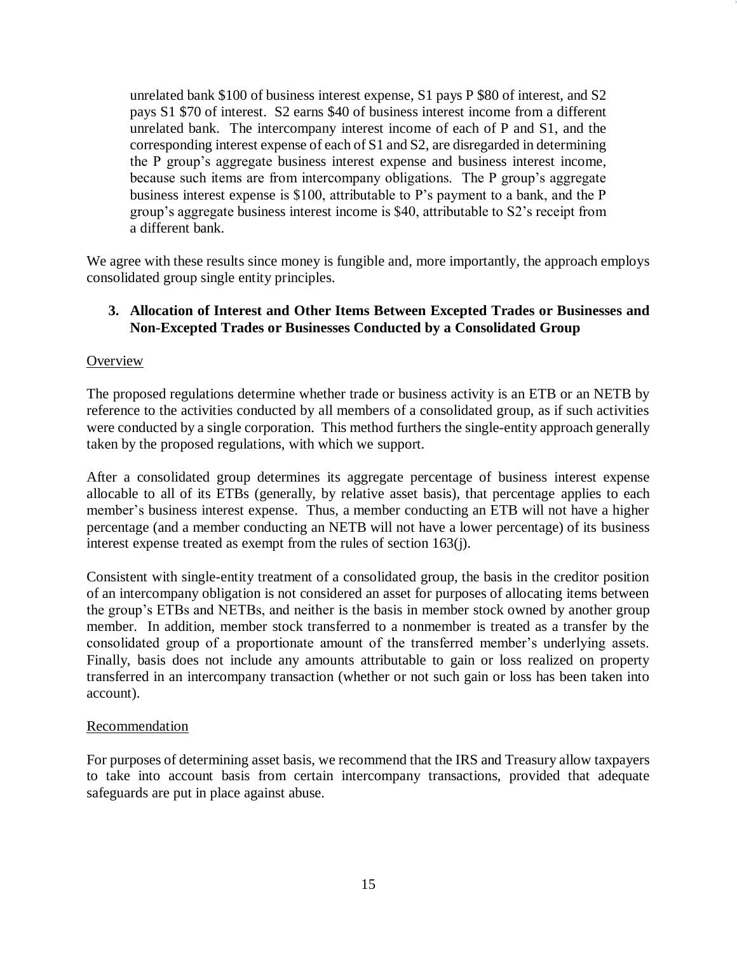unrelated bank \$100 of business interest expense, S1 pays P \$80 of interest, and S2 pays S1 \$70 of interest. S2 earns \$40 of business interest income from a different unrelated bank. The intercompany interest income of each of P and S1, and the corresponding interest expense of each of S1 and S2, are disregarded in determining the P group's aggregate business interest expense and business interest income, because such items are from intercompany obligations. The P group's aggregate business interest expense is \$100, attributable to P's payment to a bank, and the P group's aggregate business interest income is \$40, attributable to S2's receipt from a different bank.

We agree with these results since money is fungible and, more importantly, the approach employs consolidated group single entity principles.

### **3. Allocation of Interest and Other Items Between Excepted Trades or Businesses and Non-Excepted Trades or Businesses Conducted by a Consolidated Group**

#### **Overview**

The proposed regulations determine whether trade or business activity is an ETB or an NETB by reference to the activities conducted by all members of a consolidated group, as if such activities were conducted by a single corporation. This method furthers the single-entity approach generally taken by the proposed regulations, with which we support.

After a consolidated group determines its aggregate percentage of business interest expense allocable to all of its ETBs (generally, by relative asset basis), that percentage applies to each member's business interest expense. Thus, a member conducting an ETB will not have a higher percentage (and a member conducting an NETB will not have a lower percentage) of its business interest expense treated as exempt from the rules of section 163(j).

Consistent with single-entity treatment of a consolidated group, the basis in the creditor position of an intercompany obligation is not considered an asset for purposes of allocating items between the group's ETBs and NETBs, and neither is the basis in member stock owned by another group member. In addition, member stock transferred to a nonmember is treated as a transfer by the consolidated group of a proportionate amount of the transferred member's underlying assets. Finally, basis does not include any amounts attributable to gain or loss realized on property transferred in an intercompany transaction (whether or not such gain or loss has been taken into account).

#### **Recommendation**

For purposes of determining asset basis, we recommend that the IRS and Treasury allow taxpayers to take into account basis from certain intercompany transactions, provided that adequate safeguards are put in place against abuse.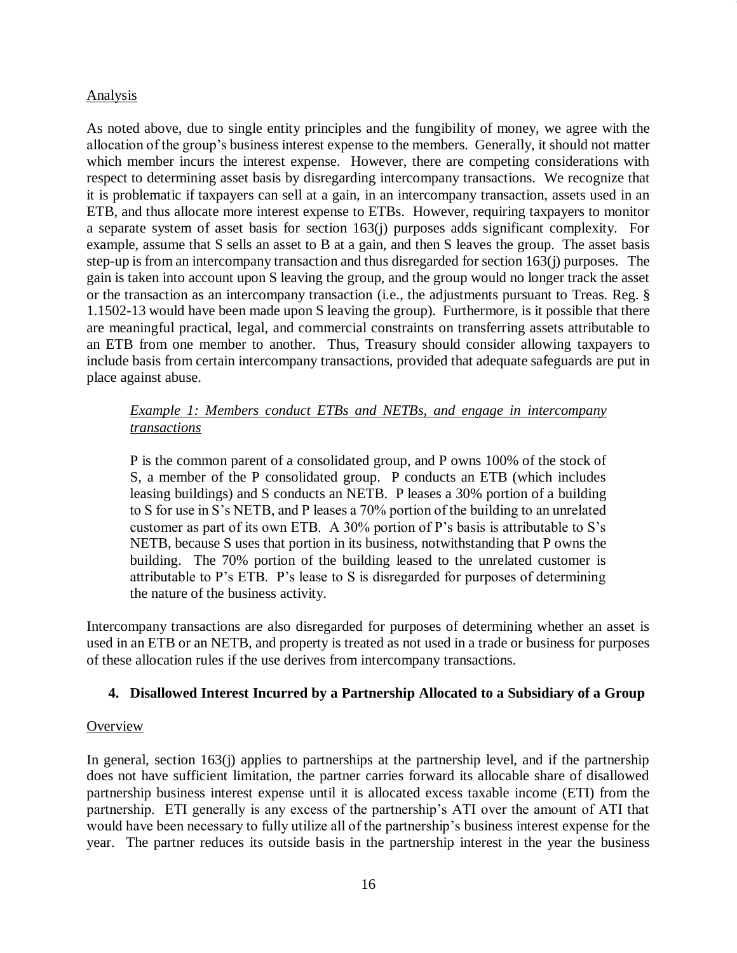#### Analysis

As noted above, due to single entity principles and the fungibility of money, we agree with the allocation of the group's business interest expense to the members. Generally, it should not matter which member incurs the interest expense. However, there are competing considerations with respect to determining asset basis by disregarding intercompany transactions. We recognize that it is problematic if taxpayers can sell at a gain, in an intercompany transaction, assets used in an ETB, and thus allocate more interest expense to ETBs. However, requiring taxpayers to monitor a separate system of asset basis for section 163(j) purposes adds significant complexity. For example, assume that S sells an asset to B at a gain, and then S leaves the group. The asset basis step-up is from an intercompany transaction and thus disregarded for section 163(j) purposes. The gain is taken into account upon S leaving the group, and the group would no longer track the asset or the transaction as an intercompany transaction (i.e., the adjustments pursuant to Treas. Reg. § 1.1502-13 would have been made upon S leaving the group). Furthermore, is it possible that there are meaningful practical, legal, and commercial constraints on transferring assets attributable to an ETB from one member to another. Thus, Treasury should consider allowing taxpayers to include basis from certain intercompany transactions, provided that adequate safeguards are put in place against abuse.

## *Example 1: Members conduct ETBs and NETBs, and engage in intercompany transactions*

P is the common parent of a consolidated group, and P owns 100% of the stock of S, a member of the P consolidated group. P conducts an ETB (which includes leasing buildings) and S conducts an NETB. P leases a 30% portion of a building to S for use in S's NETB, and P leases a 70% portion of the building to an unrelated customer as part of its own ETB. A 30% portion of P's basis is attributable to S's NETB, because S uses that portion in its business, notwithstanding that P owns the building. The 70% portion of the building leased to the unrelated customer is attributable to P's ETB. P's lease to S is disregarded for purposes of determining the nature of the business activity.

Intercompany transactions are also disregarded for purposes of determining whether an asset is used in an ETB or an NETB, and property is treated as not used in a trade or business for purposes of these allocation rules if the use derives from intercompany transactions.

#### **4. Disallowed Interest Incurred by a Partnership Allocated to a Subsidiary of a Group**

#### **Overview**

In general, section 163(j) applies to partnerships at the partnership level, and if the partnership does not have sufficient limitation, the partner carries forward its allocable share of disallowed partnership business interest expense until it is allocated excess taxable income (ETI) from the partnership. ETI generally is any excess of the partnership's ATI over the amount of ATI that would have been necessary to fully utilize all of the partnership's business interest expense for the year. The partner reduces its outside basis in the partnership interest in the year the business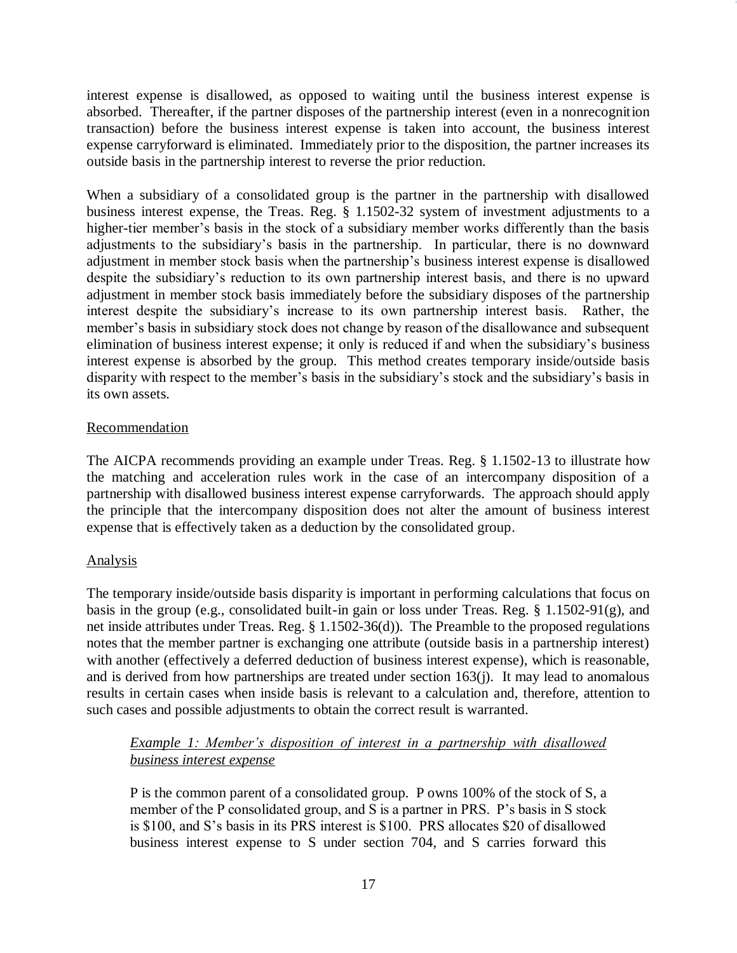interest expense is disallowed, as opposed to waiting until the business interest expense is absorbed. Thereafter, if the partner disposes of the partnership interest (even in a nonrecognition transaction) before the business interest expense is taken into account, the business interest expense carryforward is eliminated. Immediately prior to the disposition, the partner increases its outside basis in the partnership interest to reverse the prior reduction.

When a subsidiary of a consolidated group is the partner in the partnership with disallowed business interest expense, the Treas. Reg. § 1.1502-32 system of investment adjustments to a higher-tier member's basis in the stock of a subsidiary member works differently than the basis adjustments to the subsidiary's basis in the partnership. In particular, there is no downward adjustment in member stock basis when the partnership's business interest expense is disallowed despite the subsidiary's reduction to its own partnership interest basis, and there is no upward adjustment in member stock basis immediately before the subsidiary disposes of the partnership interest despite the subsidiary's increase to its own partnership interest basis. Rather, the member's basis in subsidiary stock does not change by reason of the disallowance and subsequent elimination of business interest expense; it only is reduced if and when the subsidiary's business interest expense is absorbed by the group. This method creates temporary inside/outside basis disparity with respect to the member's basis in the subsidiary's stock and the subsidiary's basis in its own assets.

#### Recommendation

The AICPA recommends providing an example under Treas. Reg. § 1.1502-13 to illustrate how the matching and acceleration rules work in the case of an intercompany disposition of a partnership with disallowed business interest expense carryforwards. The approach should apply the principle that the intercompany disposition does not alter the amount of business interest expense that is effectively taken as a deduction by the consolidated group.

#### Analysis

The temporary inside/outside basis disparity is important in performing calculations that focus on basis in the group (e.g., consolidated built-in gain or loss under Treas. Reg. § 1.1502-91(g), and net inside attributes under Treas. Reg. § 1.1502-36(d)). The Preamble to the proposed regulations notes that the member partner is exchanging one attribute (outside basis in a partnership interest) with another (effectively a deferred deduction of business interest expense), which is reasonable, and is derived from how partnerships are treated under section 163(j). It may lead to anomalous results in certain cases when inside basis is relevant to a calculation and, therefore, attention to such cases and possible adjustments to obtain the correct result is warranted.

### *Example 1: Member's disposition of interest in a partnership with disallowed business interest expense*

P is the common parent of a consolidated group. P owns 100% of the stock of S, a member of the P consolidated group, and S is a partner in PRS. P's basis in S stock is \$100, and S's basis in its PRS interest is \$100. PRS allocates \$20 of disallowed business interest expense to S under section 704, and S carries forward this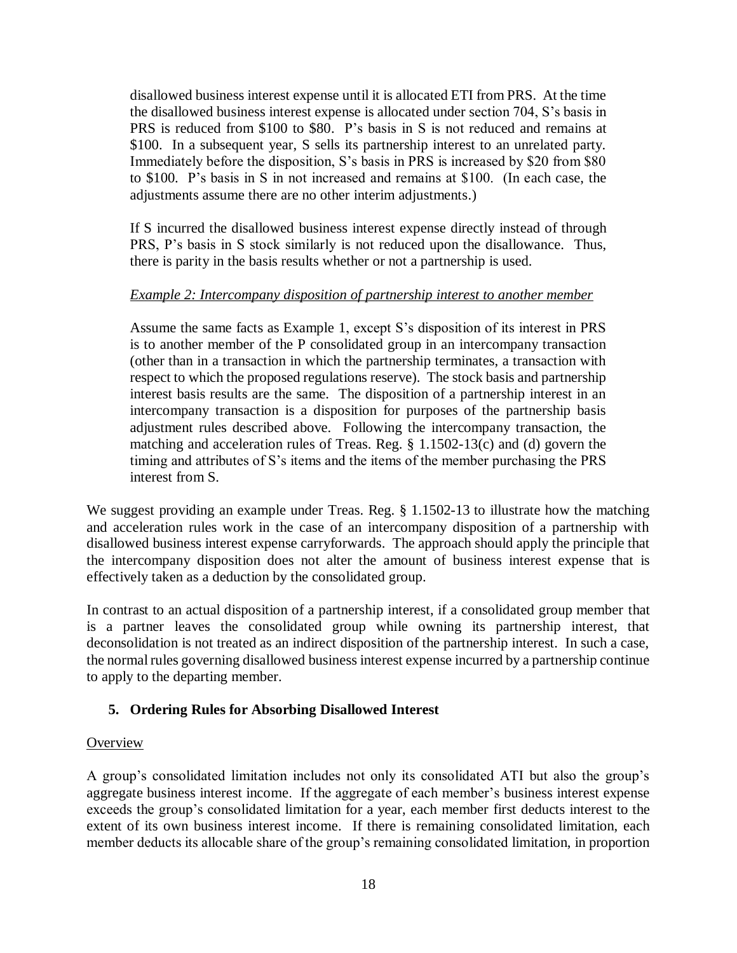disallowed business interest expense until it is allocated ETI from PRS. At the time the disallowed business interest expense is allocated under section 704, S's basis in PRS is reduced from \$100 to \$80. P's basis in S is not reduced and remains at \$100. In a subsequent year, S sells its partnership interest to an unrelated party. Immediately before the disposition, S's basis in PRS is increased by \$20 from \$80 to \$100. P's basis in S in not increased and remains at \$100. (In each case, the adjustments assume there are no other interim adjustments.)

If S incurred the disallowed business interest expense directly instead of through PRS, P's basis in S stock similarly is not reduced upon the disallowance. Thus, there is parity in the basis results whether or not a partnership is used.

### *Example 2: Intercompany disposition of partnership interest to another member*

Assume the same facts as Example 1, except S's disposition of its interest in PRS is to another member of the P consolidated group in an intercompany transaction (other than in a transaction in which the partnership terminates, a transaction with respect to which the proposed regulations reserve). The stock basis and partnership interest basis results are the same. The disposition of a partnership interest in an intercompany transaction is a disposition for purposes of the partnership basis adjustment rules described above. Following the intercompany transaction, the matching and acceleration rules of Treas. Reg. § 1.1502-13(c) and (d) govern the timing and attributes of S's items and the items of the member purchasing the PRS interest from S.

We suggest providing an example under Treas. Reg. § 1.1502-13 to illustrate how the matching and acceleration rules work in the case of an intercompany disposition of a partnership with disallowed business interest expense carryforwards. The approach should apply the principle that the intercompany disposition does not alter the amount of business interest expense that is effectively taken as a deduction by the consolidated group.

In contrast to an actual disposition of a partnership interest, if a consolidated group member that is a partner leaves the consolidated group while owning its partnership interest, that deconsolidation is not treated as an indirect disposition of the partnership interest. In such a case, the normal rules governing disallowed business interest expense incurred by a partnership continue to apply to the departing member.

## **5. Ordering Rules for Absorbing Disallowed Interest**

#### **Overview**

A group's consolidated limitation includes not only its consolidated ATI but also the group's aggregate business interest income. If the aggregate of each member's business interest expense exceeds the group's consolidated limitation for a year, each member first deducts interest to the extent of its own business interest income. If there is remaining consolidated limitation, each member deducts its allocable share of the group's remaining consolidated limitation, in proportion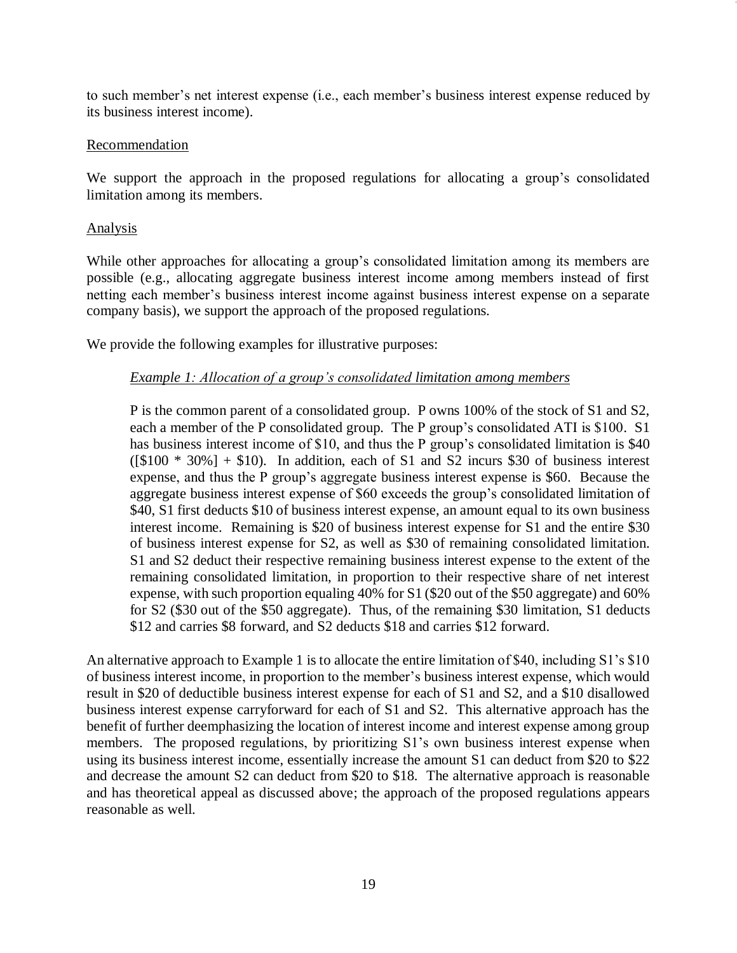to such member's net interest expense (i.e., each member's business interest expense reduced by its business interest income).

#### Recommendation

We support the approach in the proposed regulations for allocating a group's consolidated limitation among its members.

#### Analysis

While other approaches for allocating a group's consolidated limitation among its members are possible (e.g., allocating aggregate business interest income among members instead of first netting each member's business interest income against business interest expense on a separate company basis), we support the approach of the proposed regulations.

We provide the following examples for illustrative purposes:

#### *Example 1: Allocation of a group's consolidated limitation among members*

P is the common parent of a consolidated group. P owns 100% of the stock of S1 and S2, each a member of the P consolidated group. The P group's consolidated ATI is \$100. S1 has business interest income of \$10, and thus the P group's consolidated limitation is \$40  $([\$100 * 30\%] + \$10)$ . In addition, each of S1 and S2 incurs \$30 of business interest expense, and thus the P group's aggregate business interest expense is \$60. Because the aggregate business interest expense of \$60 exceeds the group's consolidated limitation of \$40, S1 first deducts \$10 of business interest expense, an amount equal to its own business interest income. Remaining is \$20 of business interest expense for S1 and the entire \$30 of business interest expense for S2, as well as \$30 of remaining consolidated limitation. S1 and S2 deduct their respective remaining business interest expense to the extent of the remaining consolidated limitation, in proportion to their respective share of net interest expense, with such proportion equaling 40% for S1 (\$20 out of the \$50 aggregate) and 60% for S2 (\$30 out of the \$50 aggregate). Thus, of the remaining \$30 limitation, S1 deducts \$12 and carries \$8 forward, and S2 deducts \$18 and carries \$12 forward.

An alternative approach to Example 1 is to allocate the entire limitation of \$40, including S1's \$10 of business interest income, in proportion to the member's business interest expense, which would result in \$20 of deductible business interest expense for each of S1 and S2, and a \$10 disallowed business interest expense carryforward for each of S1 and S2. This alternative approach has the benefit of further deemphasizing the location of interest income and interest expense among group members. The proposed regulations, by prioritizing S1's own business interest expense when using its business interest income, essentially increase the amount S1 can deduct from \$20 to \$22 and decrease the amount S2 can deduct from \$20 to \$18. The alternative approach is reasonable and has theoretical appeal as discussed above; the approach of the proposed regulations appears reasonable as well.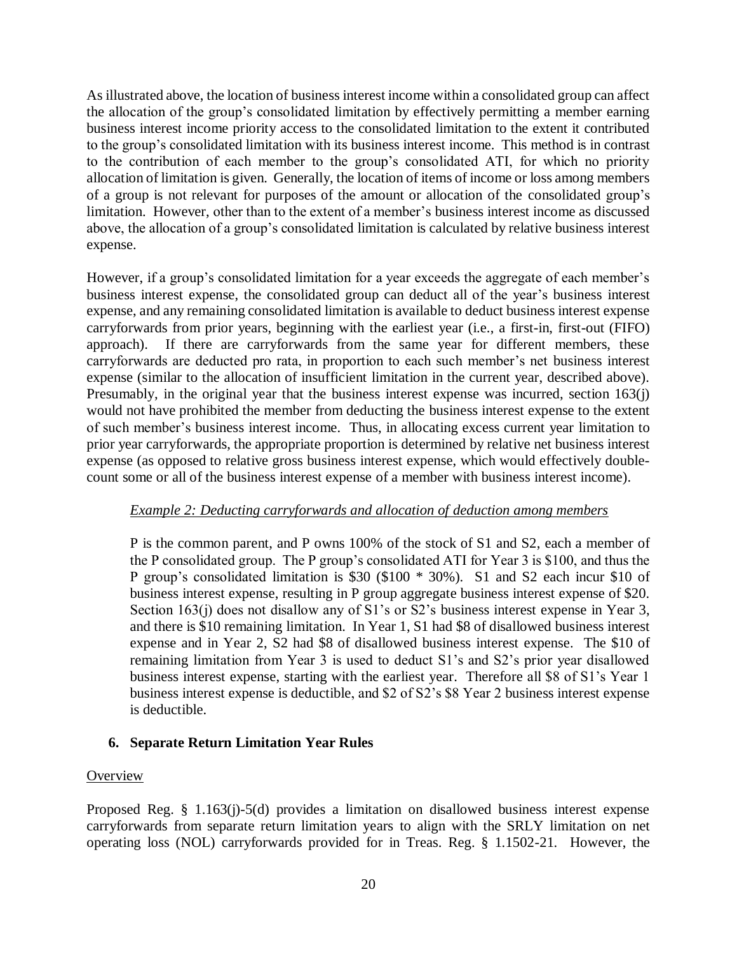As illustrated above, the location of business interest income within a consolidated group can affect the allocation of the group's consolidated limitation by effectively permitting a member earning business interest income priority access to the consolidated limitation to the extent it contributed to the group's consolidated limitation with its business interest income. This method is in contrast to the contribution of each member to the group's consolidated ATI, for which no priority allocation of limitation is given. Generally, the location of items of income or loss among members of a group is not relevant for purposes of the amount or allocation of the consolidated group's limitation. However, other than to the extent of a member's business interest income as discussed above, the allocation of a group's consolidated limitation is calculated by relative business interest expense.

However, if a group's consolidated limitation for a year exceeds the aggregate of each member's business interest expense, the consolidated group can deduct all of the year's business interest expense, and any remaining consolidated limitation is available to deduct business interest expense carryforwards from prior years, beginning with the earliest year (i.e., a first-in, first-out (FIFO) approach). If there are carryforwards from the same year for different members, these carryforwards are deducted pro rata, in proportion to each such member's net business interest expense (similar to the allocation of insufficient limitation in the current year, described above). Presumably, in the original year that the business interest expense was incurred, section 163(j) would not have prohibited the member from deducting the business interest expense to the extent of such member's business interest income. Thus, in allocating excess current year limitation to prior year carryforwards, the appropriate proportion is determined by relative net business interest expense (as opposed to relative gross business interest expense, which would effectively doublecount some or all of the business interest expense of a member with business interest income).

#### *Example 2: Deducting carryforwards and allocation of deduction among members*

P is the common parent, and P owns 100% of the stock of S1 and S2, each a member of the P consolidated group. The P group's consolidated ATI for Year 3 is \$100, and thus the P group's consolidated limitation is \$30 (\$100 \* 30%). S1 and S2 each incur \$10 of business interest expense, resulting in P group aggregate business interest expense of \$20. Section 163(j) does not disallow any of S1's or S2's business interest expense in Year 3, and there is \$10 remaining limitation. In Year 1, S1 had \$8 of disallowed business interest expense and in Year 2, S2 had \$8 of disallowed business interest expense. The \$10 of remaining limitation from Year 3 is used to deduct S1's and S2's prior year disallowed business interest expense, starting with the earliest year. Therefore all \$8 of S1's Year 1 business interest expense is deductible, and \$2 of S2's \$8 Year 2 business interest expense is deductible.

#### **6. Separate Return Limitation Year Rules**

#### **Overview**

Proposed Reg. § 1.163(j)-5(d) provides a limitation on disallowed business interest expense carryforwards from separate return limitation years to align with the SRLY limitation on net operating loss (NOL) carryforwards provided for in Treas. Reg. § 1.1502-21. However, the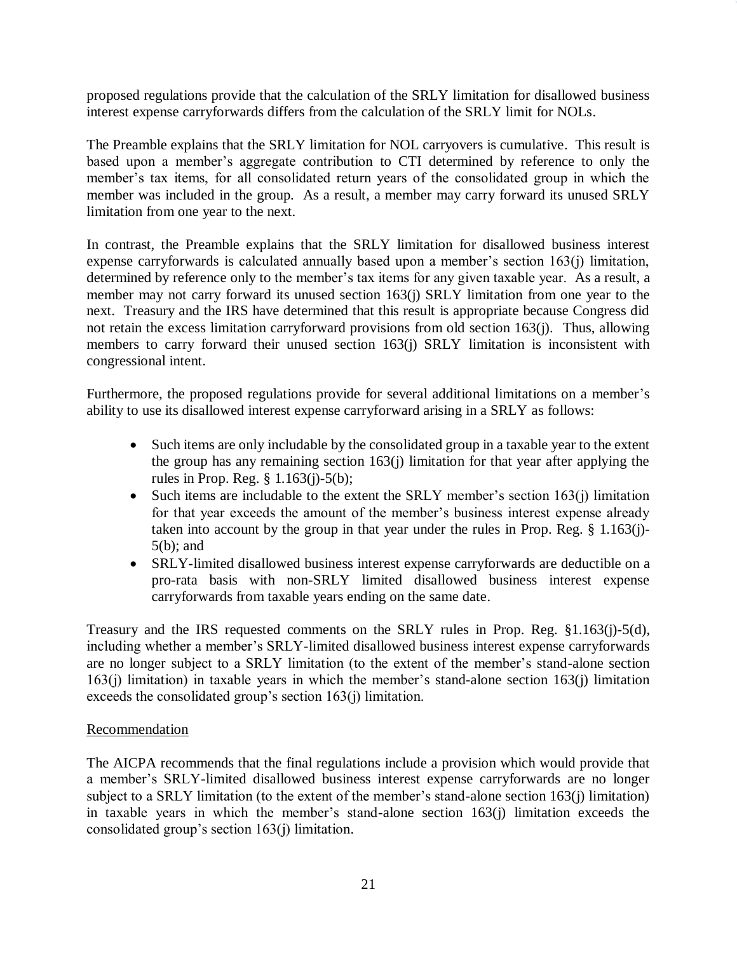proposed regulations provide that the calculation of the SRLY limitation for disallowed business interest expense carryforwards differs from the calculation of the SRLY limit for NOLs.

The Preamble explains that the SRLY limitation for NOL carryovers is cumulative. This result is based upon a member's aggregate contribution to CTI determined by reference to only the member's tax items, for all consolidated return years of the consolidated group in which the member was included in the group. As a result, a member may carry forward its unused SRLY limitation from one year to the next.

In contrast, the Preamble explains that the SRLY limitation for disallowed business interest expense carryforwards is calculated annually based upon a member's section 163(j) limitation, determined by reference only to the member's tax items for any given taxable year. As a result, a member may not carry forward its unused section 163(j) SRLY limitation from one year to the next. Treasury and the IRS have determined that this result is appropriate because Congress did not retain the excess limitation carryforward provisions from old section 163(j). Thus, allowing members to carry forward their unused section 163(j) SRLY limitation is inconsistent with congressional intent.

Furthermore, the proposed regulations provide for several additional limitations on a member's ability to use its disallowed interest expense carryforward arising in a SRLY as follows:

- Such items are only includable by the consolidated group in a taxable year to the extent the group has any remaining section 163(j) limitation for that year after applying the rules in Prop. Reg. § 1.163(j)-5(b);
- Such items are includable to the extent the SRLY member's section 163(j) limitation for that year exceeds the amount of the member's business interest expense already taken into account by the group in that year under the rules in Prop. Reg. § 1.163(j)- 5(b); and
- SRLY-limited disallowed business interest expense carryforwards are deductible on a pro-rata basis with non-SRLY limited disallowed business interest expense carryforwards from taxable years ending on the same date.

Treasury and the IRS requested comments on the SRLY rules in Prop. Reg. §1.163(j)-5(d), including whether a member's SRLY-limited disallowed business interest expense carryforwards are no longer subject to a SRLY limitation (to the extent of the member's stand-alone section 163(j) limitation) in taxable years in which the member's stand-alone section 163(j) limitation exceeds the consolidated group's section 163(j) limitation.

#### Recommendation

The AICPA recommends that the final regulations include a provision which would provide that a member's SRLY-limited disallowed business interest expense carryforwards are no longer subject to a SRLY limitation (to the extent of the member's stand-alone section 163(j) limitation) in taxable years in which the member's stand-alone section 163(j) limitation exceeds the consolidated group's section 163(j) limitation.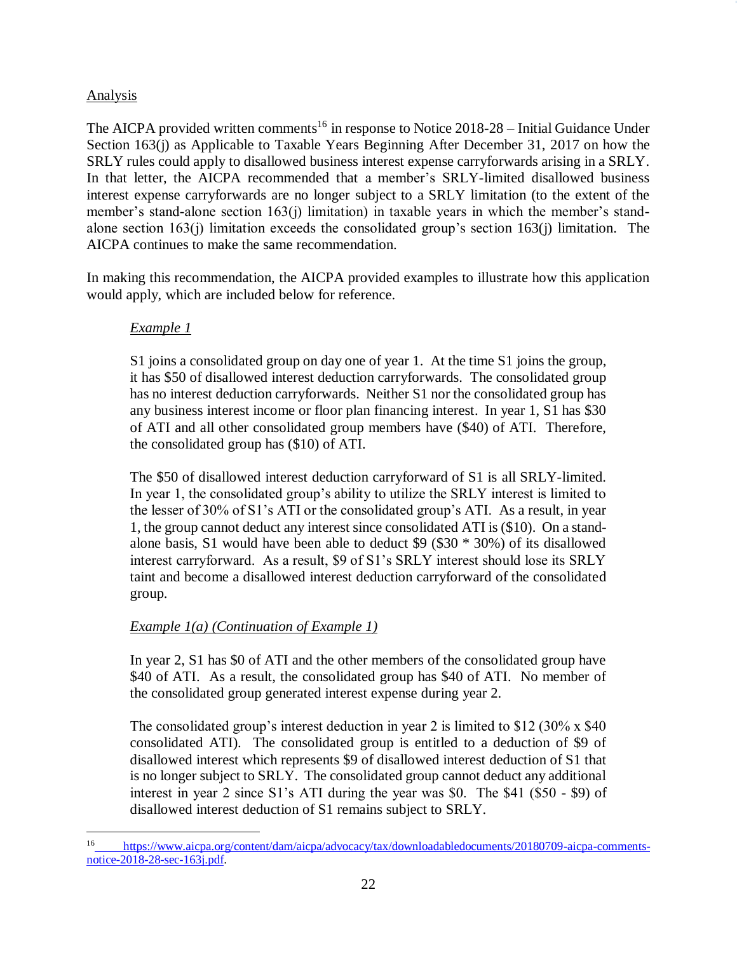## Analysis

The AICPA provided written comments<sup>16</sup> in response to Notice  $2018-28$  – Initial Guidance Under Section 163(j) as Applicable to Taxable Years Beginning After December 31, 2017 on how the SRLY rules could apply to disallowed business interest expense carryforwards arising in a SRLY. In that letter, the AICPA recommended that a member's SRLY-limited disallowed business interest expense carryforwards are no longer subject to a SRLY limitation (to the extent of the member's stand-alone section 163(j) limitation) in taxable years in which the member's standalone section 163(j) limitation exceeds the consolidated group's section 163(j) limitation. The AICPA continues to make the same recommendation.

In making this recommendation, the AICPA provided examples to illustrate how this application would apply, which are included below for reference.

# *Example 1*

S1 joins a consolidated group on day one of year 1. At the time S1 joins the group, it has \$50 of disallowed interest deduction carryforwards. The consolidated group has no interest deduction carryforwards. Neither S1 nor the consolidated group has any business interest income or floor plan financing interest. In year 1, S1 has \$30 of ATI and all other consolidated group members have (\$40) of ATI. Therefore, the consolidated group has (\$10) of ATI.

The \$50 of disallowed interest deduction carryforward of S1 is all SRLY-limited. In year 1, the consolidated group's ability to utilize the SRLY interest is limited to the lesser of 30% of S1's ATI or the consolidated group's ATI. As a result, in year 1, the group cannot deduct any interest since consolidated ATI is (\$10). On a standalone basis, S1 would have been able to deduct \$9 (\$30 \* 30%) of its disallowed interest carryforward. As a result, \$9 of S1's SRLY interest should lose its SRLY taint and become a disallowed interest deduction carryforward of the consolidated group.

# *Example 1(a) (Continuation of Example 1)*

In year 2, S1 has \$0 of ATI and the other members of the consolidated group have \$40 of ATI. As a result, the consolidated group has \$40 of ATI. No member of the consolidated group generated interest expense during year 2.

The consolidated group's interest deduction in year 2 is limited to \$12 (30% x \$40 consolidated ATI). The consolidated group is entitled to a deduction of \$9 of disallowed interest which represents \$9 of disallowed interest deduction of S1 that is no longer subject to SRLY. The consolidated group cannot deduct any additional interest in year 2 since S1's ATI during the year was \$0. The \$41 (\$50 - \$9) of disallowed interest deduction of S1 remains subject to SRLY.

 $\overline{a}$ <sup>16</sup> [https://www.aicpa.org/content/dam/aicpa/advocacy/tax/downloadabledocuments/20180709-aicpa-comments](https://www.aicpa.org/content/dam/aicpa/advocacy/tax/downloadabledocuments/20180709-aicpa-comments-notice-2018-28-sec-163j.pdf)[notice-2018-28-sec-163j.pdf.](https://www.aicpa.org/content/dam/aicpa/advocacy/tax/downloadabledocuments/20180709-aicpa-comments-notice-2018-28-sec-163j.pdf)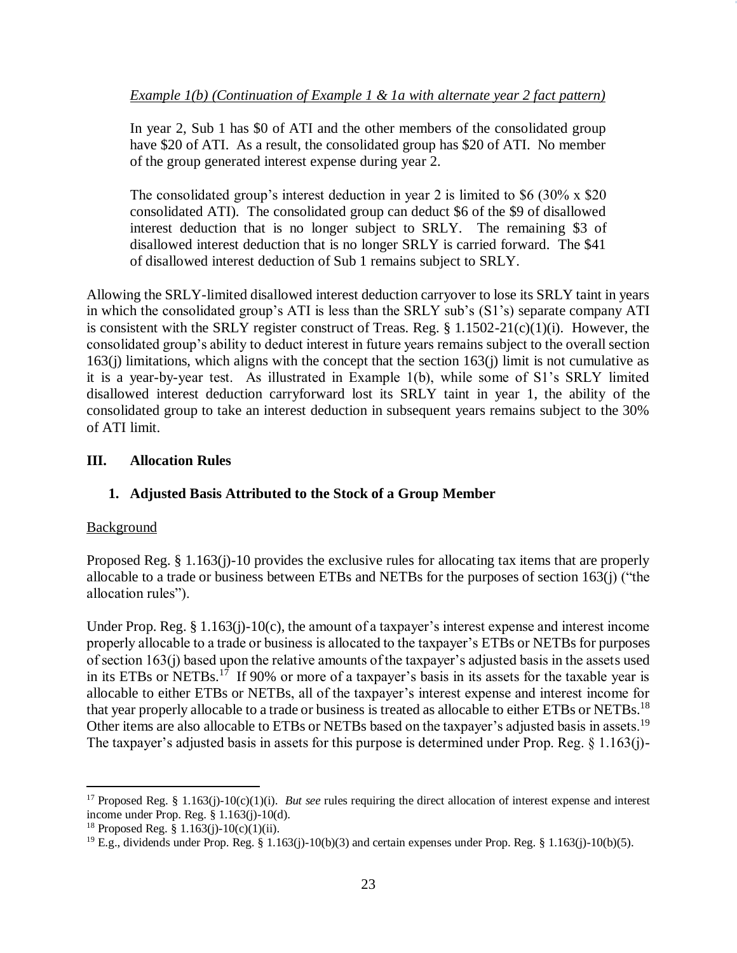In year 2, Sub 1 has \$0 of ATI and the other members of the consolidated group have \$20 of ATI. As a result, the consolidated group has \$20 of ATI. No member of the group generated interest expense during year 2.

The consolidated group's interest deduction in year 2 is limited to \$6 (30% x \$20 consolidated ATI). The consolidated group can deduct \$6 of the \$9 of disallowed interest deduction that is no longer subject to SRLY. The remaining \$3 of disallowed interest deduction that is no longer SRLY is carried forward. The \$41 of disallowed interest deduction of Sub 1 remains subject to SRLY.

Allowing the SRLY-limited disallowed interest deduction carryover to lose its SRLY taint in years in which the consolidated group's ATI is less than the SRLY sub's (S1's) separate company ATI is consistent with the SRLY register construct of Treas. Reg. § 1.1502-21(c)(1)(i). However, the consolidated group's ability to deduct interest in future years remains subject to the overall section 163(j) limitations, which aligns with the concept that the section 163(j) limit is not cumulative as it is a year-by-year test. As illustrated in Example 1(b), while some of S1's SRLY limited disallowed interest deduction carryforward lost its SRLY taint in year 1, the ability of the consolidated group to take an interest deduction in subsequent years remains subject to the 30% of ATI limit.

## **III. Allocation Rules**

## **1. Adjusted Basis Attributed to the Stock of a Group Member**

#### **Background**

 $\overline{a}$ 

Proposed Reg. § 1.163(j)-10 provides the exclusive rules for allocating tax items that are properly allocable to a trade or business between ETBs and NETBs for the purposes of section 163(j) ("the allocation rules").

Under Prop. Reg. § 1.163(j)-10(c), the amount of a taxpayer's interest expense and interest income properly allocable to a trade or business is allocated to the taxpayer's ETBs or NETBs for purposes of section 163(j) based upon the relative amounts of the taxpayer's adjusted basis in the assets used in its ETBs or NETBs.<sup>17</sup> If 90% or more of a taxpayer's basis in its assets for the taxable year is allocable to either ETBs or NETBs, all of the taxpayer's interest expense and interest income for that year properly allocable to a trade or business is treated as allocable to either ETBs or NETBs.<sup>18</sup> Other items are also allocable to ETBs or NETBs based on the taxpayer's adjusted basis in assets.<sup>19</sup> The taxpayer's adjusted basis in assets for this purpose is determined under Prop. Reg. § 1.163(j)-

<sup>&</sup>lt;sup>17</sup> Proposed Reg. § 1.163(j)-10(c)(1)(i). *But see* rules requiring the direct allocation of interest expense and interest income under Prop. Reg. § 1.163(j)-10(d).

<sup>&</sup>lt;sup>18</sup> Proposed Reg. § 1.163(j)-10(c)(1)(ii).

<sup>&</sup>lt;sup>19</sup> E.g., dividends under Prop. Reg. § 1.163(j)-10(b)(3) and certain expenses under Prop. Reg. § 1.163(j)-10(b)(5).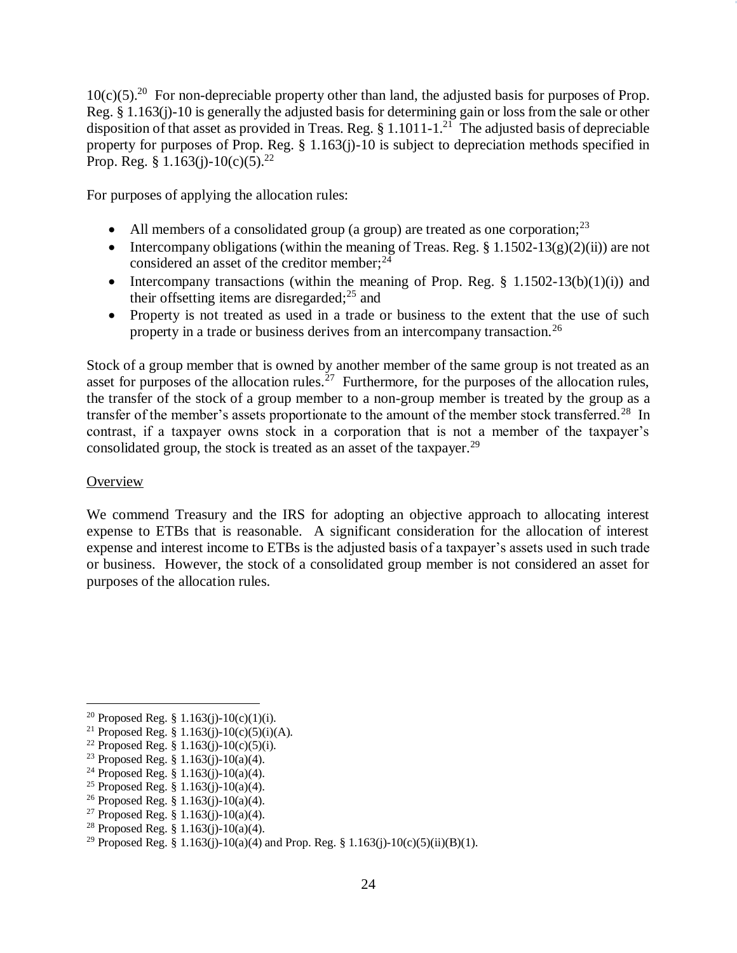$10(c)(5)$ .<sup>20</sup> For non-depreciable property other than land, the adjusted basis for purposes of Prop. Reg. § 1.163(j)-10 is generally the adjusted basis for determining gain or loss from the sale or other disposition of that asset as provided in Treas. Reg.  $\S 1.1011$ -1.<sup>21</sup> The adjusted basis of depreciable property for purposes of Prop. Reg. § 1.163(j)-10 is subject to depreciation methods specified in Prop. Reg. § 1.163(j)-10(c)(5).<sup>22</sup>

For purposes of applying the allocation rules:

- All members of a consolidated group (a group) are treated as one corporation; $^{23}$
- Intercompany obligations (within the meaning of Treas. Reg.  $\S 1.1502-13(g)(2)(ii)$ ) are not considered an asset of the creditor member; $^{24}$
- Intercompany transactions (within the meaning of Prop. Reg.  $\S$  1.1502-13(b)(1)(i)) and their offsetting items are disregarded; $^{25}$  and
- Property is not treated as used in a trade or business to the extent that the use of such property in a trade or business derives from an intercompany transaction.<sup>26</sup>

Stock of a group member that is owned by another member of the same group is not treated as an asset for purposes of the allocation rules.<sup>27</sup> Furthermore, for the purposes of the allocation rules, the transfer of the stock of a group member to a non-group member is treated by the group as a transfer of the member's assets proportionate to the amount of the member stock transferred.<sup>28</sup> In contrast, if a taxpayer owns stock in a corporation that is not a member of the taxpayer's consolidated group, the stock is treated as an asset of the taxpayer.<sup>29</sup>

#### **Overview**

 $\overline{a}$ 

We commend Treasury and the IRS for adopting an objective approach to allocating interest expense to ETBs that is reasonable. A significant consideration for the allocation of interest expense and interest income to ETBs is the adjusted basis of a taxpayer's assets used in such trade or business. However, the stock of a consolidated group member is not considered an asset for purposes of the allocation rules.

<sup>27</sup> Proposed Reg. § 1.163(j)-10(a)(4).

<sup>&</sup>lt;sup>20</sup> Proposed Reg. § 1.163(j)-10(c)(1)(i).

<sup>&</sup>lt;sup>21</sup> Proposed Reg. § 1.163(j)-10(c)(5)(i)(A).

<sup>&</sup>lt;sup>22</sup> Proposed Reg. § 1.163(j)-10(c)(5)(i).

<sup>&</sup>lt;sup>23</sup> Proposed Reg. § 1.163(j)-10(a)(4).

<sup>&</sup>lt;sup>24</sup> Proposed Reg. § 1.163(j)-10(a)(4).

<sup>&</sup>lt;sup>25</sup> Proposed Reg. § 1.163(j)-10(a)(4).

<sup>&</sup>lt;sup>26</sup> Proposed Reg. § 1.163(j)-10(a)(4).

<sup>&</sup>lt;sup>28</sup> Proposed Reg. § 1.163(j)-10(a)(4).

<sup>&</sup>lt;sup>29</sup> Proposed Reg. § 1.163(j)-10(a)(4) and Prop. Reg. § 1.163(j)-10(c)(5)(ii)(B)(1).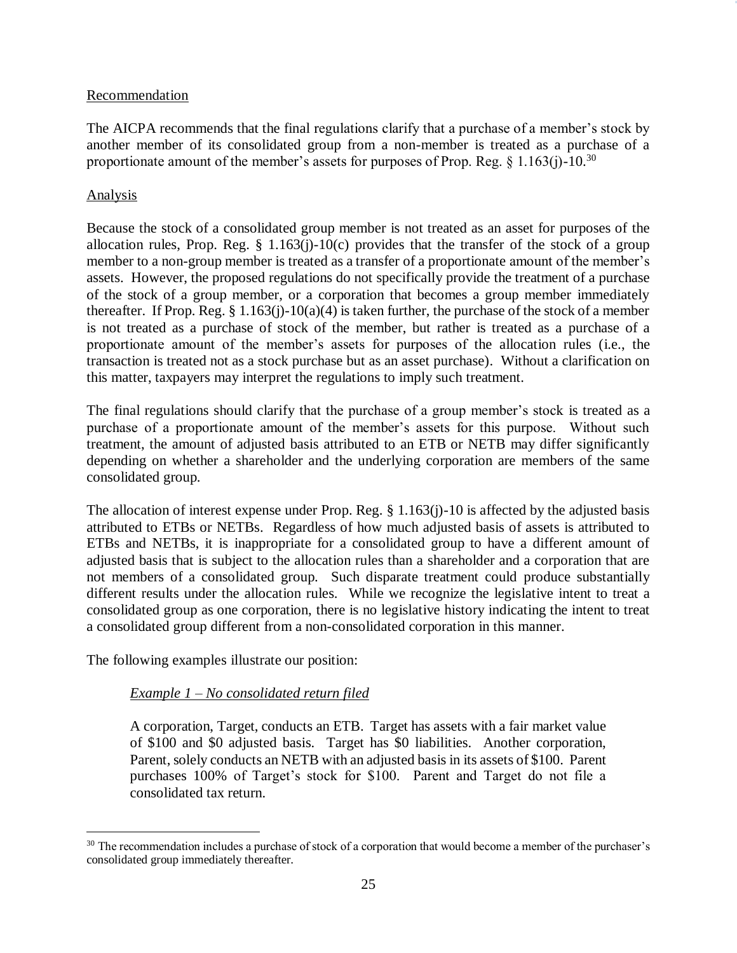#### Recommendation

The AICPA recommends that the final regulations clarify that a purchase of a member's stock by another member of its consolidated group from a non-member is treated as a purchase of a proportionate amount of the member's assets for purposes of Prop. Reg.  $\S 1.163(i)$ -10.<sup>30</sup>

### Analysis

 $\overline{a}$ 

Because the stock of a consolidated group member is not treated as an asset for purposes of the allocation rules, Prop. Reg.  $\S$  1.163(j)-10(c) provides that the transfer of the stock of a group member to a non-group member is treated as a transfer of a proportionate amount of the member's assets. However, the proposed regulations do not specifically provide the treatment of a purchase of the stock of a group member, or a corporation that becomes a group member immediately thereafter. If Prop. Reg.  $\S 1.163(j)-10(a)(4)$  is taken further, the purchase of the stock of a member is not treated as a purchase of stock of the member, but rather is treated as a purchase of a proportionate amount of the member's assets for purposes of the allocation rules (i.e., the transaction is treated not as a stock purchase but as an asset purchase). Without a clarification on this matter, taxpayers may interpret the regulations to imply such treatment.

The final regulations should clarify that the purchase of a group member's stock is treated as a purchase of a proportionate amount of the member's assets for this purpose. Without such treatment, the amount of adjusted basis attributed to an ETB or NETB may differ significantly depending on whether a shareholder and the underlying corporation are members of the same consolidated group.

The allocation of interest expense under Prop. Reg.  $\S$  1.163(j)-10 is affected by the adjusted basis attributed to ETBs or NETBs. Regardless of how much adjusted basis of assets is attributed to ETBs and NETBs, it is inappropriate for a consolidated group to have a different amount of adjusted basis that is subject to the allocation rules than a shareholder and a corporation that are not members of a consolidated group. Such disparate treatment could produce substantially different results under the allocation rules. While we recognize the legislative intent to treat a consolidated group as one corporation, there is no legislative history indicating the intent to treat a consolidated group different from a non-consolidated corporation in this manner.

The following examples illustrate our position:

## *Example 1 – No consolidated return filed*

A corporation, Target, conducts an ETB. Target has assets with a fair market value of \$100 and \$0 adjusted basis. Target has \$0 liabilities. Another corporation, Parent, solely conducts an NETB with an adjusted basis in its assets of \$100. Parent purchases 100% of Target's stock for \$100. Parent and Target do not file a consolidated tax return.

<sup>&</sup>lt;sup>30</sup> The recommendation includes a purchase of stock of a corporation that would become a member of the purchaser's consolidated group immediately thereafter.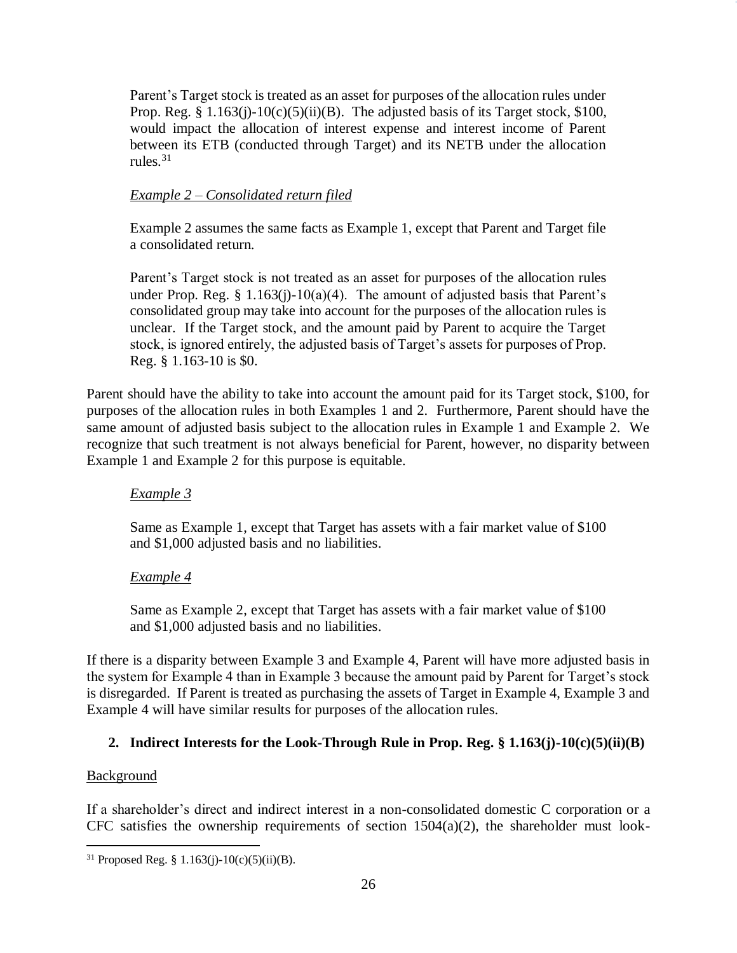Parent's Target stock is treated as an asset for purposes of the allocation rules under Prop. Reg. §  $1.163(j)-10(c)(5)(ii)(B)$ . The adjusted basis of its Target stock, \$100, would impact the allocation of interest expense and interest income of Parent between its ETB (conducted through Target) and its NETB under the allocation rules. $31$ 

### *Example 2 – Consolidated return filed*

Example 2 assumes the same facts as Example 1, except that Parent and Target file a consolidated return.

Parent's Target stock is not treated as an asset for purposes of the allocation rules under Prop. Reg.  $\S 1.163(i)-10(a)(4)$ . The amount of adjusted basis that Parent's consolidated group may take into account for the purposes of the allocation rules is unclear. If the Target stock, and the amount paid by Parent to acquire the Target stock, is ignored entirely, the adjusted basis of Target's assets for purposes of Prop. Reg. § 1.163-10 is \$0.

Parent should have the ability to take into account the amount paid for its Target stock, \$100, for purposes of the allocation rules in both Examples 1 and 2. Furthermore, Parent should have the same amount of adjusted basis subject to the allocation rules in Example 1 and Example 2. We recognize that such treatment is not always beneficial for Parent, however, no disparity between Example 1 and Example 2 for this purpose is equitable.

## *Example 3*

Same as Example 1, except that Target has assets with a fair market value of \$100 and \$1,000 adjusted basis and no liabilities.

## *Example 4*

Same as Example 2, except that Target has assets with a fair market value of \$100 and \$1,000 adjusted basis and no liabilities.

If there is a disparity between Example 3 and Example 4, Parent will have more adjusted basis in the system for Example 4 than in Example 3 because the amount paid by Parent for Target's stock is disregarded. If Parent is treated as purchasing the assets of Target in Example 4, Example 3 and Example 4 will have similar results for purposes of the allocation rules.

## **2. Indirect Interests for the Look-Through Rule in Prop. Reg. § 1.163(j)-10(c)(5)(ii)(B)**

#### Background

 $\overline{a}$ 

If a shareholder's direct and indirect interest in a non-consolidated domestic C corporation or a CFC satisfies the ownership requirements of section  $1504(a)(2)$ , the shareholder must look-

<sup>&</sup>lt;sup>31</sup> Proposed Reg. § 1.163(j)-10(c)(5)(ii)(B).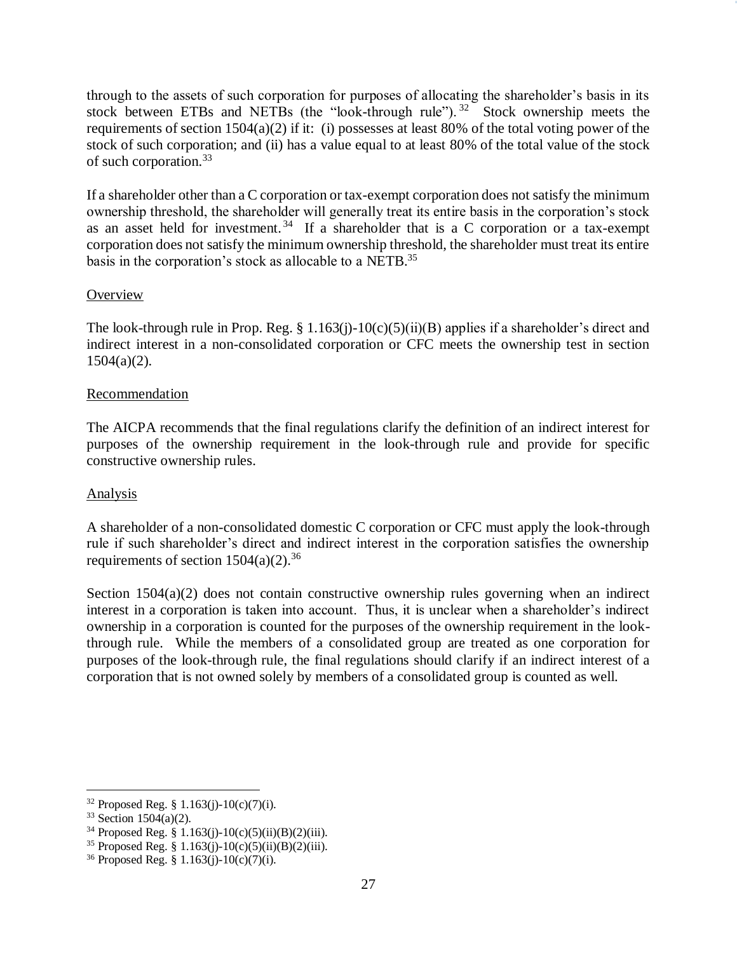through to the assets of such corporation for purposes of allocating the shareholder's basis in its stock between ETBs and NETBs (the "look-through rule").  $32$  Stock ownership meets the requirements of section 1504(a)(2) if it: (i) possesses at least 80% of the total voting power of the stock of such corporation; and (ii) has a value equal to at least 80% of the total value of the stock of such corporation.<sup>33</sup>

If a shareholder other than a C corporation or tax-exempt corporation does not satisfy the minimum ownership threshold, the shareholder will generally treat its entire basis in the corporation's stock as an asset held for investment.<sup>34</sup> If a shareholder that is a C corporation or a tax-exempt corporation does not satisfy the minimum ownership threshold, the shareholder must treat its entire basis in the corporation's stock as allocable to a NETB.<sup>35</sup>

### **Overview**

The look-through rule in Prop. Reg. § 1.163(j)-10(c)(5)(ii)(B) applies if a shareholder's direct and indirect interest in a non-consolidated corporation or CFC meets the ownership test in section  $1504(a)(2)$ .

#### Recommendation

The AICPA recommends that the final regulations clarify the definition of an indirect interest for purposes of the ownership requirement in the look-through rule and provide for specific constructive ownership rules.

#### Analysis

A shareholder of a non-consolidated domestic C corporation or CFC must apply the look-through rule if such shareholder's direct and indirect interest in the corporation satisfies the ownership requirements of section  $1504(a)(2)$ .<sup>36</sup>

Section  $1504(a)(2)$  does not contain constructive ownership rules governing when an indirect interest in a corporation is taken into account. Thus, it is unclear when a shareholder's indirect ownership in a corporation is counted for the purposes of the ownership requirement in the lookthrough rule. While the members of a consolidated group are treated as one corporation for purposes of the look-through rule, the final regulations should clarify if an indirect interest of a corporation that is not owned solely by members of a consolidated group is counted as well.

 $\overline{a}$ 

 $32$  Proposed Reg. § 1.163(j)-10(c)(7)(i).

 $33$  Section 1504(a)(2).

<sup>34</sup> Proposed Reg. § 1.163(j)-10(c)(5)(ii)(B)(2)(iii).

<sup>&</sup>lt;sup>35</sup> Proposed Reg. § 1.163(j)-10(c)(5)(ii)(B)(2)(iii).

<sup>&</sup>lt;sup>36</sup> Proposed Reg. § 1.163(j)-10(c)(7)(i).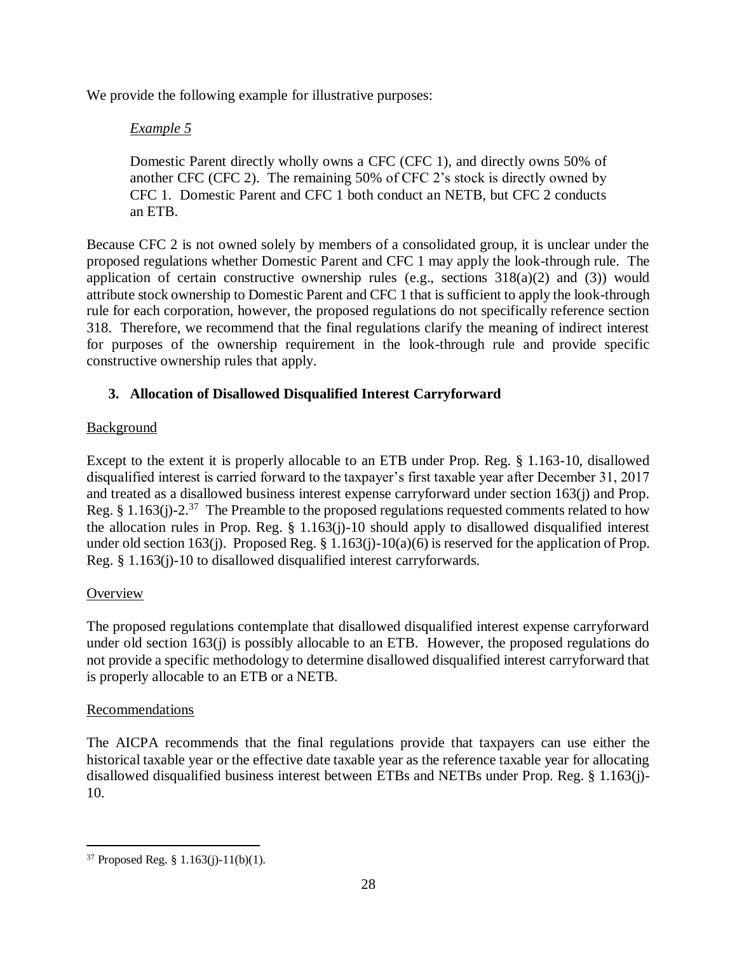We provide the following example for illustrative purposes:

## *Example 5*

Domestic Parent directly wholly owns a CFC (CFC 1), and directly owns 50% of another CFC (CFC 2). The remaining 50% of CFC 2's stock is directly owned by CFC 1. Domestic Parent and CFC 1 both conduct an NETB, but CFC 2 conducts an ETB.

Because CFC 2 is not owned solely by members of a consolidated group, it is unclear under the proposed regulations whether Domestic Parent and CFC 1 may apply the look-through rule. The application of certain constructive ownership rules (e.g., sections  $318(a)(2)$  and (3)) would attribute stock ownership to Domestic Parent and CFC 1 that is sufficient to apply the look-through rule for each corporation, however, the proposed regulations do not specifically reference section 318. Therefore, we recommend that the final regulations clarify the meaning of indirect interest for purposes of the ownership requirement in the look-through rule and provide specific constructive ownership rules that apply.

## **3. Allocation of Disallowed Disqualified Interest Carryforward**

## Background

Except to the extent it is properly allocable to an ETB under Prop. Reg. § 1.163-10, disallowed disqualified interest is carried forward to the taxpayer's first taxable year after December 31, 2017 and treated as a disallowed business interest expense carryforward under section 163(j) and Prop. Reg. § 1.163(j)-2.<sup>37</sup> The Preamble to the proposed regulations requested comments related to how the allocation rules in Prop. Reg. § 1.163(j)-10 should apply to disallowed disqualified interest under old section 163(j). Proposed Reg. § 1.163(j)-10(a)(6) is reserved for the application of Prop. Reg. § 1.163(j)-10 to disallowed disqualified interest carryforwards.

## **Overview**

The proposed regulations contemplate that disallowed disqualified interest expense carryforward under old section 163(j) is possibly allocable to an ETB. However, the proposed regulations do not provide a specific methodology to determine disallowed disqualified interest carryforward that is properly allocable to an ETB or a NETB.

## Recommendations

The AICPA recommends that the final regulations provide that taxpayers can use either the historical taxable year or the effective date taxable year as the reference taxable year for allocating disallowed disqualified business interest between ETBs and NETBs under Prop. Reg. § 1.163(j)- 10.

 $\overline{a}$  $37$  Proposed Reg. § 1.163(j)-11(b)(1).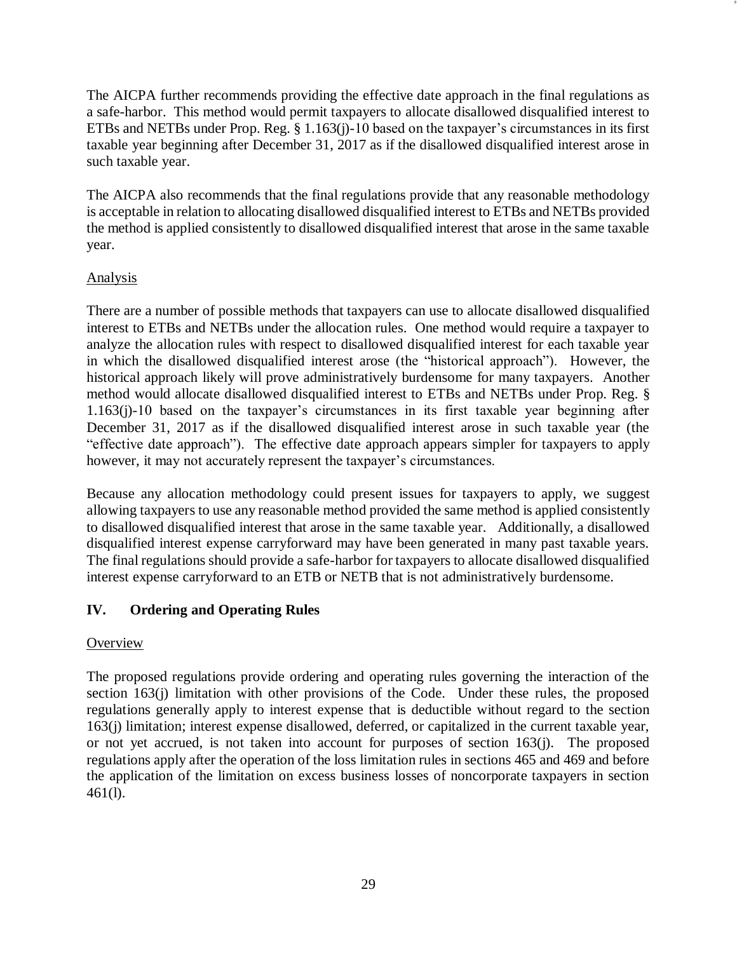The AICPA further recommends providing the effective date approach in the final regulations as a safe-harbor. This method would permit taxpayers to allocate disallowed disqualified interest to ETBs and NETBs under Prop. Reg. § 1.163(j)-10 based on the taxpayer's circumstances in its first taxable year beginning after December 31, 2017 as if the disallowed disqualified interest arose in such taxable year.

The AICPA also recommends that the final regulations provide that any reasonable methodology is acceptable in relation to allocating disallowed disqualified interest to ETBs and NETBs provided the method is applied consistently to disallowed disqualified interest that arose in the same taxable year.

## Analysis

There are a number of possible methods that taxpayers can use to allocate disallowed disqualified interest to ETBs and NETBs under the allocation rules. One method would require a taxpayer to analyze the allocation rules with respect to disallowed disqualified interest for each taxable year in which the disallowed disqualified interest arose (the "historical approach"). However, the historical approach likely will prove administratively burdensome for many taxpayers. Another method would allocate disallowed disqualified interest to ETBs and NETBs under Prop. Reg. § 1.163(j)-10 based on the taxpayer's circumstances in its first taxable year beginning after December 31, 2017 as if the disallowed disqualified interest arose in such taxable year (the "effective date approach"). The effective date approach appears simpler for taxpayers to apply however, it may not accurately represent the taxpayer's circumstances.

Because any allocation methodology could present issues for taxpayers to apply, we suggest allowing taxpayers to use any reasonable method provided the same method is applied consistently to disallowed disqualified interest that arose in the same taxable year. Additionally, a disallowed disqualified interest expense carryforward may have been generated in many past taxable years. The final regulations should provide a safe-harbor for taxpayers to allocate disallowed disqualified interest expense carryforward to an ETB or NETB that is not administratively burdensome.

# **IV. Ordering and Operating Rules**

# **Overview**

The proposed regulations provide ordering and operating rules governing the interaction of the section 163(j) limitation with other provisions of the Code. Under these rules, the proposed regulations generally apply to interest expense that is deductible without regard to the section 163(j) limitation; interest expense disallowed, deferred, or capitalized in the current taxable year, or not yet accrued, is not taken into account for purposes of section 163(j). The proposed regulations apply after the operation of the loss limitation rules in sections 465 and 469 and before the application of the limitation on excess business losses of noncorporate taxpayers in section 461(l).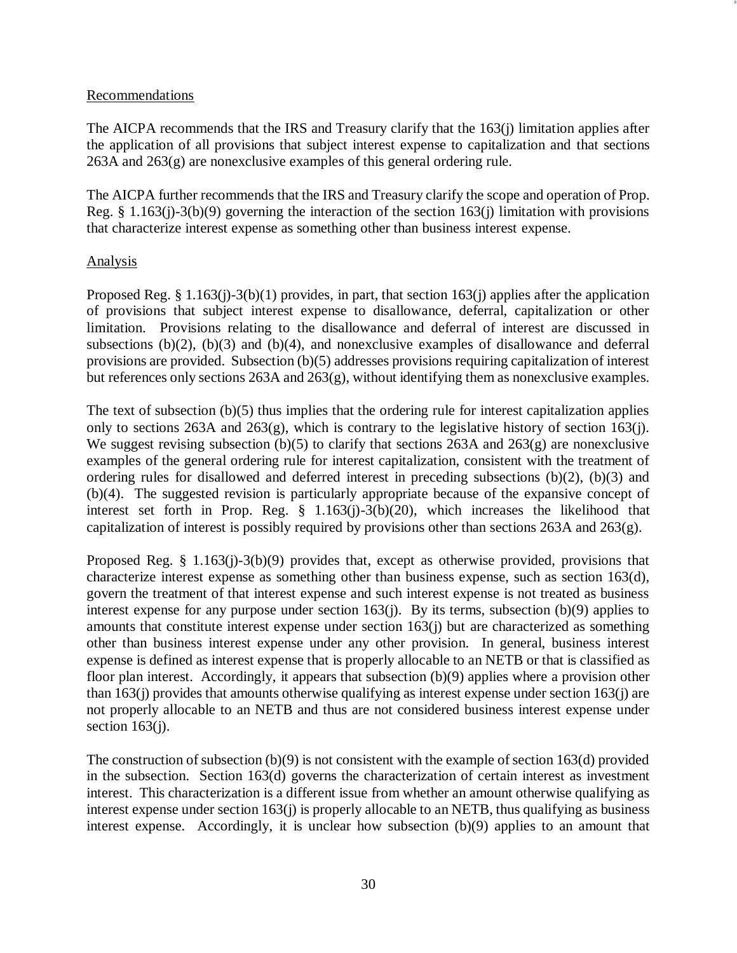#### Recommendations

The AICPA recommends that the IRS and Treasury clarify that the 163(j) limitation applies after the application of all provisions that subject interest expense to capitalization and that sections 263A and 263(g) are nonexclusive examples of this general ordering rule.

The AICPA further recommends that the IRS and Treasury clarify the scope and operation of Prop. Reg. § 1.163(j)-3(b)(9) governing the interaction of the section 163(j) limitation with provisions that characterize interest expense as something other than business interest expense.

#### Analysis

Proposed Reg. § 1.163(j)-3(b)(1) provides, in part, that section 163(j) applies after the application of provisions that subject interest expense to disallowance, deferral, capitalization or other limitation. Provisions relating to the disallowance and deferral of interest are discussed in subsections  $(b)(2)$ ,  $(b)(3)$  and  $(b)(4)$ , and nonexclusive examples of disallowance and deferral provisions are provided. Subsection (b)(5) addresses provisions requiring capitalization of interest but references only sections 263A and 263(g), without identifying them as nonexclusive examples.

The text of subsection (b)(5) thus implies that the ordering rule for interest capitalization applies only to sections 263A and 263(g), which is contrary to the legislative history of section 163(j). We suggest revising subsection (b)(5) to clarify that sections 263A and 263(g) are nonexclusive examples of the general ordering rule for interest capitalization, consistent with the treatment of ordering rules for disallowed and deferred interest in preceding subsections (b)(2), (b)(3) and (b)(4). The suggested revision is particularly appropriate because of the expansive concept of interest set forth in Prop. Reg. § 1.163(j)-3(b)(20), which increases the likelihood that capitalization of interest is possibly required by provisions other than sections 263A and 263(g).

Proposed Reg. § 1.163(j)-3(b)(9) provides that, except as otherwise provided, provisions that characterize interest expense as something other than business expense, such as section 163(d), govern the treatment of that interest expense and such interest expense is not treated as business interest expense for any purpose under section 163(j). By its terms, subsection (b)(9) applies to amounts that constitute interest expense under section 163(j) but are characterized as something other than business interest expense under any other provision. In general, business interest expense is defined as interest expense that is properly allocable to an NETB or that is classified as floor plan interest. Accordingly, it appears that subsection (b)(9) applies where a provision other than 163(j) provides that amounts otherwise qualifying as interest expense under section 163(j) are not properly allocable to an NETB and thus are not considered business interest expense under section  $163(j)$ .

The construction of subsection  $(b)(9)$  is not consistent with the example of section 163(d) provided in the subsection. Section 163(d) governs the characterization of certain interest as investment interest. This characterization is a different issue from whether an amount otherwise qualifying as interest expense under section 163(j) is properly allocable to an NETB, thus qualifying as business interest expense. Accordingly, it is unclear how subsection (b)(9) applies to an amount that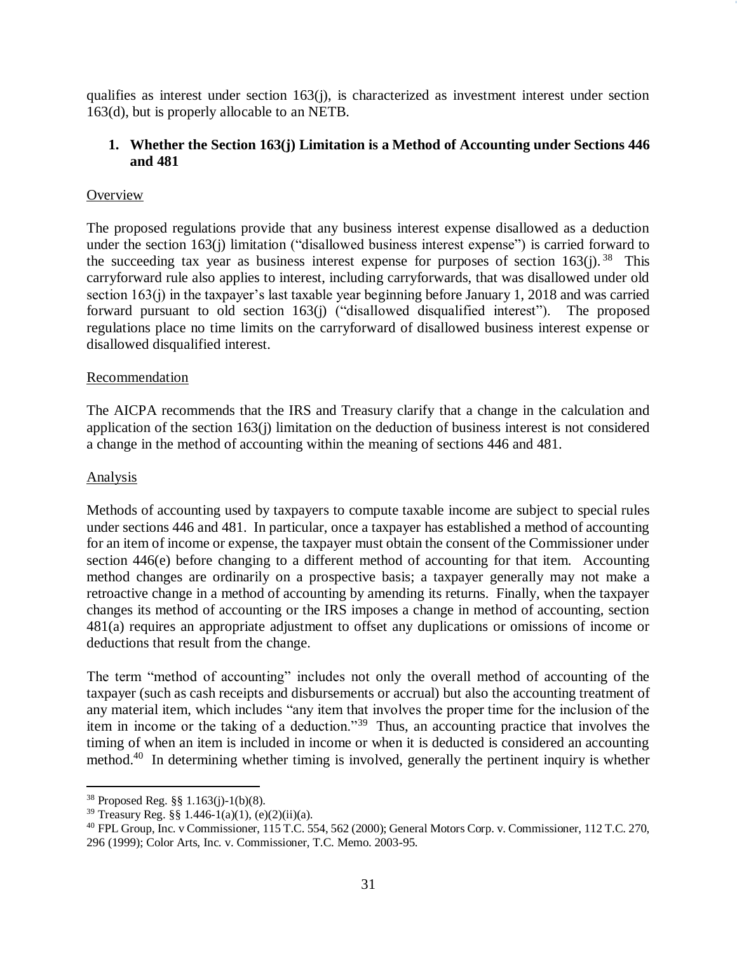qualifies as interest under section  $163(j)$ , is characterized as investment interest under section 163(d), but is properly allocable to an NETB.

### **1. Whether the Section 163(j) Limitation is a Method of Accounting under Sections 446 and 481**

### **Overview**

The proposed regulations provide that any business interest expense disallowed as a deduction under the section 163(j) limitation ("disallowed business interest expense") is carried forward to the succeeding tax year as business interest expense for purposes of section  $163(j)$ . <sup>38</sup> This carryforward rule also applies to interest, including carryforwards, that was disallowed under old section 163(j) in the taxpayer's last taxable year beginning before January 1, 2018 and was carried forward pursuant to old section 163(j) ("disallowed disqualified interest"). The proposed regulations place no time limits on the carryforward of disallowed business interest expense or disallowed disqualified interest.

#### Recommendation

The AICPA recommends that the IRS and Treasury clarify that a change in the calculation and application of the section 163(j) limitation on the deduction of business interest is not considered a change in the method of accounting within the meaning of sections 446 and 481.

#### Analysis

 $\overline{a}$ 

Methods of accounting used by taxpayers to compute taxable income are subject to special rules under sections 446 and 481. In particular, once a taxpayer has established a method of accounting for an item of income or expense, the taxpayer must obtain the consent of the Commissioner under section 446(e) before changing to a different method of accounting for that item. Accounting method changes are ordinarily on a prospective basis; a taxpayer generally may not make a retroactive change in a method of accounting by amending its returns. Finally, when the taxpayer changes its method of accounting or the IRS imposes a change in method of accounting, section 481(a) requires an appropriate adjustment to offset any duplications or omissions of income or deductions that result from the change.

The term "method of accounting" includes not only the overall method of accounting of the taxpayer (such as cash receipts and disbursements or accrual) but also the accounting treatment of any material item, which includes "any item that involves the proper time for the inclusion of the item in income or the taking of a deduction."<sup>39</sup> Thus, an accounting practice that involves the timing of when an item is included in income or when it is deducted is considered an accounting method.<sup>40</sup> In determining whether timing is involved, generally the pertinent inquiry is whether

<sup>38</sup> Proposed Reg. §§ 1.163(j)-1(b)(8).

<sup>&</sup>lt;sup>39</sup> Treasury Reg. §§ 1.446-1(a)(1), (e)(2)(ii)(a).

<sup>40</sup> FPL Group, Inc. v Commissioner, 115 T.C. 554, 562 (2000); General Motors Corp. v. Commissioner, 112 T.C. 270, 296 (1999); Color Arts, Inc. v. Commissioner, T.C. Memo. 2003-95.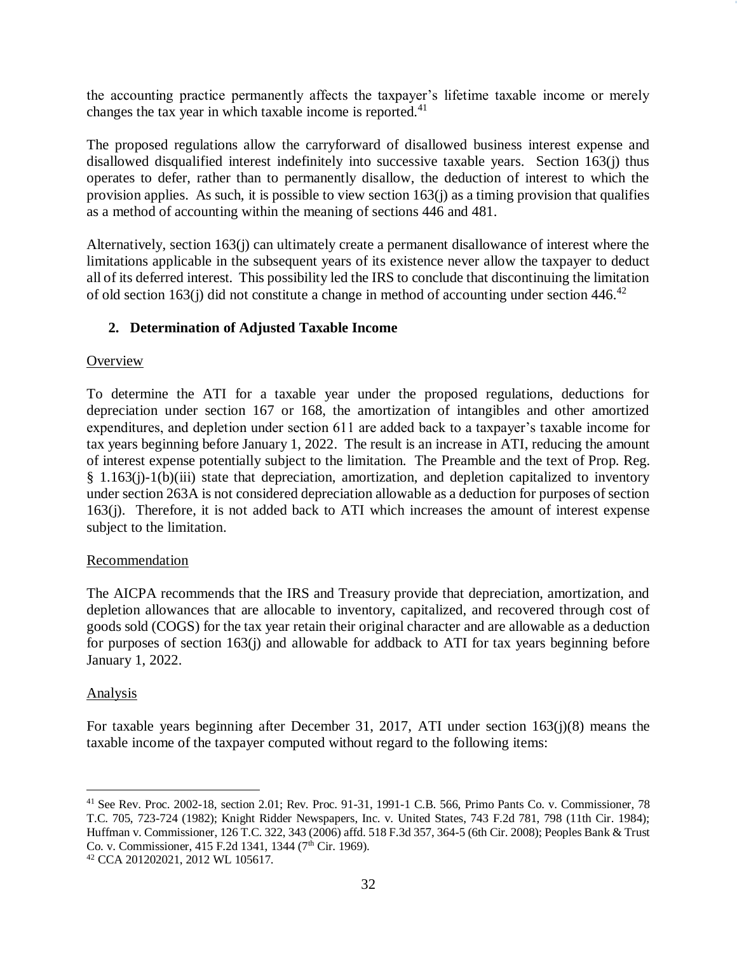the accounting practice permanently affects the taxpayer's lifetime taxable income or merely changes the tax year in which taxable income is reported.<sup>41</sup>

The proposed regulations allow the carryforward of disallowed business interest expense and disallowed disqualified interest indefinitely into successive taxable years. Section 163(j) thus operates to defer, rather than to permanently disallow, the deduction of interest to which the provision applies. As such, it is possible to view section 163(j) as a timing provision that qualifies as a method of accounting within the meaning of sections 446 and 481.

Alternatively, section 163(j) can ultimately create a permanent disallowance of interest where the limitations applicable in the subsequent years of its existence never allow the taxpayer to deduct all of its deferred interest. This possibility led the IRS to conclude that discontinuing the limitation of old section 163(j) did not constitute a change in method of accounting under section  $446.^{42}$ 

## **2. Determination of Adjusted Taxable Income**

### **Overview**

To determine the ATI for a taxable year under the proposed regulations, deductions for depreciation under section 167 or 168, the amortization of intangibles and other amortized expenditures, and depletion under section 611 are added back to a taxpayer's taxable income for tax years beginning before January 1, 2022. The result is an increase in ATI, reducing the amount of interest expense potentially subject to the limitation. The Preamble and the text of Prop. Reg. § 1.163(j)-1(b)(iii) state that depreciation, amortization, and depletion capitalized to inventory under section 263A is not considered depreciation allowable as a deduction for purposes of section 163(j). Therefore, it is not added back to ATI which increases the amount of interest expense subject to the limitation.

#### Recommendation

The AICPA recommends that the IRS and Treasury provide that depreciation, amortization, and depletion allowances that are allocable to inventory, capitalized, and recovered through cost of goods sold (COGS) for the tax year retain their original character and are allowable as a deduction for purposes of section 163(j) and allowable for addback to ATI for tax years beginning before January 1, 2022.

#### Analysis

For taxable years beginning after December 31, 2017, ATI under section 163(j)(8) means the taxable income of the taxpayer computed without regard to the following items:

<sup>42</sup> CCA 201202021, 2012 WL 105617.

 $\overline{a}$ <sup>41</sup> See Rev. Proc. 2002-18, section 2.01; Rev. Proc. 91-31, 1991-1 C.B. 566, Primo Pants Co. v. Commissioner, 78 T.C. 705, 723-724 (1982); Knight Ridder Newspapers, Inc. v. United States, 743 F.2d 781, 798 (11th Cir. 1984); Huffman v. Commissioner, 126 T.C. 322, 343 (2006) affd. 518 F.3d 357, 364-5 (6th Cir. 2008); Peoples Bank & Trust Co. v. Commissioner, 415 F.2d 1341, 1344 (7<sup>th</sup> Cir. 1969).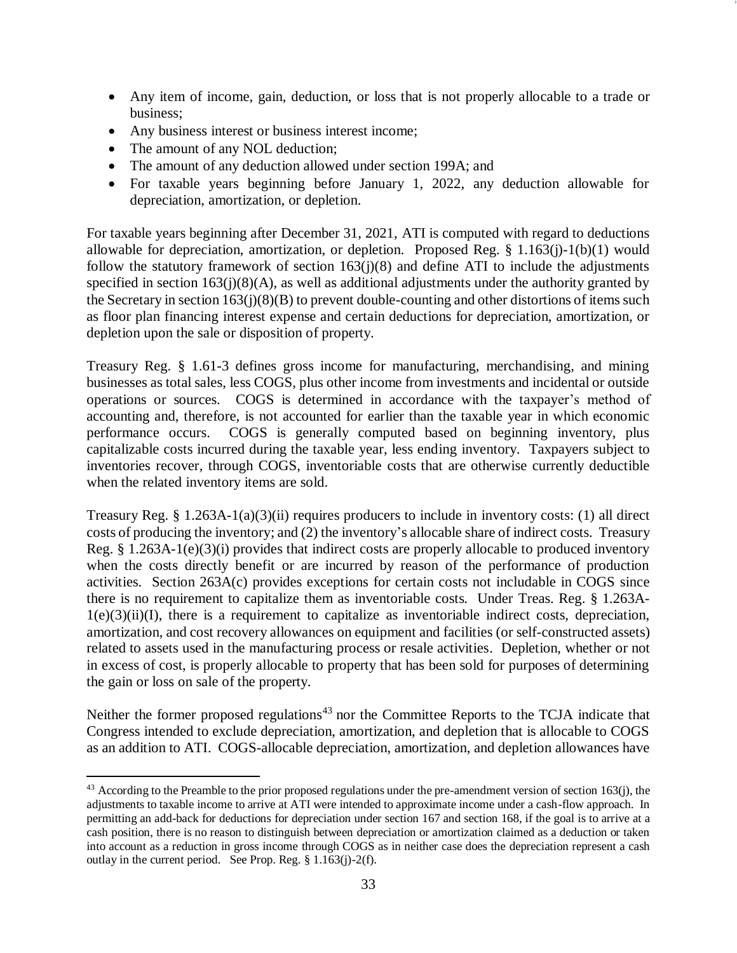- Any item of income, gain, deduction, or loss that is not properly allocable to a trade or business;
- Any business interest or business interest income;
- The amount of any NOL deduction;

 $\overline{a}$ 

- The amount of any deduction allowed under section 199A; and
- For taxable years beginning before January 1, 2022, any deduction allowable for depreciation, amortization, or depletion.

For taxable years beginning after December 31, 2021, ATI is computed with regard to deductions allowable for depreciation, amortization, or depletion. Proposed Reg. § 1.163(j)-1(b)(1) would follow the statutory framework of section  $163(j)(8)$  and define ATI to include the adjustments specified in section 163(j)(8)(A), as well as additional adjustments under the authority granted by the Secretary in section  $163(i)(8)(B)$  to prevent double-counting and other distortions of items such as floor plan financing interest expense and certain deductions for depreciation, amortization, or depletion upon the sale or disposition of property.

Treasury Reg. § 1.61-3 defines gross income for manufacturing, merchandising, and mining businesses as total sales, less COGS, plus other income from investments and incidental or outside operations or sources. COGS is determined in accordance with the taxpayer's method of accounting and, therefore, is not accounted for earlier than the taxable year in which economic performance occurs. COGS is generally computed based on beginning inventory, plus capitalizable costs incurred during the taxable year, less ending inventory. Taxpayers subject to inventories recover, through COGS, inventoriable costs that are otherwise currently deductible when the related inventory items are sold.

Treasury Reg. § 1.263A-1(a)(3)(ii) requires producers to include in inventory costs: (1) all direct costs of producing the inventory; and (2) the inventory's allocable share of indirect costs. Treasury Reg. § 1.263A-1(e)(3)(i) provides that indirect costs are properly allocable to produced inventory when the costs directly benefit or are incurred by reason of the performance of production activities. Section 263A(c) provides exceptions for certain costs not includable in COGS since there is no requirement to capitalize them as inventoriable costs. Under Treas. Reg. § 1.263A- $1(e)(3)(ii)(I)$ , there is a requirement to capitalize as inventoriable indirect costs, depreciation, amortization, and cost recovery allowances on equipment and facilities (or self-constructed assets) related to assets used in the manufacturing process or resale activities. Depletion, whether or not in excess of cost, is properly allocable to property that has been sold for purposes of determining the gain or loss on sale of the property.

Neither the former proposed regulations<sup>43</sup> nor the Committee Reports to the TCJA indicate that Congress intended to exclude depreciation, amortization, and depletion that is allocable to COGS as an addition to ATI. COGS-allocable depreciation, amortization, and depletion allowances have

 $43$  According to the Preamble to the prior proposed regulations under the pre-amendment version of section 163(j), the adjustments to taxable income to arrive at ATI were intended to approximate income under a cash-flow approach. In permitting an add-back for deductions for depreciation under section 167 and section 168, if the goal is to arrive at a cash position, there is no reason to distinguish between depreciation or amortization claimed as a deduction or taken into account as a reduction in gross income through COGS as in neither case does the depreciation represent a cash outlay in the current period. See Prop. Reg. § 1.163(j)-2(f).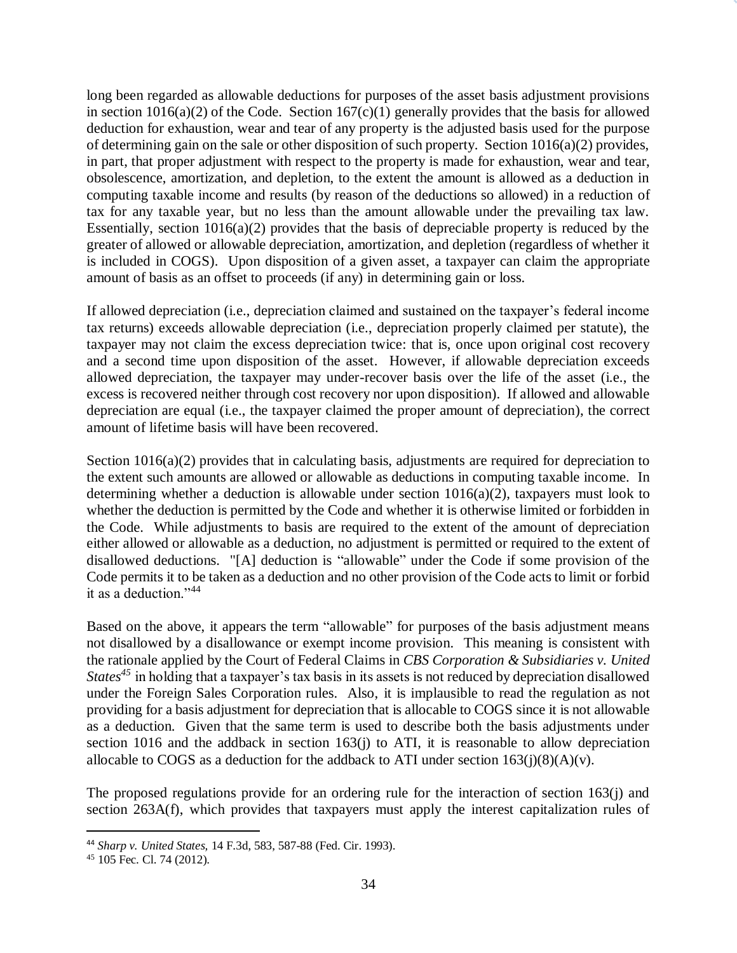long been regarded as allowable deductions for purposes of the asset basis adjustment provisions in section  $1016(a)(2)$  of the Code. Section  $167(c)(1)$  generally provides that the basis for allowed deduction for exhaustion, wear and tear of any property is the adjusted basis used for the purpose of determining gain on the sale or other disposition of such property. Section 1016(a)(2) provides, in part, that proper adjustment with respect to the property is made for exhaustion, wear and tear, obsolescence, amortization, and depletion, to the extent the amount is allowed as a deduction in computing taxable income and results (by reason of the deductions so allowed) in a reduction of tax for any taxable year, but no less than the amount allowable under the prevailing tax law. Essentially, section  $1016(a)(2)$  provides that the basis of depreciable property is reduced by the greater of allowed or allowable depreciation, amortization, and depletion (regardless of whether it is included in COGS). Upon disposition of a given asset, a taxpayer can claim the appropriate amount of basis as an offset to proceeds (if any) in determining gain or loss.

If allowed depreciation (i.e., depreciation claimed and sustained on the taxpayer's federal income tax returns) exceeds allowable depreciation (i.e., depreciation properly claimed per statute), the taxpayer may not claim the excess depreciation twice: that is, once upon original cost recovery and a second time upon disposition of the asset. However, if allowable depreciation exceeds allowed depreciation, the taxpayer may under-recover basis over the life of the asset (i.e., the excess is recovered neither through cost recovery nor upon disposition). If allowed and allowable depreciation are equal (i.e., the taxpayer claimed the proper amount of depreciation), the correct amount of lifetime basis will have been recovered.

Section 1016(a)(2) provides that in calculating basis, adjustments are required for depreciation to the extent such amounts are allowed or allowable as deductions in computing taxable income. In determining whether a deduction is allowable under section 1016(a)(2), taxpayers must look to whether the deduction is permitted by the Code and whether it is otherwise limited or forbidden in the Code. While adjustments to basis are required to the extent of the amount of depreciation either allowed or allowable as a deduction, no adjustment is permitted or required to the extent of disallowed deductions. "[A] deduction is "allowable" under the Code if some provision of the Code permits it to be taken as a deduction and no other provision of the Code acts to limit or forbid it as a deduction."<sup>44</sup>

Based on the above, it appears the term "allowable" for purposes of the basis adjustment means not disallowed by a disallowance or exempt income provision. This meaning is consistent with the rationale applied by the Court of Federal Claims in *CBS Corporation & Subsidiaries v. United States<sup>45</sup>* in holding that a taxpayer's tax basis in its assets is not reduced by depreciation disallowed under the Foreign Sales Corporation rules. Also, it is implausible to read the regulation as not providing for a basis adjustment for depreciation that is allocable to COGS since it is not allowable as a deduction. Given that the same term is used to describe both the basis adjustments under section 1016 and the addback in section 163(j) to ATI, it is reasonable to allow depreciation allocable to COGS as a deduction for the addback to ATI under section  $163(j)(8)(A)(v)$ .

The proposed regulations provide for an ordering rule for the interaction of section 163(j) and section 263A(f), which provides that taxpayers must apply the interest capitalization rules of

 $\overline{a}$ 

<sup>44</sup> *Sharp v. United States,* 14 F.3d, 583, 587-88 (Fed. Cir. 1993).

<sup>45</sup> 105 Fec. Cl. 74 (2012).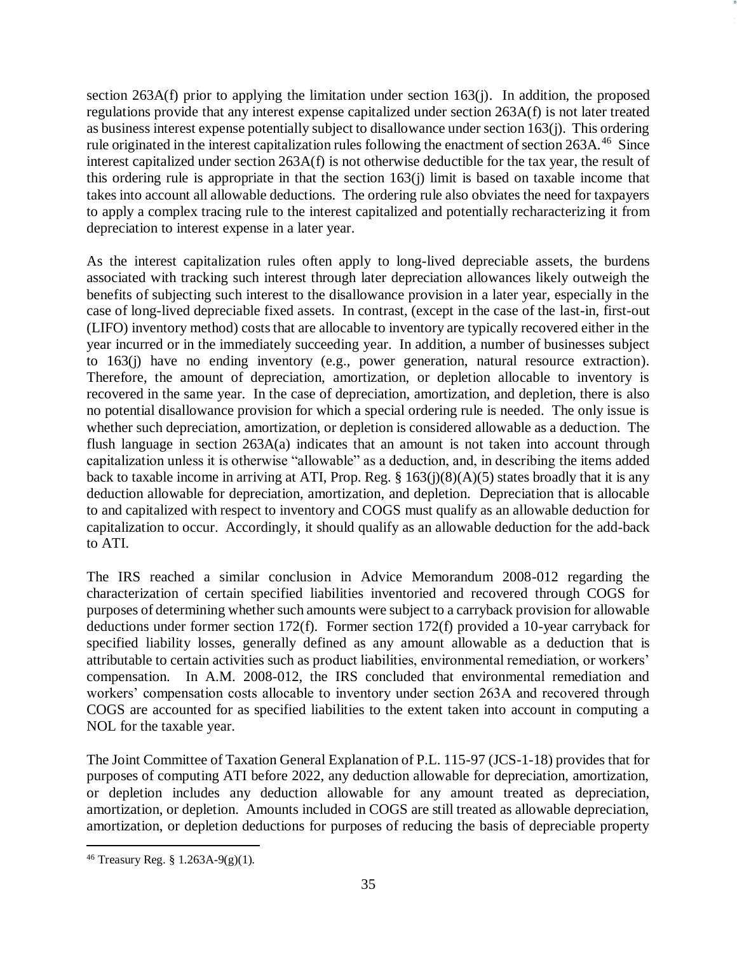section  $263A(f)$  prior to applying the limitation under section  $163(i)$ . In addition, the proposed regulations provide that any interest expense capitalized under section 263A(f) is not later treated as business interest expense potentially subject to disallowance under section 163(j). This ordering rule originated in the interest capitalization rules following the enactment of section  $263A$ .<sup>46</sup> Since interest capitalized under section 263A(f) is not otherwise deductible for the tax year, the result of this ordering rule is appropriate in that the section 163(j) limit is based on taxable income that takes into account all allowable deductions. The ordering rule also obviates the need for taxpayers to apply a complex tracing rule to the interest capitalized and potentially recharacterizing it from depreciation to interest expense in a later year.

As the interest capitalization rules often apply to long-lived depreciable assets, the burdens associated with tracking such interest through later depreciation allowances likely outweigh the benefits of subjecting such interest to the disallowance provision in a later year, especially in the case of long-lived depreciable fixed assets. In contrast, (except in the case of the last-in, first-out (LIFO) inventory method) costs that are allocable to inventory are typically recovered either in the year incurred or in the immediately succeeding year. In addition, a number of businesses subject to 163(j) have no ending inventory (e.g., power generation, natural resource extraction). Therefore, the amount of depreciation, amortization, or depletion allocable to inventory is recovered in the same year. In the case of depreciation, amortization, and depletion, there is also no potential disallowance provision for which a special ordering rule is needed. The only issue is whether such depreciation, amortization, or depletion is considered allowable as a deduction. The flush language in section 263A(a) indicates that an amount is not taken into account through capitalization unless it is otherwise "allowable" as a deduction, and, in describing the items added back to taxable income in arriving at ATI, Prop. Reg.  $\S 163(i)(8)(A)(5)$  states broadly that it is any deduction allowable for depreciation, amortization, and depletion. Depreciation that is allocable to and capitalized with respect to inventory and COGS must qualify as an allowable deduction for capitalization to occur. Accordingly, it should qualify as an allowable deduction for the add-back to ATI.

The IRS reached a similar conclusion in Advice Memorandum 2008-012 regarding the characterization of certain specified liabilities inventoried and recovered through COGS for purposes of determining whether such amounts were subject to a carryback provision for allowable deductions under former section 172(f). Former section 172(f) provided a 10-year carryback for specified liability losses, generally defined as any amount allowable as a deduction that is attributable to certain activities such as product liabilities, environmental remediation, or workers' compensation. In A.M. 2008-012, the IRS concluded that environmental remediation and workers' compensation costs allocable to inventory under section 263A and recovered through COGS are accounted for as specified liabilities to the extent taken into account in computing a NOL for the taxable year.

The Joint Committee of Taxation General Explanation of P.L. 115-97 (JCS-1-18) provides that for purposes of computing ATI before 2022, any deduction allowable for depreciation, amortization, or depletion includes any deduction allowable for any amount treated as depreciation, amortization, or depletion. Amounts included in COGS are still treated as allowable depreciation, amortization, or depletion deductions for purposes of reducing the basis of depreciable property

 $\overline{a}$ <sup>46</sup> Treasury Reg. § 1.263A-9(g)(1).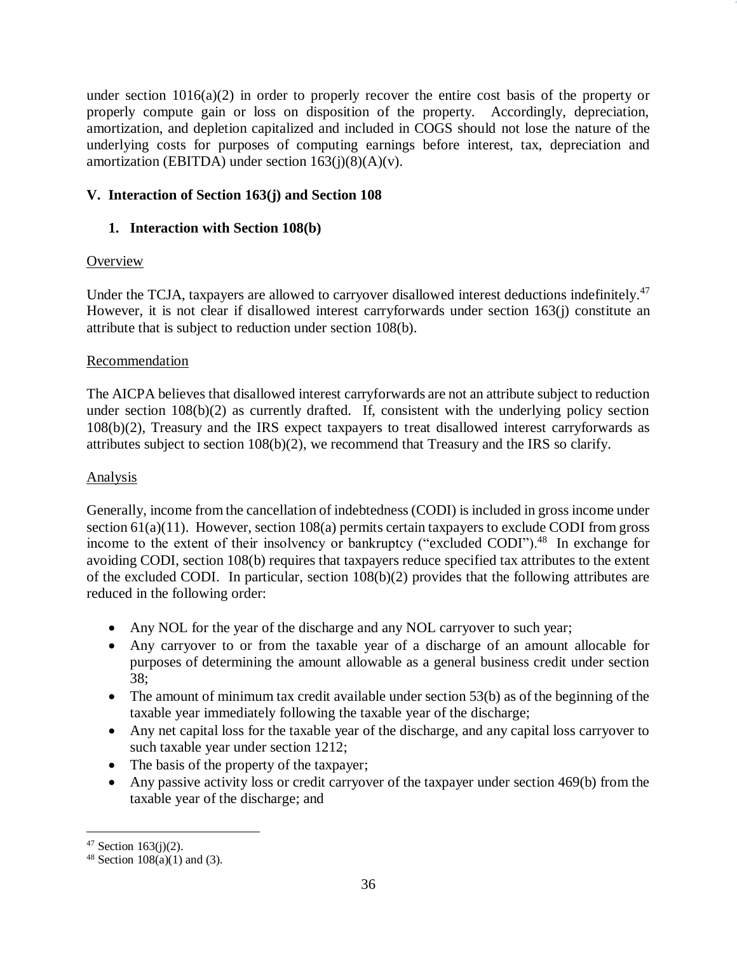under section 1016(a)(2) in order to properly recover the entire cost basis of the property or properly compute gain or loss on disposition of the property. Accordingly, depreciation, amortization, and depletion capitalized and included in COGS should not lose the nature of the underlying costs for purposes of computing earnings before interest, tax, depreciation and amortization (EBITDA) under section  $163(i)(8)(A)(v)$ .

## **V. Interaction of Section 163(j) and Section 108**

## **1. Interaction with Section 108(b)**

## **Overview**

Under the TCJA, taxpayers are allowed to carryover disallowed interest deductions indefinitely.<sup>47</sup> However, it is not clear if disallowed interest carryforwards under section 163(j) constitute an attribute that is subject to reduction under section 108(b).

## Recommendation

The AICPA believes that disallowed interest carryforwards are not an attribute subject to reduction under section 108(b)(2) as currently drafted. If, consistent with the underlying policy section 108(b)(2), Treasury and the IRS expect taxpayers to treat disallowed interest carryforwards as attributes subject to section 108(b)(2), we recommend that Treasury and the IRS so clarify.

## Analysis

Generally, income from the cancellation of indebtedness (CODI) is included in gross income under section  $61(a)(11)$ . However, section  $108(a)$  permits certain taxpayers to exclude CODI from gross income to the extent of their insolvency or bankruptcy ("excluded CODI").<sup>48</sup> In exchange for avoiding CODI, section 108(b) requires that taxpayers reduce specified tax attributes to the extent of the excluded CODI. In particular, section 108(b)(2) provides that the following attributes are reduced in the following order:

- Any NOL for the year of the discharge and any NOL carryover to such year;
- Any carryover to or from the taxable year of a discharge of an amount allocable for purposes of determining the amount allowable as a general business credit under section 38;
- The amount of minimum tax credit available under section 53(b) as of the beginning of the taxable year immediately following the taxable year of the discharge;
- Any net capital loss for the taxable year of the discharge, and any capital loss carryover to such taxable year under section 1212;
- The basis of the property of the taxpayer;
- Any passive activity loss or credit carryover of the taxpayer under section 469(b) from the taxable year of the discharge; and

 $\overline{a}$ 

 $47$  Section 163(j)(2).

<sup>&</sup>lt;sup>48</sup> Section  $108(a)(1)$  and (3).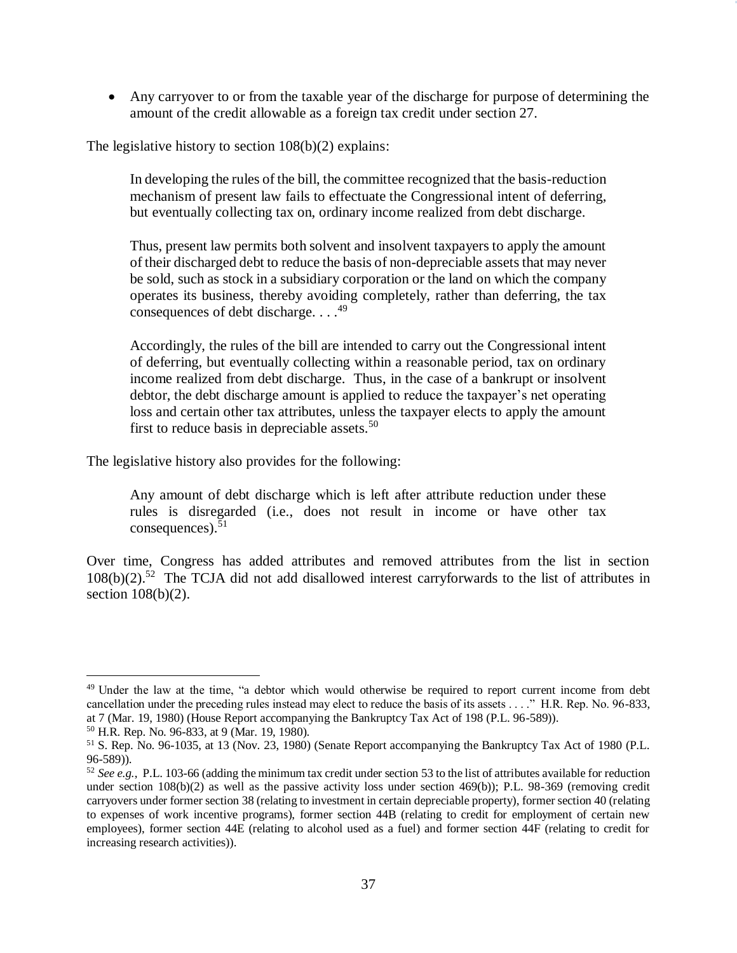• Any carryover to or from the taxable year of the discharge for purpose of determining the amount of the credit allowable as a foreign tax credit under section 27.

The legislative history to section 108(b)(2) explains:

In developing the rules of the bill, the committee recognized that the basis-reduction mechanism of present law fails to effectuate the Congressional intent of deferring, but eventually collecting tax on, ordinary income realized from debt discharge.

Thus, present law permits both solvent and insolvent taxpayers to apply the amount of their discharged debt to reduce the basis of non-depreciable assets that may never be sold, such as stock in a subsidiary corporation or the land on which the company operates its business, thereby avoiding completely, rather than deferring, the tax consequences of debt discharge. . . .<sup>49</sup>

Accordingly, the rules of the bill are intended to carry out the Congressional intent of deferring, but eventually collecting within a reasonable period, tax on ordinary income realized from debt discharge. Thus, in the case of a bankrupt or insolvent debtor, the debt discharge amount is applied to reduce the taxpayer's net operating loss and certain other tax attributes, unless the taxpayer elects to apply the amount first to reduce basis in depreciable assets.<sup>50</sup>

The legislative history also provides for the following:

Any amount of debt discharge which is left after attribute reduction under these rules is disregarded (i.e., does not result in income or have other tax consequences). 51

Over time, Congress has added attributes and removed attributes from the list in section 108(b)(2).<sup>52</sup> The TCJA did not add disallowed interest carryforwards to the list of attributes in section  $108(b)(2)$ .

 $\overline{a}$ <sup>49</sup> Under the law at the time, "a debtor which would otherwise be required to report current income from debt cancellation under the preceding rules instead may elect to reduce the basis of its assets . . . ." H.R. Rep. No. 96-833, at 7 (Mar. 19, 1980) (House Report accompanying the Bankruptcy Tax Act of 198 (P.L. 96-589)).

<sup>50</sup> H.R. Rep. No. 96-833, at 9 (Mar. 19, 1980).

<sup>51</sup> S. Rep. No. 96-1035, at 13 (Nov. 23, 1980) (Senate Report accompanying the Bankruptcy Tax Act of 1980 (P.L. 96-589)).

<sup>52</sup> *See e.g.*, P.L. 103-66 (adding the minimum tax credit under section 53 to the list of attributes available for reduction under section  $108(b)(2)$  as well as the passive activity loss under section 469(b)); P.L. 98-369 (removing credit carryovers under former section 38 (relating to investment in certain depreciable property), former section 40 (relating to expenses of work incentive programs), former section 44B (relating to credit for employment of certain new employees), former section 44E (relating to alcohol used as a fuel) and former section 44F (relating to credit for increasing research activities)).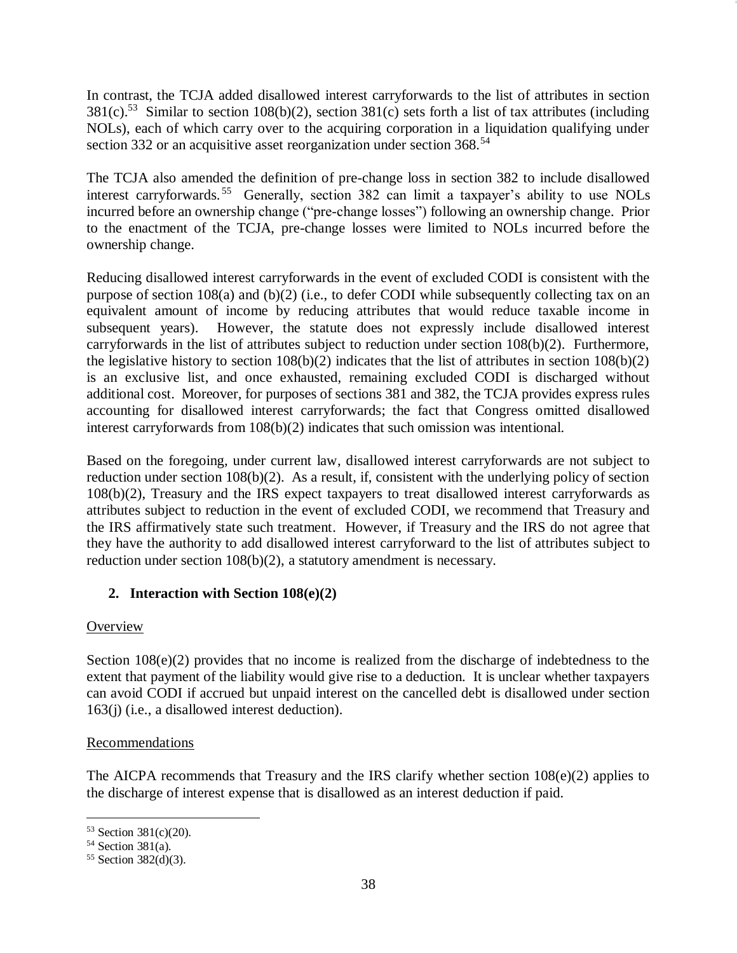In contrast, the TCJA added disallowed interest carryforwards to the list of attributes in section  $381(c)$ .<sup>53</sup> Similar to section 108(b)(2), section 381(c) sets forth a list of tax attributes (including NOLs), each of which carry over to the acquiring corporation in a liquidation qualifying under section 332 or an acquisitive asset reorganization under section 368.<sup>54</sup>

The TCJA also amended the definition of pre-change loss in section 382 to include disallowed interest carryforwards.<sup>55</sup> Generally, section 382 can limit a taxpayer's ability to use NOLs incurred before an ownership change ("pre-change losses") following an ownership change. Prior to the enactment of the TCJA, pre-change losses were limited to NOLs incurred before the ownership change.

Reducing disallowed interest carryforwards in the event of excluded CODI is consistent with the purpose of section 108(a) and (b)(2) (i.e., to defer CODI while subsequently collecting tax on an equivalent amount of income by reducing attributes that would reduce taxable income in subsequent years). However, the statute does not expressly include disallowed interest carryforwards in the list of attributes subject to reduction under section 108(b)(2). Furthermore, the legislative history to section  $108(b)(2)$  indicates that the list of attributes in section  $108(b)(2)$ is an exclusive list, and once exhausted, remaining excluded CODI is discharged without additional cost. Moreover, for purposes of sections 381 and 382, the TCJA provides express rules accounting for disallowed interest carryforwards; the fact that Congress omitted disallowed interest carryforwards from 108(b)(2) indicates that such omission was intentional.

Based on the foregoing, under current law, disallowed interest carryforwards are not subject to reduction under section 108(b)(2). As a result, if, consistent with the underlying policy of section 108(b)(2), Treasury and the IRS expect taxpayers to treat disallowed interest carryforwards as attributes subject to reduction in the event of excluded CODI, we recommend that Treasury and the IRS affirmatively state such treatment. However, if Treasury and the IRS do not agree that they have the authority to add disallowed interest carryforward to the list of attributes subject to reduction under section 108(b)(2), a statutory amendment is necessary.

# **2. Interaction with Section 108(e)(2)**

## **Overview**

Section 108(e)(2) provides that no income is realized from the discharge of indebtedness to the extent that payment of the liability would give rise to a deduction. It is unclear whether taxpayers can avoid CODI if accrued but unpaid interest on the cancelled debt is disallowed under section 163(j) (i.e., a disallowed interest deduction).

#### Recommendations

The AICPA recommends that Treasury and the IRS clarify whether section 108(e)(2) applies to the discharge of interest expense that is disallowed as an interest deduction if paid.

 $\overline{a}$ 

<sup>53</sup> Section 381(c)(20).

<sup>54</sup> Section 381(a).

<sup>55</sup> Section 382(d)(3).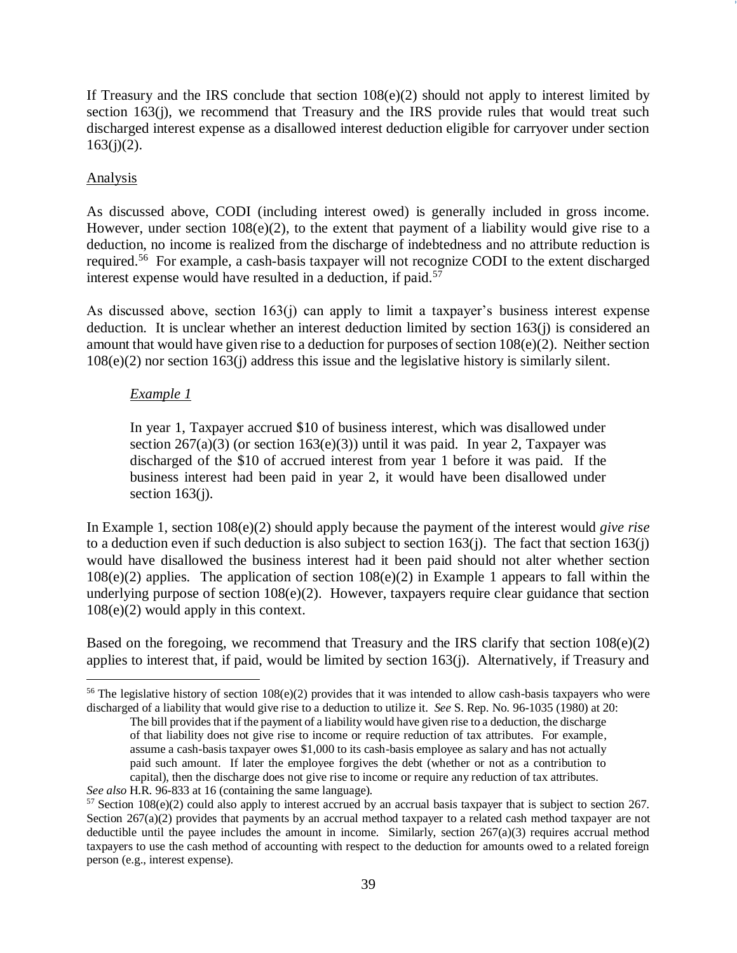If Treasury and the IRS conclude that section  $108(e)(2)$  should not apply to interest limited by section 163(j), we recommend that Treasury and the IRS provide rules that would treat such discharged interest expense as a disallowed interest deduction eligible for carryover under section  $163(j)(2)$ .

### **Analysis**

As discussed above, CODI (including interest owed) is generally included in gross income. However, under section  $108(e)(2)$ , to the extent that payment of a liability would give rise to a deduction, no income is realized from the discharge of indebtedness and no attribute reduction is required.<sup>56</sup> For example, a cash-basis taxpayer will not recognize CODI to the extent discharged interest expense would have resulted in a deduction, if paid.<sup>57</sup>

As discussed above, section 163(j) can apply to limit a taxpayer's business interest expense deduction. It is unclear whether an interest deduction limited by section 163(j) is considered an amount that would have given rise to a deduction for purposes of section 108(e)(2). Neither section 108(e)(2) nor section 163(j) address this issue and the legislative history is similarly silent.

### *Example 1*

In year 1, Taxpayer accrued \$10 of business interest, which was disallowed under section  $267(a)(3)$  (or section  $163(e)(3)$ ) until it was paid. In year 2, Taxpayer was discharged of the \$10 of accrued interest from year 1 before it was paid. If the business interest had been paid in year 2, it would have been disallowed under section  $163(i)$ .

In Example 1, section 108(e)(2) should apply because the payment of the interest would *give rise* to a deduction even if such deduction is also subject to section 163(j). The fact that section 163(j) would have disallowed the business interest had it been paid should not alter whether section  $108(e)(2)$  applies. The application of section  $108(e)(2)$  in Example 1 appears to fall within the underlying purpose of section 108(e)(2). However, taxpayers require clear guidance that section 108(e)(2) would apply in this context.

Based on the foregoing, we recommend that Treasury and the IRS clarify that section  $108(e)(2)$ applies to interest that, if paid, would be limited by section 163(j). Alternatively, if Treasury and

 $\overline{a}$ <sup>56</sup> The legislative history of section  $108(e)(2)$  provides that it was intended to allow cash-basis taxpayers who were discharged of a liability that would give rise to a deduction to utilize it. *See* S. Rep. No. 96-1035 (1980) at 20:

The bill provides that if the payment of a liability would have given rise to a deduction, the discharge of that liability does not give rise to income or require reduction of tax attributes. For example, assume a cash-basis taxpayer owes \$1,000 to its cash-basis employee as salary and has not actually paid such amount. If later the employee forgives the debt (whether or not as a contribution to capital), then the discharge does not give rise to income or require any reduction of tax attributes.

*See also* H.R. 96-833 at 16 (containing the same language).

<sup>57</sup> Section 108(e)(2) could also apply to interest accrued by an accrual basis taxpayer that is subject to section 267. Section 267(a)(2) provides that payments by an accrual method taxpayer to a related cash method taxpayer are not deductible until the payee includes the amount in income. Similarly, section 267(a)(3) requires accrual method taxpayers to use the cash method of accounting with respect to the deduction for amounts owed to a related foreign person (e.g., interest expense).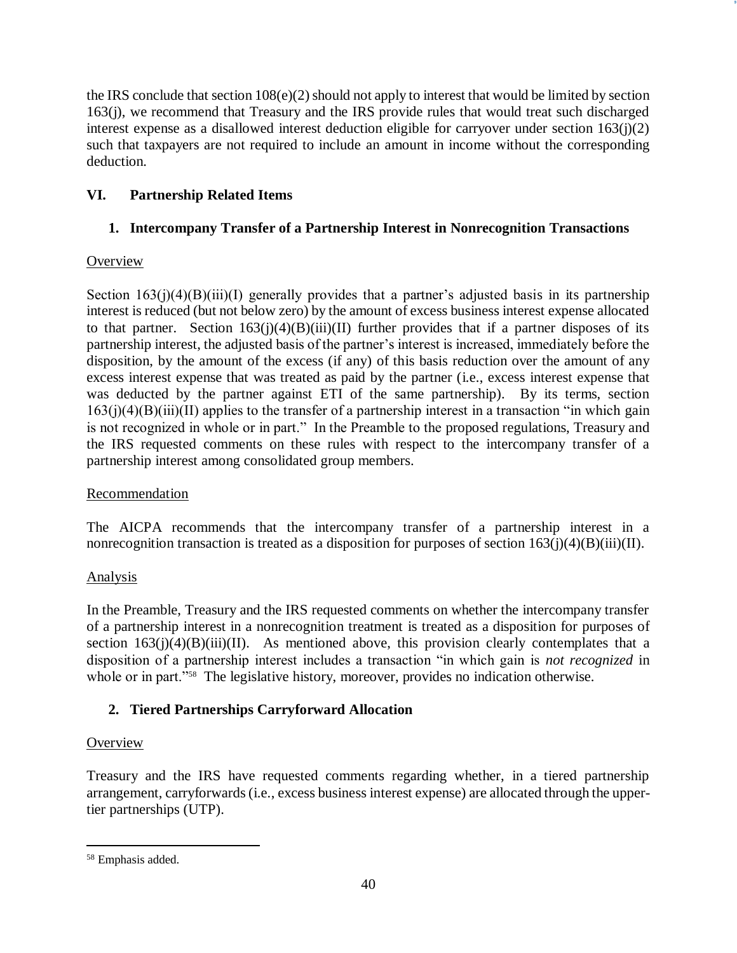the IRS conclude that section  $108(e)(2)$  should not apply to interest that would be limited by section 163(j), we recommend that Treasury and the IRS provide rules that would treat such discharged interest expense as a disallowed interest deduction eligible for carryover under section 163(j)(2) such that taxpayers are not required to include an amount in income without the corresponding deduction.

## **VI. Partnership Related Items**

## **1. Intercompany Transfer of a Partnership Interest in Nonrecognition Transactions**

## **Overview**

Section  $163(j)(4)(B)(iii)(I)$  generally provides that a partner's adjusted basis in its partnership interest is reduced (but not below zero) by the amount of excess business interest expense allocated to that partner. Section  $163(j)(4)(B)(iii)(II)$  further provides that if a partner disposes of its partnership interest, the adjusted basis of the partner's interest is increased, immediately before the disposition, by the amount of the excess (if any) of this basis reduction over the amount of any excess interest expense that was treated as paid by the partner (i.e., excess interest expense that was deducted by the partner against ETI of the same partnership). By its terms, section  $163(j)(4)(B)(iii)(II)$  applies to the transfer of a partnership interest in a transaction "in which gain is not recognized in whole or in part." In the Preamble to the proposed regulations, Treasury and the IRS requested comments on these rules with respect to the intercompany transfer of a partnership interest among consolidated group members.

## Recommendation

The AICPA recommends that the intercompany transfer of a partnership interest in a nonrecognition transaction is treated as a disposition for purposes of section  $163(j)(4)(B)(iii)(II)$ .

# Analysis

In the Preamble, Treasury and the IRS requested comments on whether the intercompany transfer of a partnership interest in a nonrecognition treatment is treated as a disposition for purposes of section  $163(i)(4)(B(iii)(II)$ . As mentioned above, this provision clearly contemplates that a disposition of a partnership interest includes a transaction "in which gain is *not recognized* in whole or in part."<sup>58</sup> The legislative history, moreover, provides no indication otherwise.

# **2. Tiered Partnerships Carryforward Allocation**

## **Overview**

Treasury and the IRS have requested comments regarding whether, in a tiered partnership arrangement, carryforwards (i.e., excess business interest expense) are allocated through the uppertier partnerships (UTP).

 $\overline{a}$ <sup>58</sup> Emphasis added.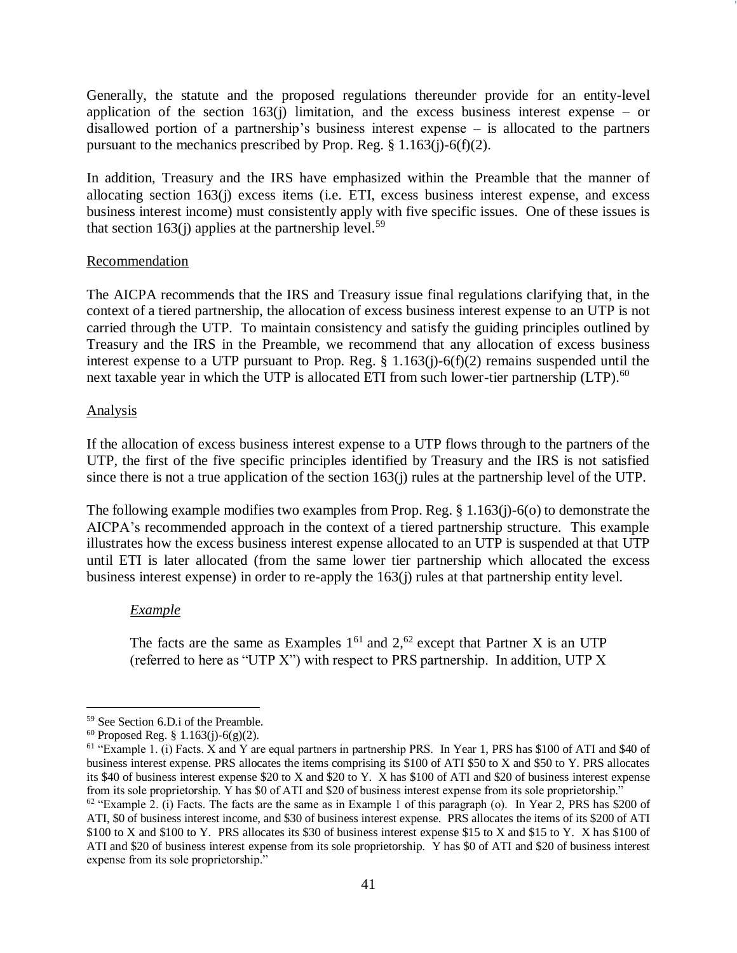Generally, the statute and the proposed regulations thereunder provide for an entity-level application of the section  $163(j)$  limitation, and the excess business interest expense – or disallowed portion of a partnership's business interest expense – is allocated to the partners pursuant to the mechanics prescribed by Prop. Reg.  $\S 1.163(j)-6(f)(2)$ .

In addition, Treasury and the IRS have emphasized within the Preamble that the manner of allocating section 163(j) excess items (i.e. ETI, excess business interest expense, and excess business interest income) must consistently apply with five specific issues. One of these issues is that section 163(j) applies at the partnership level.<sup>59</sup>

#### **Recommendation**

The AICPA recommends that the IRS and Treasury issue final regulations clarifying that, in the context of a tiered partnership, the allocation of excess business interest expense to an UTP is not carried through the UTP. To maintain consistency and satisfy the guiding principles outlined by Treasury and the IRS in the Preamble, we recommend that any allocation of excess business interest expense to a UTP pursuant to Prop. Reg. § 1.163(j)-6(f)(2) remains suspended until the next taxable year in which the UTP is allocated ETI from such lower-tier partnership (LTP).<sup>60</sup>

#### Analysis

 $\overline{a}$ 

If the allocation of excess business interest expense to a UTP flows through to the partners of the UTP, the first of the five specific principles identified by Treasury and the IRS is not satisfied since there is not a true application of the section 163(j) rules at the partnership level of the UTP.

The following example modifies two examples from Prop. Reg. § 1.163(j)-6(o) to demonstrate the AICPA's recommended approach in the context of a tiered partnership structure. This example illustrates how the excess business interest expense allocated to an UTP is suspended at that UTP until ETI is later allocated (from the same lower tier partnership which allocated the excess business interest expense) in order to re-apply the 163(j) rules at that partnership entity level.

#### *Example*

The facts are the same as Examples  $1^{61}$  and  $2^{62}$  except that Partner X is an UTP (referred to here as "UTP X") with respect to PRS partnership. In addition, UTP X

<sup>59</sup> See Section 6.D.i of the Preamble.

 $60$  Proposed Reg. § 1.163(j)-6(g)(2).

 $61$  "Example 1. (i) Facts. X and Y are equal partners in partnership PRS. In Year 1, PRS has \$100 of ATI and \$40 of business interest expense. PRS allocates the items comprising its \$100 of ATI \$50 to X and \$50 to Y. PRS allocates its \$40 of business interest expense \$20 to X and \$20 to Y. X has \$100 of ATI and \$20 of business interest expense from its sole proprietorship. Y has \$0 of ATI and \$20 of business interest expense from its sole proprietorship."

 $62$  "Example 2. (i) Facts. The facts are the same as in Example 1 of this paragraph (o). In Year 2, PRS has \$200 of ATI, \$0 of business interest income, and \$30 of business interest expense. PRS allocates the items of its \$200 of ATI \$100 to X and \$100 to Y. PRS allocates its \$30 of business interest expense \$15 to X and \$15 to Y. X has \$100 of ATI and \$20 of business interest expense from its sole proprietorship. Y has \$0 of ATI and \$20 of business interest expense from its sole proprietorship."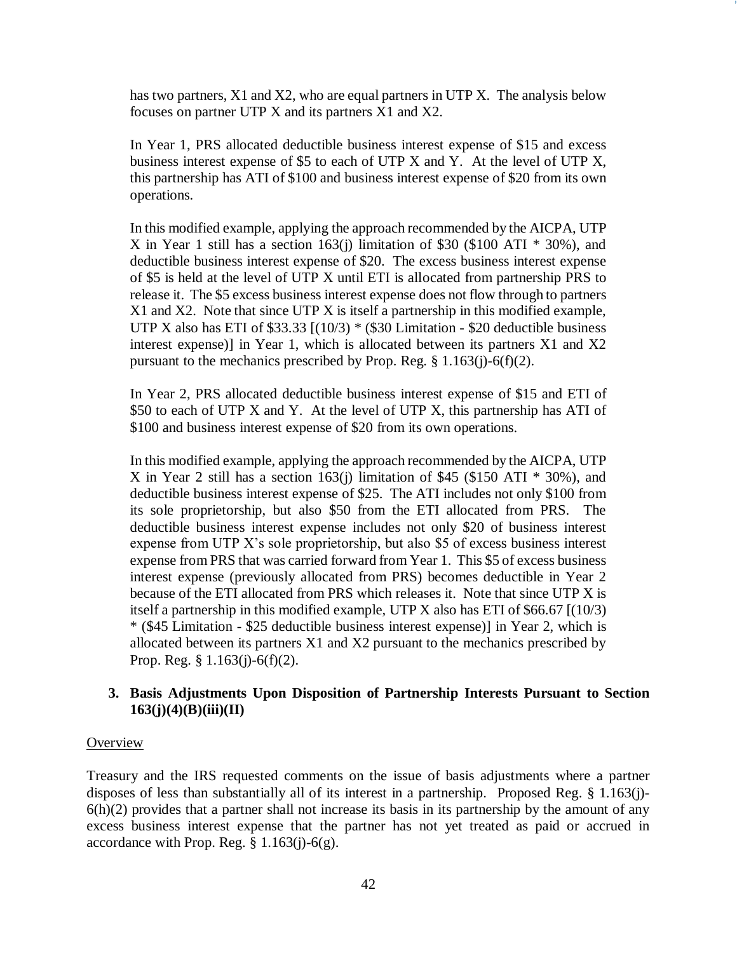has two partners, X1 and X2, who are equal partners in UTP X. The analysis below focuses on partner UTP X and its partners X1 and X2.

In Year 1, PRS allocated deductible business interest expense of \$15 and excess business interest expense of \$5 to each of UTP X and Y. At the level of UTP X, this partnership has ATI of \$100 and business interest expense of \$20 from its own operations.

In this modified example, applying the approach recommended by the AICPA, UTP X in Year 1 still has a section  $163(j)$  limitation of \$30 (\$100 ATI  $*$  30%), and deductible business interest expense of \$20. The excess business interest expense of \$5 is held at the level of UTP X until ETI is allocated from partnership PRS to release it. The \$5 excess business interest expense does not flow through to partners X1 and X2. Note that since UTP X is itself a partnership in this modified example, UTP X also has ETI of  $$33.33$   $[(10/3) * ($30$ Limitation - $20$ deductible business$ interest expense)] in Year 1, which is allocated between its partners X1 and X2 pursuant to the mechanics prescribed by Prop. Reg.  $\S 1.163(j)-6(f)(2)$ .

In Year 2, PRS allocated deductible business interest expense of \$15 and ETI of \$50 to each of UTP X and Y. At the level of UTP X, this partnership has ATI of \$100 and business interest expense of \$20 from its own operations.

In this modified example, applying the approach recommended by the AICPA, UTP X in Year 2 still has a section  $163(i)$  limitation of \$45 (\$150 ATI  $*$  30%), and deductible business interest expense of \$25. The ATI includes not only \$100 from its sole proprietorship, but also \$50 from the ETI allocated from PRS. The deductible business interest expense includes not only \$20 of business interest expense from UTP X's sole proprietorship, but also \$5 of excess business interest expense from PRS that was carried forward from Year 1. This \$5 of excess business interest expense (previously allocated from PRS) becomes deductible in Year 2 because of the ETI allocated from PRS which releases it. Note that since UTP X is itself a partnership in this modified example, UTP X also has ETI of \$66.67 [(10/3) \* (\$45 Limitation - \$25 deductible business interest expense)] in Year 2, which is allocated between its partners X1 and X2 pursuant to the mechanics prescribed by Prop. Reg. § 1.163(j)-6(f)(2).

#### **3. Basis Adjustments Upon Disposition of Partnership Interests Pursuant to Section 163(j)(4)(B)(iii)(II)**

#### **Overview**

Treasury and the IRS requested comments on the issue of basis adjustments where a partner disposes of less than substantially all of its interest in a partnership. Proposed Reg. § 1.163(j)-  $6(h)(2)$  provides that a partner shall not increase its basis in its partnership by the amount of any excess business interest expense that the partner has not yet treated as paid or accrued in accordance with Prop. Reg.  $\S 1.163(j)-6(g)$ .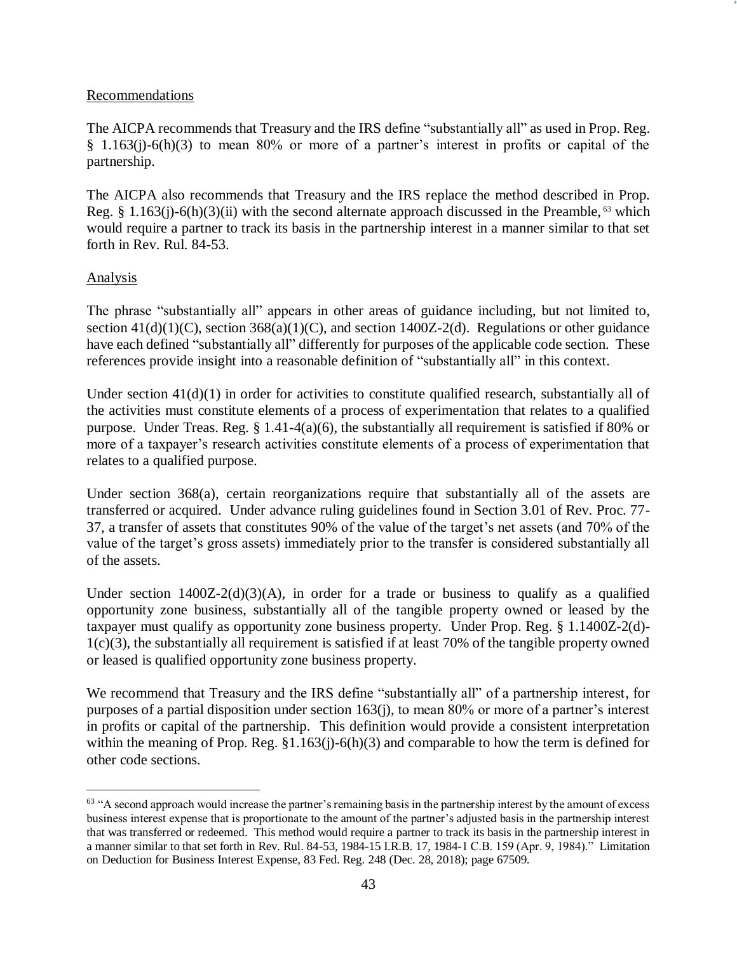#### Recommendations

The AICPA recommends that Treasury and the IRS define "substantially all" as used in Prop. Reg. § 1.163(j)-6(h)(3) to mean 80% or more of a partner's interest in profits or capital of the partnership.

The AICPA also recommends that Treasury and the IRS replace the method described in Prop. Reg. § 1.163(j)-6(h)(3)(ii) with the second alternate approach discussed in the Preamble,  $63$  which would require a partner to track its basis in the partnership interest in a manner similar to that set forth in Rev. Rul. 84-53.

#### Analysis

 $\overline{a}$ 

The phrase "substantially all" appears in other areas of guidance including, but not limited to, section  $41(d)(1)(C)$ , section  $368(a)(1)(C)$ , and section 1400Z-2(d). Regulations or other guidance have each defined "substantially all" differently for purposes of the applicable code section. These references provide insight into a reasonable definition of "substantially all" in this context.

Under section  $41(d)(1)$  in order for activities to constitute qualified research, substantially all of the activities must constitute elements of a process of experimentation that relates to a qualified purpose. Under Treas. Reg. § 1.41-4(a)(6), the substantially all requirement is satisfied if 80% or more of a taxpayer's research activities constitute elements of a process of experimentation that relates to a qualified purpose.

Under section 368(a), certain reorganizations require that substantially all of the assets are transferred or acquired. Under advance ruling guidelines found in Section 3.01 of Rev. Proc. 77- 37, a transfer of assets that constitutes 90% of the value of the target's net assets (and 70% of the value of the target's gross assets) immediately prior to the transfer is considered substantially all of the assets.

Under section  $1400Z-2(d)(3)(A)$ , in order for a trade or business to qualify as a qualified opportunity zone business, substantially all of the tangible property owned or leased by the taxpayer must qualify as opportunity zone business property. Under Prop. Reg. § 1.1400Z-2(d)- 1(c)(3), the substantially all requirement is satisfied if at least 70% of the tangible property owned or leased is qualified opportunity zone business property.

We recommend that Treasury and the IRS define "substantially all" of a partnership interest, for purposes of a partial disposition under section 163(j), to mean 80% or more of a partner's interest in profits or capital of the partnership. This definition would provide a consistent interpretation within the meaning of Prop. Reg. §1.163(j)-6(h)(3) and comparable to how the term is defined for other code sections.

 $<sup>63</sup>$  "A second approach would increase the partner's remaining basis in the partnership interest by the amount of excess</sup> business interest expense that is proportionate to the amount of the partner's adjusted basis in the partnership interest that was transferred or redeemed. This method would require a partner to track its basis in the partnership interest in a manner similar to that set forth in Rev. Rul. 84-53, 1984-15 I.R.B. 17, 1984-1 C.B. 159 (Apr. 9, 1984)." Limitation on Deduction for Business Interest Expense, 83 Fed. Reg. 248 (Dec. 28, 2018); page 67509.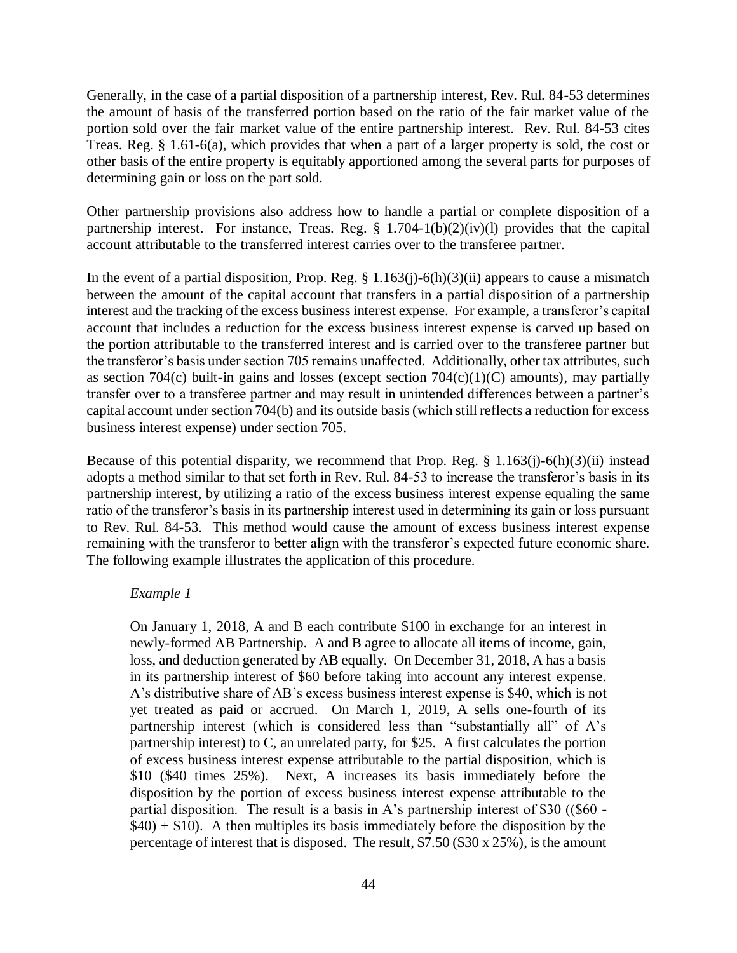Generally, in the case of a partial disposition of a partnership interest, Rev. Rul. 84-53 determines the amount of basis of the transferred portion based on the ratio of the fair market value of the portion sold over the fair market value of the entire partnership interest. Rev. Rul. 84-53 cites Treas. Reg. § 1.61-6(a), which provides that when a part of a larger property is sold, the cost or other basis of the entire property is equitably apportioned among the several parts for purposes of determining gain or loss on the part sold.

Other partnership provisions also address how to handle a partial or complete disposition of a partnership interest. For instance, Treas. Reg.  $\S$  1.704-1(b)(2)(iv)(l) provides that the capital account attributable to the transferred interest carries over to the transferee partner.

In the event of a partial disposition, Prop. Reg.  $\S 1.163(j)-6(h)(3)(ii)$  appears to cause a mismatch between the amount of the capital account that transfers in a partial disposition of a partnership interest and the tracking of the excess business interest expense. For example, a transferor's capital account that includes a reduction for the excess business interest expense is carved up based on the portion attributable to the transferred interest and is carried over to the transferee partner but the transferor's basis under section 705 remains unaffected. Additionally, other tax attributes, such as section 704 $(c)$  built-in gains and losses (except section 704 $(c)(1)(C)$  amounts), may partially transfer over to a transferee partner and may result in unintended differences between a partner's capital account under section 704(b) and its outside basis (which still reflects a reduction for excess business interest expense) under section 705.

Because of this potential disparity, we recommend that Prop. Reg. § 1.163(j)-6(h)(3)(ii) instead adopts a method similar to that set forth in Rev. Rul. 84-53 to increase the transferor's basis in its partnership interest, by utilizing a ratio of the excess business interest expense equaling the same ratio of the transferor's basis in its partnership interest used in determining its gain or loss pursuant to Rev. Rul. 84-53. This method would cause the amount of excess business interest expense remaining with the transferor to better align with the transferor's expected future economic share. The following example illustrates the application of this procedure.

#### *Example 1*

On January 1, 2018, A and B each contribute \$100 in exchange for an interest in newly-formed AB Partnership. A and B agree to allocate all items of income, gain, loss, and deduction generated by AB equally. On December 31, 2018, A has a basis in its partnership interest of \$60 before taking into account any interest expense. A's distributive share of AB's excess business interest expense is \$40, which is not yet treated as paid or accrued. On March 1, 2019, A sells one-fourth of its partnership interest (which is considered less than "substantially all" of A's partnership interest) to C, an unrelated party, for \$25. A first calculates the portion of excess business interest expense attributable to the partial disposition, which is \$10 (\$40 times 25%). Next, A increases its basis immediately before the disposition by the portion of excess business interest expense attributable to the partial disposition. The result is a basis in A's partnership interest of \$30 ((\$60 -  $$40) + $10$ . A then multiples its basis immediately before the disposition by the percentage of interest that is disposed. The result, \$7.50 (\$30 x 25%), is the amount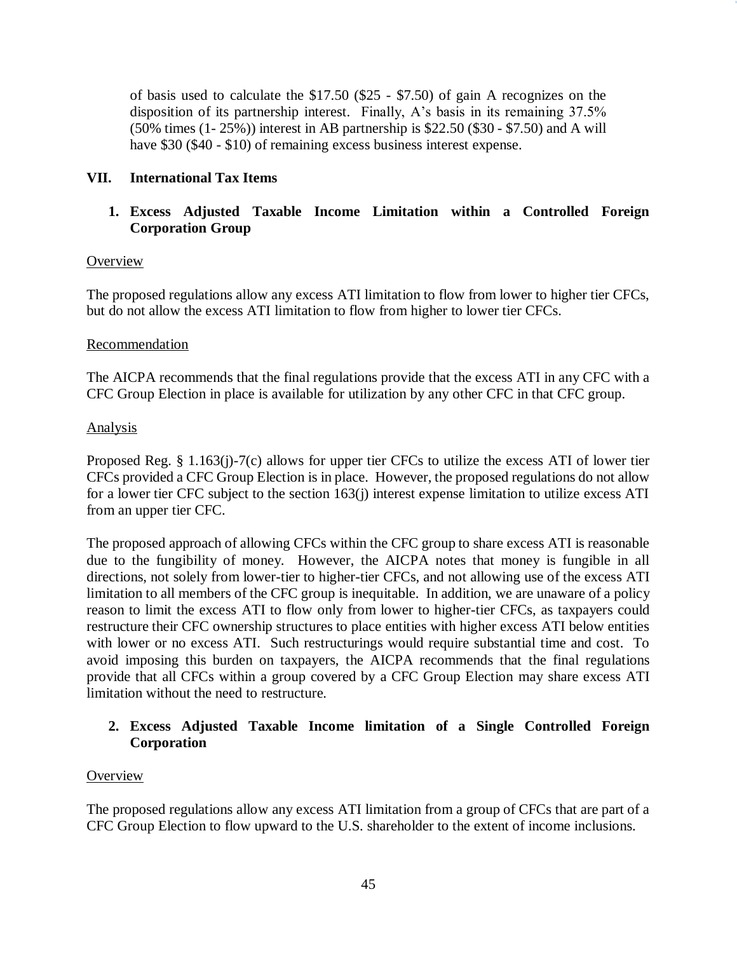of basis used to calculate the \$17.50 (\$25 - \$7.50) of gain A recognizes on the disposition of its partnership interest. Finally, A's basis in its remaining 37.5% (50% times (1- 25%)) interest in AB partnership is \$22.50 (\$30 - \$7.50) and A will have \$30 (\$40 - \$10) of remaining excess business interest expense.

### **VII. International Tax Items**

## **1. Excess Adjusted Taxable Income Limitation within a Controlled Foreign Corporation Group**

#### **Overview**

The proposed regulations allow any excess ATI limitation to flow from lower to higher tier CFCs, but do not allow the excess ATI limitation to flow from higher to lower tier CFCs.

#### Recommendation

The AICPA recommends that the final regulations provide that the excess ATI in any CFC with a CFC Group Election in place is available for utilization by any other CFC in that CFC group.

### Analysis

Proposed Reg. § 1.163(j)-7(c) allows for upper tier CFCs to utilize the excess ATI of lower tier CFCs provided a CFC Group Election is in place. However, the proposed regulations do not allow for a lower tier CFC subject to the section 163(j) interest expense limitation to utilize excess ATI from an upper tier CFC.

The proposed approach of allowing CFCs within the CFC group to share excess ATI is reasonable due to the fungibility of money. However, the AICPA notes that money is fungible in all directions, not solely from lower-tier to higher-tier CFCs, and not allowing use of the excess ATI limitation to all members of the CFC group is inequitable. In addition, we are unaware of a policy reason to limit the excess ATI to flow only from lower to higher-tier CFCs, as taxpayers could restructure their CFC ownership structures to place entities with higher excess ATI below entities with lower or no excess ATI. Such restructurings would require substantial time and cost. To avoid imposing this burden on taxpayers, the AICPA recommends that the final regulations provide that all CFCs within a group covered by a CFC Group Election may share excess ATI limitation without the need to restructure.

### **2. Excess Adjusted Taxable Income limitation of a Single Controlled Foreign Corporation**

## **Overview**

The proposed regulations allow any excess ATI limitation from a group of CFCs that are part of a CFC Group Election to flow upward to the U.S. shareholder to the extent of income inclusions.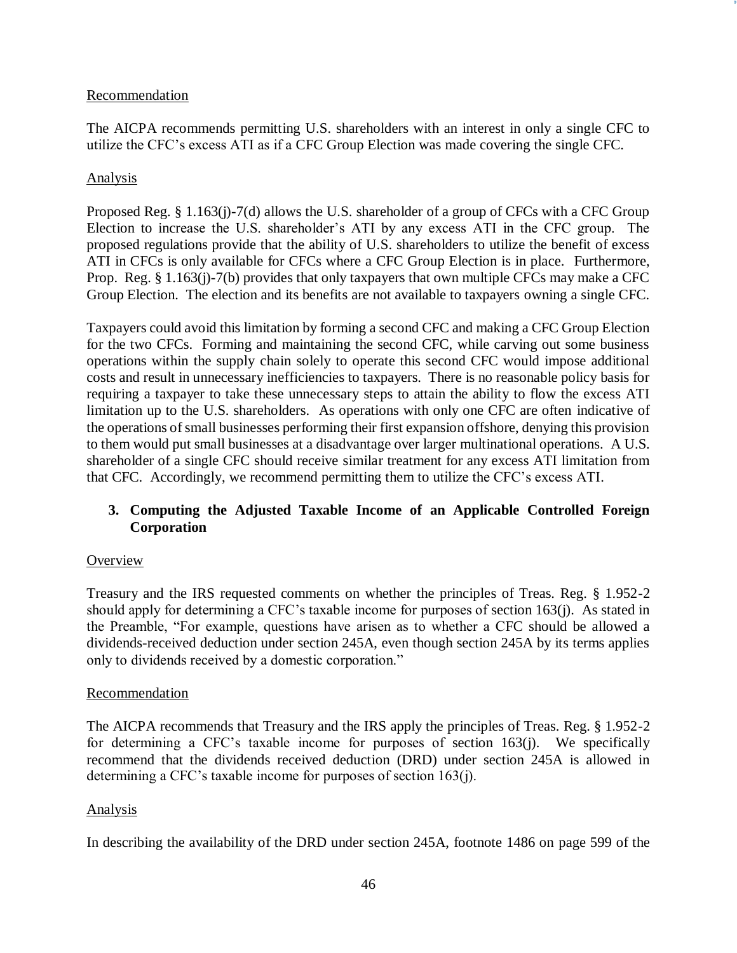#### Recommendation

The AICPA recommends permitting U.S. shareholders with an interest in only a single CFC to utilize the CFC's excess ATI as if a CFC Group Election was made covering the single CFC.

### Analysis

Proposed Reg. § 1.163(j)-7(d) allows the U.S. shareholder of a group of CFCs with a CFC Group Election to increase the U.S. shareholder's ATI by any excess ATI in the CFC group. The proposed regulations provide that the ability of U.S. shareholders to utilize the benefit of excess ATI in CFCs is only available for CFCs where a CFC Group Election is in place. Furthermore, Prop. Reg. § 1.163(j)-7(b) provides that only taxpayers that own multiple CFCs may make a CFC Group Election. The election and its benefits are not available to taxpayers owning a single CFC.

Taxpayers could avoid this limitation by forming a second CFC and making a CFC Group Election for the two CFCs. Forming and maintaining the second CFC, while carving out some business operations within the supply chain solely to operate this second CFC would impose additional costs and result in unnecessary inefficiencies to taxpayers. There is no reasonable policy basis for requiring a taxpayer to take these unnecessary steps to attain the ability to flow the excess ATI limitation up to the U.S. shareholders. As operations with only one CFC are often indicative of the operations of small businesses performing their first expansion offshore, denying this provision to them would put small businesses at a disadvantage over larger multinational operations. A U.S. shareholder of a single CFC should receive similar treatment for any excess ATI limitation from that CFC. Accordingly, we recommend permitting them to utilize the CFC's excess ATI.

## **3. Computing the Adjusted Taxable Income of an Applicable Controlled Foreign Corporation**

## **Overview**

Treasury and the IRS requested comments on whether the principles of Treas. Reg. § 1.952-2 should apply for determining a CFC's taxable income for purposes of section 163(j). As stated in the Preamble, "For example, questions have arisen as to whether a CFC should be allowed a dividends-received deduction under section 245A, even though section 245A by its terms applies only to dividends received by a domestic corporation."

#### Recommendation

The AICPA recommends that Treasury and the IRS apply the principles of Treas. Reg. § 1.952-2 for determining a CFC's taxable income for purposes of section 163(j). We specifically recommend that the dividends received deduction (DRD) under section 245A is allowed in determining a CFC's taxable income for purposes of section 163(j).

#### Analysis

In describing the availability of the DRD under section 245A, footnote 1486 on page 599 of the